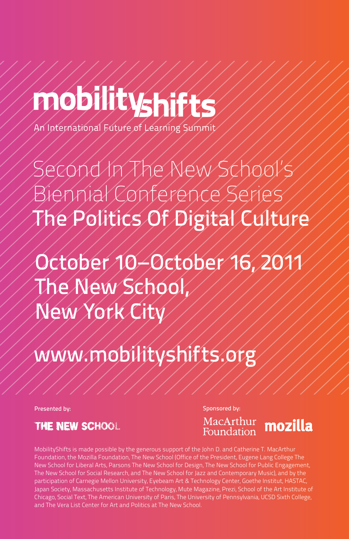# mobilityshifts

An International Future of Learning Summit

Second In The New School's Biennial Conference Series The Politics Of Digital Culture

October 10–October 16, 2011 The New School, New York City

www.mobilityshifts.or

Presented by: Sponsored by: Sponsored by: Sponsored by: Sponsored by: Sponsored by: Sponsored by: Sponsored by: Sponsored by: Sponsored by: Sponsored by: Sponsored by: Sponsored by: Sponsored by: Sponsored by: Sponsored By

THE NEW SCHOOL



MobilityShifts is made possible by the generous support of the John D. and Catherine T. MacArthur Foundation, the Mozilla Foundation, The New School (Office of the President, Eugene Lang College The New School for Liberal Arts, Parsons The New School for Design, The New School for Public Engagement, The New School for Social Research, and The New School for Jazz and Contemporary Music), and by the participation of Carnegie Mellon University, Eyebeam Art & Technology Center, Goethe Institut, HASTAC, Japan Society, Massachusetts Institute of Technology, Mute Magazine, Prezi, School of the Art Institute of Chicago, Social Text, The American University of Paris, The University of Pennsylvania, UCSD Sixth College, and The Vera List Center for Art and Politics at The New School.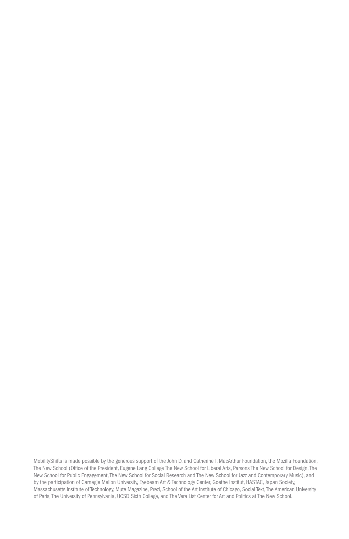MobilityShifts is made possible by the generous support of the John D. and Catherine T. MacArthur Foundation, the Mozilla Foundation, The New School (Office of the President, Eugene Lang College The New School for Liberal Arts, Parsons The New School for Design, The New School for Public Engagement, The New School for Social Research and The New School for Jazz and Contemporary Music), and by the participation of Carnegie Mellon University, Eyebeam Art & Technology Center, Goethe Institut, HASTAC, Japan Society, Massachusetts Institute of Technology, Mute Magazine, Prezi, School of the Art Institute of Chicago, Social Text, The American University of Paris, The University of Pennsylvania, UCSD Sixth College, and The Vera List Center for Art and Politics at The New School.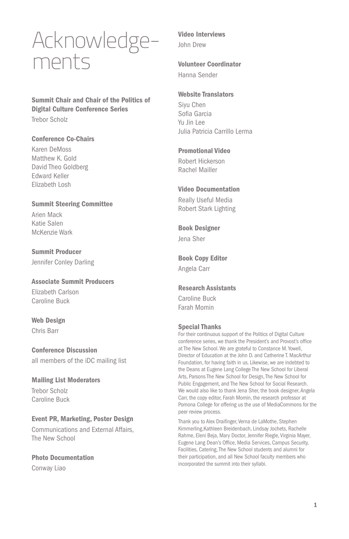## Acknowledgements

Summit Chair and Chair of the Politics of Digital Culture Conference Series Trebor Scholz

#### Conference Co-Chairs

Karen DeMoss Matthew K. Gold David Theo Goldberg Edward Keller Elizabeth Losh

#### Summit Steering Committee

Arien Mack Katie Salen McKenzie Wark

Summit Producer Jennifer Conley Darling

Associate Summit Producers Elizabeth Carlson Caroline Buck

Web Design Chris Barr

Conference Discussion all members of the iDC mailing list

Mailing List Moderators Trebor Scholz Caroline Buck

Event PR, Marketing, Poster Design Communications and External Affairs, The New School

Photo Documentation

Conway Liao

#### Video Interviews John Drew

#### Volunteer Coordinator

Hanna Sender

#### Website Translators

Siyu Chen Sofia Garcia Yu Jin Lee Julia Patricia Carrillo Lerma

#### Promotional Video

Robert Hickerson Rachel Mailler

#### Video Documentation

Really Useful Media Robert Stark Lighting

Book Designer Jena Sher

### Book Copy Editor

Angela Carr

#### Research Assistants

Caroline Buck Farah Momin

#### Special Thanks

For their continuous support of the Politics of Digital Culture conference series, we thank the President's and Provost's office at The New School. We are grateful to Constance M. Yowell, Director of Education at the John D. and Catherine T. MacArthur Foundation, for having faith in us. Likewise, we are indebted to the Deans at Eugene Lang College The New School for Liberal Arts, Parsons The New School for Design, The New School for Public Engagement, and The New School for Social Research. We would also like to thank Jena Sher, the book designer, Angela Carr, the copy editor, Farah Momin, the research professor at Pomona College for offering us the use of MediaCommons for the peer review process.

Thank you to Alex Draifinger, Verna de LaMothe, Stephen Kimmerling,Kathleen Breidenbach, Lindsay Jochets, Rachelle Rahme, Eleni Beja, Mary Doctor, Jennifer Riegle, Virginia Mayer, Eugene Lang Dean's Office, Media Services, Campus Security, Facilities, Catering, The New School students and alumni for their participation, and all New School faculty members who incorporated the summit into their syllabi.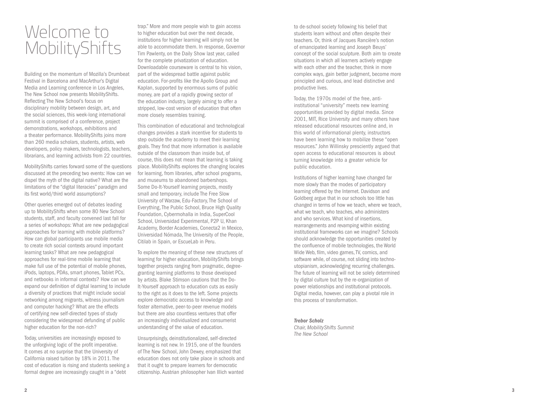# Welcome to MobilityShifts

Building on the momentum of Mozilla's Drumbeat Festival in Barcelona and MacArthur's Digital Media and Learning conference in Los Angeles, The New School now presents MobilityShifts. Reflecting The New School's focus on disciplinary mobility between design, art, and the social sciences, this week-long international summit is comprised of a conference, project demonstrations, workshops, exhibitions and a theater performance. MobilityShifts joins more than 260 media scholars, students, artists, web developers, policy makers, technologists, teachers, librarians, and learning activists from 22 countries.

MobilityShifts carries forward some of the questions discussed at the preceding two events: How can we dispel the myth of the digital native? What are the limitations of the "digital literacies" paradigm and its first world/third world assumptions?

Other queries emerged out of debates leading up to MobilityShifts when some 80 New School students, staff, and faculty convened last fall for a series of workshops: What are new pedagogical approaches for learning with mobile platforms? How can global participants use mobile media to create rich social contexts around important learning tasks? What are new pedagogical approaches for real-time mobile learning that make full use of the potential of mobile phones, iPods, laptops, PDAs, smart phones, Tablet PCs, and netbooks in informal contexts? How can we expand our definition of digital learning to include a diversity of practices that might include social networking among migrants, witness journalism and computer hacking? What are the effects of certifying new self-directed types of study considering the widespread defunding of public higher education for the non-rich?

Today, universities are increasingly exposed to the unforgiving logic of the profit imperative. It comes at no surprise that the University of California raised tuition by 18% in 2011. The cost of education is rising and students seeking a formal degree are increasingly caught in a "debt

trap." More and more people wish to gain access to higher education but over the next decade, institutions for higher learning will simply not be able to accommodate them. In response, Governor Tim Pawlenty, on the Daily Show last year, called for the complete privatization of education. Downloadable courseware is central to his vision, part of the widespread battle against public education. For-profits like the Apollo Group and Kaplan, supported by enormous sums of public money, are part of a rapidly growing sector of the education industry, largely aiming to offer a stripped, low-cost version of education that often more closely resembles training.

This combination of educational and technological changes provides a stark incentive for students to step outside the academy to meet their learning goals. They find that more information is available outside of the classroom than inside but, of course, this does not mean that learning is taking place. MobilityShifts explores the changing locales for learning, from libraries, after school programs, and museums to abandoned barbershops. Some Do-It-Yourself learning projects, mostly small and temporary, include The Free Slow University of Warzaw, Edu-Factory, The School of Everything, The Public School, Bruce High Quality Foundation, Cybermohalla in India, SuperCool School, Universidad Experimental, P2P U, Khan Academy, Border Academies, Conecta2 in Mexico, Universidad Nómada, The University of the People, Citilab in Spain, or EscueLab in Peru.

To explore the meaning of these new structures of learning for higher education, MobilityShifts brings together projects ranging from pragmatic, degreegranting learning platforms to those developed by artists. Blake Stimson cautions that the Do-It-Yourself approach to education cuts as easily to the right as it does to the left. Some projects explore democratic access to knowledge and foster alternative, peer-to-peer revenue models but there are also countless ventures that offer an increasingly individualized and consumerist understanding of the value of education.

Unsurprisingly, deinstitutionalized, self-directed learning is not new. In 1915, one of the founders of The New School, John Dewey, emphasized that education does not only take place in schools and that it ought to prepare learners for democratic citizenship. Austrian philosopher Ivan Illich wanted

to de-school society following his belief that students learn without and often despite their teachers. Or, think of Jacques Rancière's notion of emancipated learning and Joseph Beuys' concept of the social sculpture. Both aim to create situations in which all learners actively engage with each other and the teacher, think in more complex ways, gain better judgment, become more principled and curious, and lead distinctive and productive lives.

Today, the 1970s model of the free, antiinstitutional "university" meets new learning opportunities provided by digital media. Since 2001, MIT, Rice University and many others have released educational resources online and, in this world of informational plenty, instructors have been learning how to mobilize these "open resources." John Willinsky presciently argued that open access to educational resources is about turning knowledge into a greater vehicle for public education.

Institutions of higher learning have changed far more slowly than the modes of participatory learning offered by the Internet. Davidson and Goldberg argue that in our schools too little has changed in terms of how we teach, where we teach, what we teach, who teaches, who administers and who services. What kind of insertions, rearrangements and revamping within existing institutional frameworks can we imagine? Schools should acknowledge the opportunities created by the confluence of mobile technologies, the World Wide Web, film, video games, TV, comics, and software while, of course, not sliding into technoutopianism, acknowledging recurring challenges. The future of learning will not be solely determined by digital culture but by the re-organization of power relationships and institutional protocols. Digital media, however, can play a pivotal role in this process of transformation.

#### *Trebor Scholz*

*Chair, MobilityShifts Summit The New School*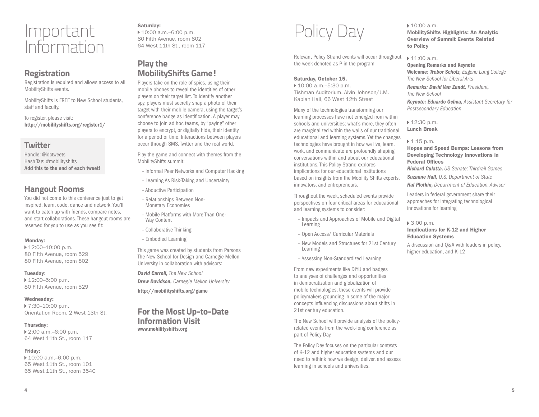## Important Information

## **Registration**

Registration is required and allows access to all MobilityShifts events.

MobilityShifts is FREE to New School students, staff and faculty.

To register, please visit: http://mobilityshifts.org/register1/

## **Twitter**

Handle: @idctweets Hash Tag: #mobilityshifts Add this to the end of each tweet!

## **Hangout Rooms**

You did not come to this conference just to get inspired, learn, code, dance and network. You'll want to catch up with friends, compare notes, and start collaborations. These hangout rooms are reserved for you to use as you see fit:

#### Monday:

 $\blacktriangleright$  12:00–10:00 p.m. 80 Fifth Avenue, room 529 80 Fifth Avenue, room 802

#### Tuesday:

▶ 12:00–5:00 p.m. 80 Fifth Avenue, room 529

#### Wednesday:

▶ 7:30–10:00 p.m. Orientation Room, 2 West 13th St.

#### Thursday:

 2:00 a.m.–6:00 p.m. 64 West 11th St., room 117

#### Friday:

 10:00 a.m.–6:00 p.m. 65 West 11th St., room 101 65 West 11th St., room 354C

Saturday: 10:00 a.m.–6:00 p.m. 80 Fifth Avenue, room 802 64 West 11th St., room 117

## **Play the MobilityShifts Game!**

Players take on the role of spies, using their mobile phones to reveal the identities of other players on their target list. To identify another spy, players must secretly snap a photo of their target with their mobile camera, using the target's conference badge as identification. A player may choose to join ad hoc teams, by "paying" other players to encrypt, or digitally hide, their identity for a period of time. Interactions between players occur through SMS, Twitter and the real world.

Play the game and connect with themes from the MobilityShifts summit:

- Informal Peer Networks and Computer Hacking
- Learning As Risk-Taking and Uncertainty
- Abductive Participation
- Relationships Between Non-Monetary Economies
- Mobile Platforms with More Than One-Way Content
- Collaborative Thinking
- Embodied Learning

This game was created by students from Parsons The New School for Design and Carnegie Mellon University in collaboration with advisors:

*David Carroll, The New School*

*Drew Davidson, Carnegie Mellon University*

http://mobilityshifts.org/game

## **For the Most Up-to-Date Information Visit** www.mobilityshifts.org

Policy Day

Relevant Policy Strand events will occur throughout the week denoted as P in the program

#### Saturday, October 15,

 10:00 a.m.–5:30 p.m. Tishman Auditorium, Alvin Johnson/J.M. Kaplan Hall, 66 West 12th Street

Many of the technologies transforming our learning processes have not emerged from within schools and universities; what's more, they often are marginalized within the walls of our traditional educational and learning systems. Yet the changes technologies have brought in how we live, learn, work, and communicate are profoundly shaping conversations within and about our educational institutions. This Policy Strand explores implications for our educational institutions based on insights from the Mobility Shifts experts, innovators, and entrepreneurs.

Throughout the week, scheduled events provide perspectives on four critical areas for educational and learning systems to consider:

- Impacts and Approaches of Mobile and Digital Learning
- Open Access/ Curricular Materials
- New Models and Structures for 21st Century Learning
- Assessing Non-Standardized Learning

From new experiments like DIYU and badges to analyses of challenges and opportunities in democratization and globalization of mobile technologies, these events will provide policymakers grounding in some of the major concepts influencing discussions about shifts in 21st century education.

The New School will provide analysis of the policyrelated events from the week-long conference as part of Policy Day.

The Policy Day focuses on the particular contexts of K-12 and higher education systems and our need to rethink how we design, deliver, and assess learning in schools and universities.

#### $10:00$  a.m.

MobilityShifts Highlights: An Analytic Overview of Summit Events Related to Policy

#### $\triangleright$  11:00 a.m.

Opening Remarks and Keynote Welcome: *Trebor Scholz, Eugene Lang College The New School for Liberal Arts*

*Remarks: David Van Zandt, President, The New School*

*Keynote: Eduardo Ochoa, Assistant Secretary for Postsecondary Education*

 $12:30$  p.m. Lunch Break

#### ▶ 1:15 p.m.

Hopes and Speed Bumps: Lessons from Developing Technology Innovations in Federal Offices *Richard Culatta, US Senate; Thirdrail Games*

*Suzanne Hall, U.S. Department of State*

*Hal Plotkin, Department of Education, Advisor*

Leaders in federal government share their approaches for integrating technological innovations for learning

#### 3:00 p.m.

#### Implications for K-12 and Higher Education Systems

A discussion and Q&A with leaders in policy, higher education, and K-12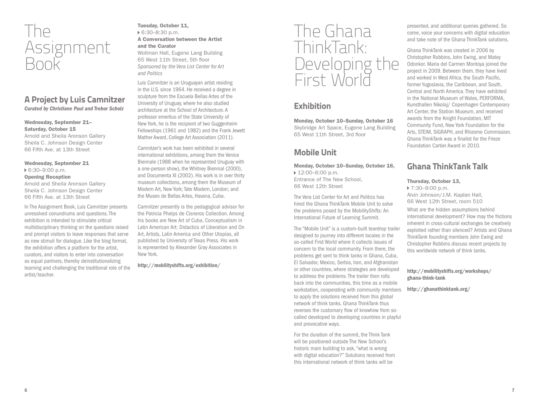

## **A Project by Luis Camnitzer** *Curated by Christiane Paul and Trebor Scholz*

#### Wednesday, September 21– Saturday, October 15

Arnold and Sheila Aronson Gallery Sheila C. Johnson Design Center 66 Fifth Ave. at 13th Street

#### Wednesday, September 21

#### 6:30–9:00 p.m. Opening Reception

Arnold and Sheila Aronson Gallery Sheila C. Johnson Design Center 66 Fifth Ave. at 13th Street

In The Assignment Book, Luis Camnitzer presents unresolved conundrums and questions. The exhibition is intended to stimulate critical multidisciplinary thinking on the questions raised and prompt visitors to leave responses that serve as new stimuli for dialogue. Like the blog format, the exhibition offers a platform for the artist, curators, and visitors to enter into conversation as equal partners, thereby deinstitutionalizing learning and challenging the traditional role of the artist/teacher.

#### Tuesday, October 11, 6:30–8:30 p.m. A Conversation between the Artist and the Curator

Wollman Hall, Eugene Lang Building 65 West 11th Street, 5th floor *Sponsored by the Vera List Center for Art and Politics*

Luis Camnitzer is an Uruguayan artist residing in the U.S. since 1964. He received a degree in sculpture from the Escuela Bellas Artes of the University of Uruguay, where he also studied architecture at the School of Architecture. A professor emeritus of the State University of New York, he is the recipient of two Guggenheim Fellowships (1961 and 1982) and the Frank Jewett Mather Award, College Art Association (2011).

Camnitzer's work has been exhibited in several international exhibitions, among them the Venice Biennale (1988 when he represented Uruguay with a one-person show), the Whitney Biennial (2000), and Documenta XI (2002). His work is in over thirty museum collections, among them the Museum of Modern Art, New York; Tate Modern, London; and the Museo de Bellas Artes, Havana, Cuba.

Camnitzer presently is the pedagogical advisor for the Patricia Phelps de Cisneros Collection. Among his books are New Art of Cuba, Conceptualism in Latin American Art: Didactics of Liberation and On Art, Artists, Latin America and Other Utopias, all published by University of Texas Press. His work is represented by Alexander Gray Associates in New York.

http://mobilityshifts.org/exhibition/

## The Ghana ThinkTank: Developing the First World

## **Exhibition**

Monday, October 10–Sunday, October 16 Skybridge Art Space, Eugene Lang Building 65 West 11th Street, 3rd floor

## **Mobile Unit**

Monday, October 10–Sunday, October 16, ▶ 12:00–6:00 p.m. Entrance of The New School,

66 West 12th Street

The Vera List Center for Art and Politics has hired the Ghana ThinkTank Mobile Unit to solve the problems posed by the MobilityShifts: An International Future of Learning Summit.

The "Mobile Unit" is a custom-built teardrop trailer designed to journey into different locales in the so-called First World where it collects issues of concern to the local community. From there, the problems get sent to think tanks in Ghana, Cuba, El Salvador, Mexico, Serbia, Iran, and Afghanistan or other countries, where strategies are developed to address the problems. The trailer then rolls back into the communities, this time as a mobile workstation, cooperating with community members to apply the solutions received from this global network of think tanks. Ghana ThinkTank thus reverses the customary flow of knowhow from socalled developed to developing countries in playful and provocative ways.

For the duration of the summit, the Think Tank will be positioned outside The New School's historic main building to ask, "what is wrong with digital education?" Solutions received from this international network of think tanks will be

presented, and additional queries gathered. So come, voice your concerns with digital education and take note of the Ghana ThinkTank solutions.

Ghana ThinkTank was created in 2006 by Christopher Robbins, John Ewing, and Matey Odonkor. Maria del Carmen Montoya joined the project in 2009. Between them, they have lived and worked in West Africa, the South Pacific, former Yugoslavia, the Caribbean, and South, Central and North America. They have exhibited in the National Museum of Wales, PERFORMA, Kunsthallen Nikolaj/ Copenhagen Contemporary Art Center, the Station Museum, and received awards from the Knight Foundation, MIT Community Fund, New York Foundation for the Arts, STEIM, SIGRAPH, and Rhizome Commission. Ghana ThinkTank was a finalist for the Frieze Foundation Cartier Award in 2010.

## **Ghana ThinkTank Talk**

#### Thursday, October 13,

▶ 7:30–9:00 p.m. Alvin Johnson/J.M. Kaplan Hall, 66 West 12th Street, room 510

What are the hidden assumptions behind international development? How may the frictions inherent in cross-cultural exchanges be creatively exploited rather than silenced? Artists and Ghana ThinkTank founding members John Ewing and Christopher Robbins discuss recent projects by this worldwide network of think tanks.

#### http://mobilityshifts.org/workshops/ ghana-think-tank

http://ghanathinktank.org/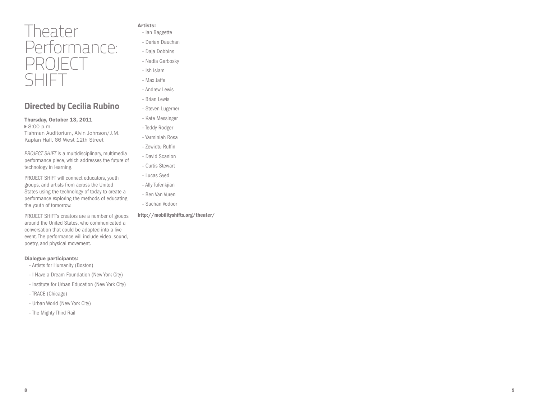## Theater Performance: PROJECT SHIFT

## **Directed by Cecilia Rubino**

Thursday, October 13, 2011 **▶ 8:00 p.m.** 

Tishman Auditorium, Alvin Johnson/J.M. Kaplan Hall, 66 West 12th Street

*PROJECT SHIFT* is a multidisciplinary, multimedia performance piece, which addresses the future of technology in learning.

PROJECT SHIFT will connect educators, youth groups, and artists from across the United States using the technology of today to create a performance exploring the methods of educating the youth of tomorrow.

PROJECT SHIFT's creators are a number of groups around the United States, who communicated a conversation that could be adapted into a live event. The performance will include video, sound, poetry, and physical movement.

#### Dialogue participants:

- Artists for Humanity (Boston)
- I Have a Dream Foundation (New York City)
- Institute for Urban Education (New York City)
- TRACE (Chicago)
- Urban World (New York City)
- The Mighty Third Rail
- Artists:
- Ian Baggette
- Darian Dauchan
- Daja Dobbins
- Nadia Garbosky
- Ish Islam
- Max Jaffe
- Andrew Lewis
- Brian Lewis
- Steven Lugerner
- Kate Messinger
- Teddy Rodger
- Yarminlah Rosa
- Zewidtu Ruffin
- David Scanion
- Curtis Stewart
- Lucas Syed
- Ally Tufenkjian
- Ben Van Vuren
- Suchan Vodoor

#### http://mobilityshifts.org/theater/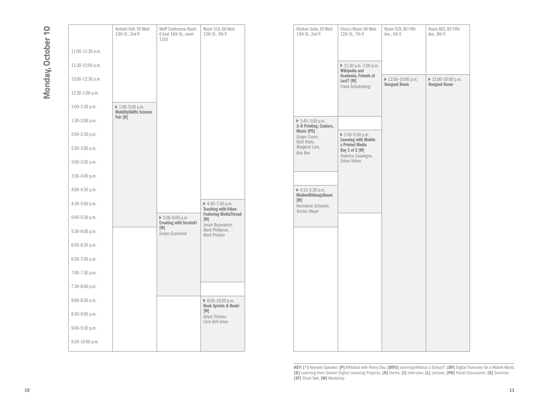# Monday, October 10 **Monday, October 10**

|                                  | Arnhold Hall, 55 West<br>13th St., 2nd fl                        | Wolff Conference Room<br>6 East 16th St., room<br>1103                  | Room 510, 66 West<br>12th St., 5th fl                                                          | Hirshon Suite, 55 West<br>13th St., 2nd fl                | Orozco Room, 66 West<br>12th St., 7th fl                       | Room 529, 80 Fifth<br>Ave., 5th fl        |
|----------------------------------|------------------------------------------------------------------|-------------------------------------------------------------------------|------------------------------------------------------------------------------------------------|-----------------------------------------------------------|----------------------------------------------------------------|-------------------------------------------|
| 11:00-11:30 a.m.                 |                                                                  |                                                                         |                                                                                                |                                                           |                                                                |                                           |
| 11:30-12:00 p.m.                 |                                                                  |                                                                         |                                                                                                |                                                           | ▶ 11:30 a.m.-1:00 p.m.<br>Wikipedia and                        |                                           |
| 12:00-12:30 p.m.                 |                                                                  |                                                                         |                                                                                                |                                                           | Academia, Friends at<br>Last? [W]<br>Frank Schulenburg         | ▶ 12:00-10:00 p.m.<br><b>Hangout Room</b> |
| $12:30-1:00$ p.m.                |                                                                  |                                                                         |                                                                                                |                                                           |                                                                |                                           |
| $1:00-1:30$ p.m.                 | $\triangleright$ 1:00-5:00 p.m.<br><b>MobilityShifts Science</b> |                                                                         |                                                                                                |                                                           |                                                                |                                           |
| $1:30-2:00$ p.m.                 | Fair [D]                                                         |                                                                         |                                                                                                | $\triangleright$ 1:45-3:00 p.m.<br>3-D Printing, Coulors, |                                                                |                                           |
| 2:00-2:30 p.m.                   |                                                                  |                                                                         |                                                                                                | Music [PD]<br>Ginger Coons,<br>Matt Ratto,                | $\triangleright$ 2:00-5:00 p.m.<br><b>Learning with Mobile</b> |                                           |
| $2:30-3:00$ p.m.                 |                                                                  |                                                                         |                                                                                                | Margaret Lam,<br>Bob Ree                                  | x Printed Media<br>Day 1 of 2 [W]<br>Federico Casalegno,       |                                           |
| $3:00-3:30$ p.m.                 |                                                                  |                                                                         |                                                                                                |                                                           | Orkan Telhan                                                   |                                           |
| $3:30-4:00$ p.m.                 |                                                                  |                                                                         |                                                                                                |                                                           |                                                                |                                           |
| 4:00-4:30 p.m.                   |                                                                  |                                                                         |                                                                                                | ▶ 4:15-5:30 p.m.<br>MedienBildungsRaum<br>[W]             |                                                                |                                           |
| 4:30-5:00 p.m.                   |                                                                  |                                                                         | $\triangleright$ 4:30-7:30 p.m.<br><b>Teaching with Video:</b><br><b>Featuring MediaThread</b> | Konstanze Schuetze,<br>Torsten Meyer                      |                                                                |                                           |
| 5:00-5:30 p.m.                   |                                                                  | $\triangleright$ 5:00-8:00 p.m.<br><b>Creating with Scratch!</b><br>[W] | [W]<br>Jonah Bossewitch,                                                                       |                                                           |                                                                |                                           |
| $5:30-6:00$ p.m.                 |                                                                  | Evelyn Eastmond                                                         | Mark Phillipson,<br><b>Mark Preston</b>                                                        |                                                           |                                                                |                                           |
| 6:00-6:30 p.m.                   |                                                                  |                                                                         |                                                                                                |                                                           |                                                                |                                           |
| 6:30-7:00 p.m.                   |                                                                  |                                                                         |                                                                                                |                                                           |                                                                |                                           |
| 7:00-7:30 p.m.                   |                                                                  |                                                                         |                                                                                                |                                                           |                                                                |                                           |
| 7:30-8:00 p.m.<br>8:00-8:30 p.m. |                                                                  |                                                                         | $\triangleright$ 8:00-10:00 p.m.                                                               |                                                           |                                                                |                                           |
| 8:30-9:00 p.m.                   |                                                                  |                                                                         | <b>Book Sprints &amp; Booki</b><br>[W]                                                         |                                                           |                                                                |                                           |
| $9:00-9:30$ p.m.                 |                                                                  |                                                                         | Adam Thomas,<br>Cara Bell-Jones                                                                |                                                           |                                                                |                                           |
| $9:30-10:00$ p.m.                |                                                                  |                                                                         |                                                                                                |                                                           |                                                                |                                           |
|                                  |                                                                  |                                                                         |                                                                                                |                                                           |                                                                |                                           |

| Hirshon Suite, 55 West<br>13th St., 2nd fl                                                   | Orozco Room, 66 West<br>12th St., 7th fl                           | Room 529, 80 Fifth<br>Ave., 5th fl        | Room 802, 80 Fifth<br>Ave., 8th fl        |
|----------------------------------------------------------------------------------------------|--------------------------------------------------------------------|-------------------------------------------|-------------------------------------------|
|                                                                                              |                                                                    |                                           |                                           |
|                                                                                              | 11:30 a.m.-1:00 p.m.<br>Wikipedia and                              |                                           |                                           |
|                                                                                              | Academia, Friends at<br>Last? [W]<br>Frank Schulenburg             | ▶ 12:00-10:00 p.m.<br><b>Hangout Room</b> | ▶ 12:00-10:00 p.m.<br><b>Hangout Room</b> |
|                                                                                              |                                                                    |                                           |                                           |
| ▶ 1:45-3:00 p.m.                                                                             |                                                                    |                                           |                                           |
| 3-D Printing, Coulors,<br>Music [PD]<br>Ginger Coons,<br>Matt Ratto,                         | ▶ 2:00-5:00 p.m.<br><b>Learning with Mobile</b><br>x Printed Media |                                           |                                           |
| Margaret Lam,<br><b>Bob Ree</b>                                                              | Day 1 of 2 [W]<br>Federico Casalegno,<br>Orkan Telhan              |                                           |                                           |
|                                                                                              |                                                                    |                                           |                                           |
| ▶ 4:15-5:30 p.m.<br><b>MedienBildungsRaum</b><br>[W]<br>Konstanze Schuetze,<br>Torsten Meyer |                                                                    |                                           |                                           |
|                                                                                              |                                                                    |                                           |                                           |
|                                                                                              |                                                                    |                                           |                                           |
|                                                                                              |                                                                    |                                           |                                           |
|                                                                                              |                                                                    |                                           |                                           |
|                                                                                              |                                                                    |                                           |                                           |
|                                                                                              |                                                                    |                                           |                                           |
|                                                                                              |                                                                    |                                           |                                           |
|                                                                                              |                                                                    |                                           |                                           |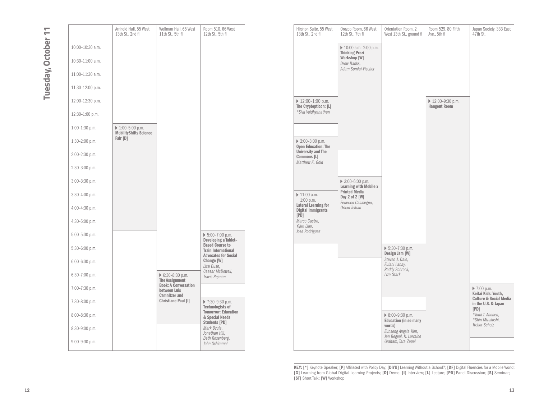# Tuesday, October 11 **Tuesday, October 11**

|                  | Arnhold Hall, 55 West<br>13th St., 2nd fl                        | Wollman Hall, 65 West<br>11th St., 5th fl                           | Room 510, 66 West<br>12th St., 5th fl                                               | Hirshon Suite, 55 West<br>13th St., 2nd fl                       | Orozco Room, 66 West<br>12th St., 7th fl                       | Orientation Room,<br>West 13th St., gro            |
|------------------|------------------------------------------------------------------|---------------------------------------------------------------------|-------------------------------------------------------------------------------------|------------------------------------------------------------------|----------------------------------------------------------------|----------------------------------------------------|
| 10:00-10:30 a.m. |                                                                  |                                                                     |                                                                                     |                                                                  | $\triangleright$ 10:00 a.m.-2:00 p.m.<br><b>Thinking Prezi</b> |                                                    |
| 10:30-11:00 a.m. |                                                                  |                                                                     |                                                                                     |                                                                  | Workshop [W]<br>Drew Banks,<br>Adam Somlai-Fischer             |                                                    |
| 11:00-11:30 a.m. |                                                                  |                                                                     |                                                                                     |                                                                  |                                                                |                                                    |
| 11:30-12:00 p.m. |                                                                  |                                                                     |                                                                                     |                                                                  |                                                                |                                                    |
| 12:00-12:30 p.m. |                                                                  |                                                                     |                                                                                     | $\triangleright$ 12:00-1:00 p.m.<br>The Cryptopticon: [L]        |                                                                |                                                    |
| 12:30-1:00 p.m.  |                                                                  |                                                                     |                                                                                     | *Siva Vaidhyanathan                                              |                                                                |                                                    |
| $1:00-1:30$ p.m. | $\triangleright$ 1:00-5:00 p.m.<br><b>MobilityShifts Science</b> |                                                                     |                                                                                     |                                                                  |                                                                |                                                    |
| $1:30-2:00$ p.m. | Fair [D]                                                         |                                                                     |                                                                                     | ▶ 2:00-3:00 p.m.<br><b>Open Education: The</b>                   |                                                                |                                                    |
| 2:00-2:30 p.m.   |                                                                  |                                                                     |                                                                                     | <b>University and The</b><br>Commons [L]                         |                                                                |                                                    |
| $2:30-3:00$ p.m. |                                                                  |                                                                     |                                                                                     | Matthew K. Gold                                                  |                                                                |                                                    |
| $3:00-3:30$ p.m. |                                                                  |                                                                     |                                                                                     |                                                                  | $\triangleright$ 3:00-6:00 p.m.<br>Learning with Mobile x      |                                                    |
| $3:30-4:00$ p.m. |                                                                  |                                                                     |                                                                                     | $\triangleright$ 11:00 a.m.-<br>$1:00$ p.m.                      | <b>Printed Media</b><br>Day 2 of 2 [W]                         |                                                    |
| 4:00-4:30 p.m.   |                                                                  |                                                                     |                                                                                     | <b>Lateral Learning for</b><br><b>Digital Immigrants</b><br>[PD] | Federico Casalegno,<br>Orkan Telhan                            |                                                    |
| $4:30-5:00$ p.m. |                                                                  |                                                                     |                                                                                     | Marco Castro,<br>Yijun Liao,                                     |                                                                |                                                    |
| $5:00-5:30$ p.m. |                                                                  |                                                                     | $\triangleright$ 5:00-7:00 p.m.<br>Developing a Tablet-                             | José Rodriguez                                                   |                                                                |                                                    |
| $5:30-6:00$ p.m. |                                                                  |                                                                     | <b>Based Course to</b><br><b>Train International</b><br><b>Advocates for Social</b> |                                                                  |                                                                | $\triangleright$ 5:30-7:30 p.m.<br>Design Jam [W]  |
| $6:00-6:30$ p.m. |                                                                  |                                                                     | Change [W]<br>Lisa Dush,                                                            |                                                                  |                                                                | Steven J. Dale,<br>Eulani Labay,<br>Roddy Schrock, |
| $6:30-7:00$ p.m. |                                                                  | ▶ 6:30-8:30 p.m.<br><b>The Assignment</b>                           | Ceasar McDowell,<br>Travis Rejman                                                   |                                                                  |                                                                | Liza Stark                                         |
| 7:00-7:30 p.m.   |                                                                  | <b>Book: A Conversation</b><br>between Luis<br><b>Camnitzer and</b> |                                                                                     |                                                                  |                                                                |                                                    |
| 7:30-8:00 p.m.   |                                                                  | Christiane Paul [1]                                                 | ▶ 7:30-9:30 p.m.<br><b>Technologists of</b>                                         |                                                                  |                                                                |                                                    |
| 8:00-8:30 p.m.   |                                                                  |                                                                     | <b>Tomorrow: Education</b><br>& Special Needs                                       |                                                                  |                                                                | ▶ 8:00-9:30 p.m.<br>Education (in so               |
| $8:30-9:00$ p.m. |                                                                  |                                                                     | Students [PD]<br>Mark Dzula,<br>Jonathan Hill,                                      |                                                                  |                                                                | words)<br>Eunsong Angela K                         |
| $9:00-9:30$ p.m. |                                                                  |                                                                     | Beth Rosenberg,<br>John Schimmel                                                    |                                                                  |                                                                | Jen Begeal, K. Lor<br>Graham, Tara Zep             |
|                  |                                                                  |                                                                     |                                                                                     |                                                                  |                                                                |                                                    |

|                  | Arnhold Hall, 55 West<br>13th St., 2nd fl                        | Wollman Hall, 65 West<br>11th St., 5th fl   | Room 510, 66 West<br>12th St., 5th fl                                               | Hirshon Suite, 55 West<br>13th St., 2nd fl                    | Orozco Room, 66 West<br>12th St., 7th fl        | Orientation Room, 2<br>West 13th St., ground fl  | Room 529, 80 Fifth<br>Ave., 5th fl       | Japan Society, 333 East<br>47th St.                      |
|------------------|------------------------------------------------------------------|---------------------------------------------|-------------------------------------------------------------------------------------|---------------------------------------------------------------|-------------------------------------------------|--------------------------------------------------|------------------------------------------|----------------------------------------------------------|
| 10:00-10:30 a.m. |                                                                  |                                             |                                                                                     |                                                               | ▶ 10:00 a.m.-2:00 p.m.<br><b>Thinking Prezi</b> |                                                  |                                          |                                                          |
| 10:30-11:00 a.m. |                                                                  |                                             |                                                                                     |                                                               | Workshop [W]<br>Drew Banks,                     |                                                  |                                          |                                                          |
| 11:00-11:30 a.m. |                                                                  |                                             |                                                                                     |                                                               | Adam Somlai-Fischer                             |                                                  |                                          |                                                          |
| 11:30-12:00 p.m. |                                                                  |                                             |                                                                                     |                                                               |                                                 |                                                  |                                          |                                                          |
| 12:00-12:30 p.m. |                                                                  |                                             |                                                                                     | $\triangleright$ 12:00-1:00 p.m.<br>The Cryptopticon: [L]     |                                                 |                                                  | ▶ 12:00-9:30 p.m.<br><b>Hangout Room</b> |                                                          |
| 12:30-1:00 p.m.  |                                                                  |                                             |                                                                                     | *Siva Vaidhyanathan                                           |                                                 |                                                  |                                          |                                                          |
| 1:00-1:30 p.m.   | $\triangleright$ 1:00-5:00 p.m.<br><b>MobilityShifts Science</b> |                                             |                                                                                     |                                                               |                                                 |                                                  |                                          |                                                          |
| 1:30-2:00 p.m.   | Fair [D]                                                         |                                             |                                                                                     | $\triangleright$ 2:00-3:00 p.m.<br><b>Open Education: The</b> |                                                 |                                                  |                                          |                                                          |
| 2:00-2:30 p.m.   |                                                                  |                                             |                                                                                     | <b>University and The</b><br>Commons [L]                      |                                                 |                                                  |                                          |                                                          |
| 2:30-3:00 p.m.   |                                                                  |                                             |                                                                                     | Matthew K. Gold                                               |                                                 |                                                  |                                          |                                                          |
| 3:00-3:30 p.m.   |                                                                  |                                             |                                                                                     |                                                               | ▶ 3:00-6:00 p.m.<br>Learning with Mobile x      |                                                  |                                          |                                                          |
| 3:30-4:00 p.m.   |                                                                  |                                             |                                                                                     | $\triangleright$ 11:00 a.m.-<br>$1:00$ p.m.                   | <b>Printed Media</b><br>Day 2 of 2 [W]          |                                                  |                                          |                                                          |
| 4:00-4:30 p.m.   |                                                                  |                                             |                                                                                     | Lateral Learning for<br><b>Digital Immigrants</b>             | Federico Casalegno,<br>Orkan Telhan             |                                                  |                                          |                                                          |
| 4:30-5:00 p.m.   |                                                                  |                                             |                                                                                     | [PD]<br>Marco Castro,<br>Yijun Liao,                          |                                                 |                                                  |                                          |                                                          |
| 5:00-5:30 p.m.   |                                                                  |                                             | ▶ 5:00-7:00 p.m.<br>Developing a Tablet-                                            | José Rodriguez                                                |                                                 |                                                  |                                          |                                                          |
| 5:30-6:00 p.m.   |                                                                  |                                             | <b>Based Course to</b><br><b>Train International</b><br><b>Advocates for Social</b> |                                                               |                                                 | ▶ 5:30-7:30 p.m.<br>Design Jam [W]               |                                          |                                                          |
| 6:00-6:30 p.m.   |                                                                  |                                             | Change [W]<br>Lisa Dush,                                                            |                                                               |                                                 | Steven J. Dale,<br>Eulani Labay,                 |                                          |                                                          |
| 6:30-7:00 p.m.   |                                                                  | $6:30-8:30 p.m.$<br><b>The Assignment</b>   | Ceasar McDowell,<br>Travis Rejman                                                   |                                                               |                                                 | Roddy Schrock,<br>Liza Stark                     |                                          |                                                          |
| 7:00-7:30 p.m.   |                                                                  | <b>Book: A Conversation</b><br>between Luis |                                                                                     |                                                               |                                                 |                                                  |                                          | ▶ 7:00 p.m.<br>Keitai Kids: Youth,                       |
| 7:30-8:00 p.m.   |                                                                  | <b>Camnitzer and</b><br>Christiane Paul [I] | ▶ 7:30-9:30 p.m.<br><b>Technologists of</b>                                         |                                                               |                                                 |                                                  |                                          | <b>Culture &amp; Social Media</b><br>in the U.S. & Japan |
| 8:00-8:30 p.m.   |                                                                  |                                             | <b>Tomorrow: Education</b><br>& Special Needs                                       |                                                               |                                                 | ▶ 8:00-9:30 p.m.<br><b>Education (in so many</b> |                                          | [PD]<br>*Tomi T. Ahonen,<br>*Shin Mizukoshi,             |
| 8:30-9:00 p.m.   |                                                                  |                                             | Students [PD]<br>Mark Dzula,<br>Jonathan Hill,                                      |                                                               |                                                 | words)<br>Eunsong Angela Kim,                    |                                          | Trebor Scholz                                            |
| 9:00-9:30 p.m.   |                                                                  |                                             | Beth Rosenberg,<br>John Schimmel                                                    |                                                               |                                                 | Jen Begeal, K. Lorraine<br>Graham, Tara Zepel    |                                          |                                                          |
|                  |                                                                  |                                             |                                                                                     |                                                               |                                                 |                                                  |                                          |                                                          |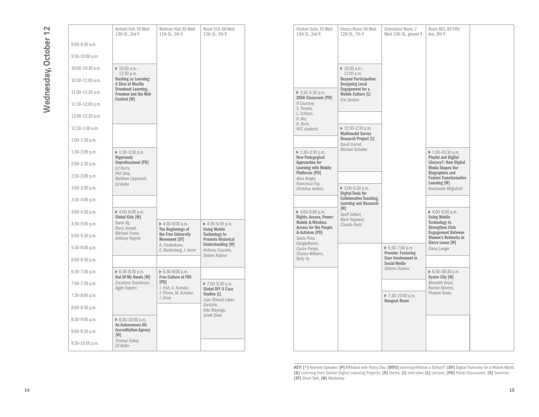|                    | Arnhold Hall, 55 West<br>13th St., 2nd fl                               | Wollman Hall, 65 West<br>11th St., 5th fl      | Room 510, 66 West<br>12th St., 5th fl                  | Hirshon Suite, 55 West<br>13th St., 2nd fl                   | Orozco Room, 66 West<br>12th St., 7th fl                            | Orientation Room, :<br>West 13th St., grou                   |
|--------------------|-------------------------------------------------------------------------|------------------------------------------------|--------------------------------------------------------|--------------------------------------------------------------|---------------------------------------------------------------------|--------------------------------------------------------------|
| $9:00-9:30$ a.m.   |                                                                         |                                                |                                                        |                                                              |                                                                     |                                                              |
| $9:30-10:00$ a.m.  |                                                                         |                                                |                                                        |                                                              |                                                                     |                                                              |
| 10:00-10:30 a.m.   | $\triangleright$ 10:00 a.m.-<br>12:30 p.m.                              |                                                |                                                        |                                                              | $\triangleright$ 10:00 a.m.-<br>12:00 p.m.                          |                                                              |
| 10:30-11:00 a.m.   | <b>Hacking as Learning:</b><br>A Slice of Mozilla                       |                                                |                                                        |                                                              | <b>Beyond Participation:</b><br><b>Designing Local</b>              |                                                              |
| 11:00-11:30 a.m.   | <b>Drumbeat Learning,</b><br>Freedom and the Web<br><b>Festival [W]</b> |                                                |                                                        | ▶ 3:30-5:30 p.m.<br>2050 Classroom [PD]                      | <b>Engagement for a</b><br><b>Mobile Culture [L]</b><br>Eric Gordon |                                                              |
| 11:30-12:00 p.m.   |                                                                         |                                                |                                                        | P. Courtney,<br>S. Pereira,                                  |                                                                     |                                                              |
| 12:00-12:30 p.m.   |                                                                         |                                                |                                                        | L. Schloss.<br>H. Wei,<br>K. Koch,                           | ▶ 12:30-2:30 p.m.<br><b>Multimodal Survey</b>                       |                                                              |
| 12:30-1:00 a.m.    |                                                                         |                                                |                                                        | <b>NYC</b> students                                          |                                                                     |                                                              |
| $1:00-1:30$ p.m.   |                                                                         |                                                |                                                        |                                                              | <b>Research Project [L]</b><br>David Carroll.                       |                                                              |
| $1:30-2:00$ p.m.   | $\triangleright$ 1:30-3:30 p.m.<br><b>Rigorously</b>                    |                                                |                                                        | $\triangleright$ 1:30-3:30 p.m.<br><b>New Pedagogical</b>    | Michael Schober                                                     |                                                              |
| 2:00-2:30 p.m.     | Unprofessional [PD]<br>Liz Barry,                                       |                                                |                                                        | <b>Approaches for</b><br><b>Learning with Mobile</b>         |                                                                     |                                                              |
| 2:30-3:00 p.m.     | Phil Silva,<br>Matthew Lippincott,                                      |                                                |                                                        | <b>Platforms [PD]</b><br>Alisa Berger,<br>Francesca Fay,     |                                                                     |                                                              |
| $3:00-3:30$ p.m.   | Ed Keller                                                               |                                                |                                                        | Christina Jenkins                                            | ▶ $3:00-5:30$ p.m.<br><b>Digital Tools for</b>                      |                                                              |
| $3:30-4:00$ p.m.   |                                                                         |                                                |                                                        |                                                              | <b>Collaborative Teaching,</b><br><b>Learning and Research</b>      |                                                              |
| 4:00-4:30 p.m.     | ▶ 4:00-6:00 p.m.<br>Global Kids [W]                                     |                                                |                                                        | $\triangleright$ 4:00-6:00 p.m.<br>Rights, Access, Power:    | [W]<br>Geoff Gilbert,<br>Mark Hayward,                              |                                                              |
| $4:30 - 5:00$ p.m. | Daria Ng,<br>Barry Joseph,                                              | ▶ 4:30-6:00 p.m.<br>The Beginnings of          | $\triangleright$ 4:30-6:30 p.m.<br><b>Using Mobile</b> | <b>Mobile &amp; Wireless</b><br><b>Access for the People</b> | Claudia Roda                                                        |                                                              |
| 5:00-5:30 p.m.     | Michael Foster,<br>Anthony Negron                                       | the Free University<br>Movement [ST]           | <b>Technology to</b><br><b>Promote Historical</b>      | & Activism [PD]<br>Seeta Peña,                               |                                                                     |                                                              |
| 5:30-6:00 p.m.     |                                                                         | K. Frederiksen.<br>E. Kluitenberg, J. Varon    | <b>Understanding [W]</b><br>Anthony Cocciolo,          | Gangadharan,<br>Carlos Pareja,<br>Chance Williams,           |                                                                     | $\triangleright$ 5:30-7:00 p.m.<br><b>Provoke: Fostering</b> |
| $6:00 - 6:30$ p.m. |                                                                         |                                                | Debbie Rabina                                          | <b>Betty Yu</b>                                              |                                                                     | <b>User Involvement i</b><br><b>Social Media</b>             |
| 6:30-7:00 p.m.     | ▶ 6:30-8:30 p.m.<br>Out Of My Hands [W]                                 | ▶ 6:30-8:00 p.m.<br><b>Free Culture at TNS</b> |                                                        |                                                              |                                                                     | Shlomo Dubnov                                                |
| 7:00-7:30 p.m.     | Zvezdana Stoimirovic,<br>Aggie Toppins                                  | [PD]<br>J. Irish, A. Kamdar,                   | ▶ 7:00-9:30 p.m.<br><b>Global DIY U Case</b>           |                                                              |                                                                     |                                                              |
| 7:30-8:00 p.m.     | J. Pirone, M. Schober,<br>J. Drew                                       |                                                | Studies [L]<br>Juan Manuel Lopez                       |                                                              |                                                                     | ▶ 7:30-10:00 p.m.<br><b>Hangout Room</b>                     |
| 8:00-8:30 p.m.     |                                                                         |                                                | Garduño,<br>Kiko Mayorga,                              |                                                              |                                                                     |                                                              |
| 8:30-9:00 p.m.     | ▶ $8:30-10:00$ p.m.<br>An Autonomous Alt.                               |                                                | Janek Sowa                                             |                                                              |                                                                     |                                                              |
| 9:00-9:30 p.m.     | <b>Accreditation Agency</b><br>[W]                                      |                                                |                                                        |                                                              |                                                                     |                                                              |
| $9:30-10:00$ p.m.  | Thomas Gokey,<br>Ed Keller                                              |                                                |                                                        |                                                              |                                                                     |                                                              |

| Hirshon Suite, 55 West<br>13th St., 2nd fl                                                                                                                                                                     | Orozco Room, 66 West<br>12th St., 7th fl                                                                                          | Orientation Room, 2<br>West 13th St., ground fl                                                     | Room 802, 80 Fifth<br>Ave., 8th fl                                                                                                                                                       |  |
|----------------------------------------------------------------------------------------------------------------------------------------------------------------------------------------------------------------|-----------------------------------------------------------------------------------------------------------------------------------|-----------------------------------------------------------------------------------------------------|------------------------------------------------------------------------------------------------------------------------------------------------------------------------------------------|--|
|                                                                                                                                                                                                                | $\triangleright$ 10:00 a.m.-<br>$12:00$ p.m.<br><b>Beyond Participation:</b><br><b>Designing Local</b><br><b>Engagement for a</b> |                                                                                                     |                                                                                                                                                                                          |  |
| $\triangleright$ 3:30-5:30 p.m.<br>2050 Classroom [PD]<br>P. Courtney,<br>S. Pereira,<br>L. Schloss.                                                                                                           | <b>Mobile Culture [L]</b><br>Eric Gordon                                                                                          |                                                                                                     |                                                                                                                                                                                          |  |
| H. Wei.<br>K. Koch,<br><b>NYC</b> students                                                                                                                                                                     | ▶ 12:30-2:30 p.m.<br><b>Multimodal Survey</b><br><b>Research Project [L]</b><br>David Carroll.                                    |                                                                                                     |                                                                                                                                                                                          |  |
| ▶ 1:30-3:30 p.m.<br><b>New Pedagogical</b><br><b>Approaches for</b><br><b>Learning with Mobile</b><br>Platforms [PD]                                                                                           | Michael Schober                                                                                                                   |                                                                                                     | $\triangleright$ 1:30-03:30 p.m.<br><b>Playful and Digital</b><br>Literacy?: How Digital<br><b>Media Shapes Our</b><br><b>Biographies and</b>                                            |  |
| Alisa Berger,<br>Francesca Fay,<br>Christina Jenkins                                                                                                                                                           | $\triangleright$ 3:00-5:30 p.m.<br><b>Digital Tools for</b><br><b>Collaborative Teaching,</b>                                     |                                                                                                     | <b>Fosters Transformative</b><br>Learning [W]<br>Konstantin Mitgutsch                                                                                                                    |  |
| ▶ 4:00-6:00 p.m.<br>Rights, Access, Power:<br><b>Mobile &amp; Wireless</b><br><b>Access for the People</b><br>& Activism [PD]<br>Seeta Peña.<br>Gangadharan,<br>Carlos Pareja,<br>Chance Williams,<br>Betty Yu | <b>Learning and Research</b><br><b>IMI</b><br>Geoff Gilbert.<br>Mark Hayward,<br>Claudia Roda                                     |                                                                                                     | $\triangleright$ 4:00-6:00 p.m.<br><b>Using Mobile</b><br><b>Technology to</b><br><b>Strengthen Civic</b><br><b>Engagement Between</b><br><b>Women's Networks in</b><br>Sierra Leone [W] |  |
|                                                                                                                                                                                                                |                                                                                                                                   | $\triangleright$ 5:30-7:00 p.m.<br>Provoke: Fostering<br><b>User Involvement in</b><br>Social Media | Elana Langer                                                                                                                                                                             |  |
|                                                                                                                                                                                                                |                                                                                                                                   | Shlomo Dubnov                                                                                       | 6:30-08:30 p.m.<br>Oyster City [W]<br>Meredith Drum,<br>Rachel Stevens.                                                                                                                  |  |
|                                                                                                                                                                                                                |                                                                                                                                   | ▶ 7:30-10:00 p.m.<br><b>Hangout Room</b>                                                            | <b>Phoenix Toews</b>                                                                                                                                                                     |  |
|                                                                                                                                                                                                                |                                                                                                                                   |                                                                                                     |                                                                                                                                                                                          |  |
|                                                                                                                                                                                                                |                                                                                                                                   |                                                                                                     |                                                                                                                                                                                          |  |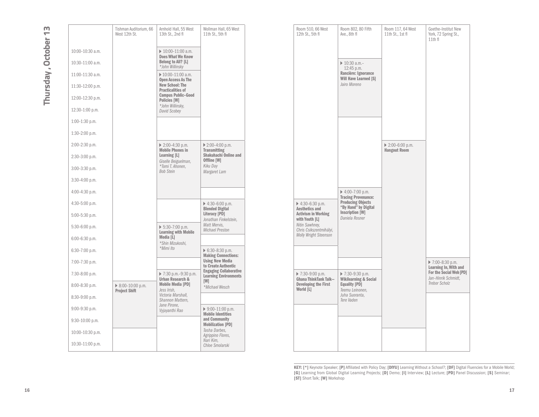# Thursday, October 13 **Thursday , October 13**

|                  | Tishman Auditorium, 66<br>West 12th St.                  | Arnhold Hall, 55 West<br>13th St., 2nd fl                         | Wollman Hall, 65 West<br>11th St., 5th fl                                        | Room 510, 66 West<br>12th St., 5th fl             | Room 802, 80 Fifth<br>Ave., 8th fl                            | Room 117, 64 West<br>11th St., 1st fl                  | Goethe-Institut N<br>York, 72 Spring St<br>$11th$ fl |
|------------------|----------------------------------------------------------|-------------------------------------------------------------------|----------------------------------------------------------------------------------|---------------------------------------------------|---------------------------------------------------------------|--------------------------------------------------------|------------------------------------------------------|
| 10:00-10:30 a.m. |                                                          | $\triangleright$ 10:00-11:00 a.m.                                 |                                                                                  |                                                   |                                                               |                                                        |                                                      |
| 10:30-11:00 a.m. |                                                          | <b>Does What We Know</b><br>Belong to All? [L]<br>*John Willinsky |                                                                                  |                                                   | $\triangleright$ 10:30 a.m.-<br>12:45 p.m.                    |                                                        |                                                      |
| 11:00-11:30 a.m. |                                                          | $\triangleright$ 10:00-11:00 a.m.<br>Open Access As The           |                                                                                  |                                                   | Rancière: Ignorance<br>Will Have Learned [S]                  |                                                        |                                                      |
| 11:30-12:00 p.m. |                                                          | <b>New School: The</b><br><b>Practicalities of</b>                |                                                                                  |                                                   | Jairo Moreno                                                  |                                                        |                                                      |
| 12:00-12:30 p.m. |                                                          | <b>Campus Public-Good</b><br>Policies [W]                         |                                                                                  |                                                   |                                                               |                                                        |                                                      |
| 12:30-1:00 p.m.  |                                                          | *John Willinsky,<br>David Scobey                                  |                                                                                  |                                                   |                                                               |                                                        |                                                      |
| 1:00-1:30 p.m.   |                                                          |                                                                   |                                                                                  |                                                   |                                                               |                                                        |                                                      |
| $1:30-2:00$ p.m. |                                                          |                                                                   |                                                                                  |                                                   |                                                               |                                                        |                                                      |
| 2:00-2:30 p.m.   |                                                          | $\triangleright$ 2:00-4:30 p.m.<br><b>Mobile Phones in</b>        | ▶ 2:00-4:00 p.m.<br><b>Transmitting</b>                                          |                                                   |                                                               | $\triangleright$ 2:00-6:00 p.m.<br><b>Hangout Room</b> |                                                      |
| 2:30-3:00 p.m.   |                                                          | Learning [L]<br>Giselle Beiguelman,                               | Shakuhachi Online and<br>Offline [W]                                             |                                                   |                                                               |                                                        |                                                      |
| 3:00-3:30 p.m.   |                                                          | *Tomi T. Ahonen,<br><b>Bob Stein</b>                              | Kiku Day<br>Margaret Lam                                                         |                                                   |                                                               |                                                        |                                                      |
| $3:30-4:00$ p.m. |                                                          |                                                                   |                                                                                  |                                                   |                                                               |                                                        |                                                      |
| 4:00-4:30 p.m.   |                                                          |                                                                   |                                                                                  |                                                   | $\triangleright$ 4:00-7:00 p.m.<br><b>Tracing Provenance:</b> |                                                        |                                                      |
| 4:30-5:00 p.m.   |                                                          |                                                                   | $\triangleright$ 4:30-6:00 p.m.<br><b>Blended Digital</b>                        | $\triangleright$ 4:30-6:30 p.m.<br>Aesthetics and | <b>Producing Objects</b><br>"By Hand" by Digital              |                                                        |                                                      |
| 5:00-5:30 p.m.   |                                                          |                                                                   | Literacy [PD]<br>Jonathan Finkelstein,<br>Matt Mervis,<br><b>Michael Preston</b> | <b>Activism in Working</b><br>with Youth [L]      | <b>Inscription [W]</b><br>Daniela Rosner                      |                                                        |                                                      |
| 5:30-6:00 p.m.   |                                                          | $\triangleright$ 5:30-7:00 p.m.<br><b>Learning with Mobile</b>    |                                                                                  | Nitin Sawhney,<br>Chris Csikszentmihályi,         |                                                               |                                                        |                                                      |
| 6:00-6:30 p.m.   |                                                          | Media [L]<br>*Shin Mizukoshi,                                     |                                                                                  | <b>Molly Wright Steenson</b>                      |                                                               |                                                        |                                                      |
| 6:30-7:00 p.m.   |                                                          | *Mimi Ito                                                         | ▶ 6:30-8:30 p.m.<br><b>Making Connections:</b>                                   |                                                   |                                                               |                                                        |                                                      |
| 7:00-7:30 p.m.   |                                                          |                                                                   | <b>Using New Media</b><br>to Create Authentic                                    |                                                   |                                                               |                                                        | $\triangleright$ 7:00-8:30 p.m.<br>Learning In, With |
| 7:30-8:00 p.m.   |                                                          | ▶ 7:30 p.m.-9:30 p.m.<br><b>Urban Research &amp;</b>              | <b>Engaging Collaborative</b><br><b>Learning Environments</b>                    | ▶ 7:30-9:00 p.m.<br><b>Ghana ThinkTank Talk-</b>  | ▶ 7:30-9:30 p.m.<br><b>Wikilearning &amp; Social</b>          |                                                        | <b>For the Social We</b><br>Jan-Hinrik Schmid        |
| 8:00-8:30 p.m.   | $\triangleright$ 8:00-10:00 p.m.<br><b>Project Shift</b> | <b>Mobile Media [PD]</b><br>Jess Irish.                           | [W]<br>*Michael Wesch                                                            | <b>Developing the First</b><br>World [L]          | Equality [PD]<br>Teemu Leinonen,                              |                                                        | Trebor Scholz                                        |
| 8:30-9:00 p.m.   |                                                          | Victoria Marshall,<br>Shannon Mattern,                            |                                                                                  |                                                   | Juha Suoranta,<br>Tere Vaden                                  |                                                        |                                                      |
| $9:00-9:30$ p.m. |                                                          | Jane Pirone,<br>Vyjayanthi Rao                                    | $9:00-11:00 p.m.$<br><b>Mobile Identities</b>                                    |                                                   |                                                               |                                                        |                                                      |
| 9:30-10:00 p.m.  |                                                          |                                                                   | and Community<br><b>Mobilization [PD]</b>                                        |                                                   |                                                               |                                                        |                                                      |
| 10:00-10:30 p.m. |                                                          |                                                                   | Tasha Darbes,<br>Agrippino Flores,                                               |                                                   |                                                               |                                                        |                                                      |
| 10:30-11:00 p.m. |                                                          |                                                                   | Nari Kim,<br>Chloe Smolarski                                                     |                                                   |                                                               |                                                        |                                                      |
|                  |                                                          |                                                                   |                                                                                  |                                                   |                                                               |                                                        |                                                      |

| Room 510, 66 West<br>12th St., 5th fl                                                                                                                           | Room 802, 80 Fifth<br>Ave., 8th fl<br>$\triangleright$ 10:30 a.m.-<br>12:45 p.m.<br>Rancière: Ignorance<br>Will Have Learned [S]<br>Jairo Moreno              | Room 117, 64 West<br>11th St., 1st fl   | Goethe-Institut New<br>York, 72 Spring St.,<br>11th fl                 |
|-----------------------------------------------------------------------------------------------------------------------------------------------------------------|---------------------------------------------------------------------------------------------------------------------------------------------------------------|-----------------------------------------|------------------------------------------------------------------------|
| ▶ 4:30-6:30 p.m.<br><b>Aesthetics and</b><br><b>Activism in Working</b><br>with Youth [L]<br>Nitin Sawhney,<br>Chris Csikszentmihályi,<br>Molly Wright Steenson | $\triangleright$ 4:00-7:00 p.m.<br><b>Tracing Provenance:</b><br><b>Producing Objects</b><br>"By Hand" by Digital<br><b>Inscription [W]</b><br>Daniela Rosner | ▶ 2:00-6:00 p.m.<br><b>Hangout Room</b> |                                                                        |
|                                                                                                                                                                 |                                                                                                                                                               |                                         | ▶ 7:00-8:30 p.m.<br>Learning In, With and                              |
| ▶ 7:30-9:00 p.m.<br><b>Ghana ThinkTank Talk-</b><br><b>Developing the First</b><br>World [L]                                                                    | ▶ 7:30-9:30 p.m.<br><b>Wikilearning &amp; Social</b><br>Equality [PD]<br>Teemu Leinonen.<br>Juha Suoranta,<br>Tere Vaden                                      |                                         | For the Social Web [PD]<br>Jan-Hinrik Schmidt,<br><b>Trebor Scholz</b> |
|                                                                                                                                                                 |                                                                                                                                                               |                                         |                                                                        |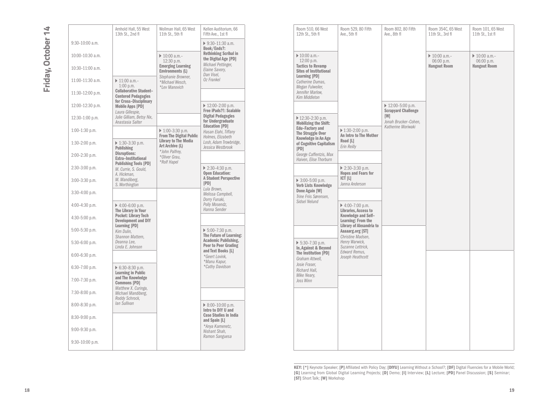|                   | Arnhold Hall, 55 West<br>13th St., 2nd fl                             | Wollman Hall, 65 West<br>11th St., 5th fl                         | Kellen Auditorium, 66<br>Fifth Ave., 1st fl                        | Room 510, 66 West<br>12th St., 5th fl                            | Room 529, 80 F<br>Ave., 5th fl                                    |
|-------------------|-----------------------------------------------------------------------|-------------------------------------------------------------------|--------------------------------------------------------------------|------------------------------------------------------------------|-------------------------------------------------------------------|
| $9:30-10:00$ a.m. |                                                                       |                                                                   | $9:30-11:30$ a.m.<br>Book/Ends?:                                   |                                                                  |                                                                   |
| 10:00-10:30 a.m.  |                                                                       | $\triangleright$ 10:00 a.m.-<br>12:30 p.m.                        | <b>Rethinking Scribal in</b><br>the Digital Age [PD]               | $\triangleright$ 10:00 a.m.-<br>12:00 p.m.                       |                                                                   |
| 10:30-11:00 a.m.  |                                                                       | <b>Emerging Learning</b><br><b>Environments (L)</b>               | Michael Pettinger,<br>Elaine Savory,<br>Dan Visel,                 | <b>Tactics to Revamp</b><br><b>Sites of Institutional</b>        |                                                                   |
| 11:00-11:30 a.m.  | $\triangleright$ 11:00 a.m.-<br>$1:00$ p.m.                           | Stephanie Browner,<br>*Michael Wesch.<br>*Lev Manovich            | Oz Frankel                                                         | Learning [PD]<br>Catherine Dumas.<br>Megan Fulweiler,            |                                                                   |
| 11:30-12:00 p.m.  | <b>Collaborative Student-</b><br><b>Centered Pedagogies</b>           |                                                                   |                                                                    | Jennifer Marlow,<br>Kim Middleton                                |                                                                   |
| 12:00-12:30 p.m.  | for Cross-Disciplinary<br><b>Mobile Apps [PD]</b><br>Laura Gillespie, |                                                                   | ▶ 12:00-2:00 p.m.<br>Free iPads?!: Scalable                        |                                                                  |                                                                   |
| 12:30-1:00 p.m.   | Julie Gilliam, Betsy Nix,<br>Anastasia Salter                         |                                                                   | <b>Digital Pedagogies</b><br>for Undergraduate                     | $\triangleright$ 12:30-2:30 p.m.<br><b>Mobilizing the Shift:</b> |                                                                   |
| $1:00-1:30$ p.m.  |                                                                       | $\triangleright$ 1:00-3:30 p.m.<br><b>From The Digital Public</b> | <b>Education [PD]</b><br>Hasan Elahi, Tiffany<br>Holmes, Elizabeth | Edu-Factory and<br>The Struggle Over<br>Knowledge in An Age      | $\triangleright$ 1:30-2:00 p.m<br>An Intro to The                 |
| $1:30-2:00$ p.m.  | $\triangleright$ 1:30-3:30 p.m.<br>Publishing                         | Library to The Media<br>Art Archive (L)                           | Losh, Adam Trowbridge,<br>Jessica Westbrook                        | of Cognitive Capitalism<br><b>IPDI</b>                           | Road [L]<br>Erin Reilly                                           |
| 2:00-2:30 p.m.    | <b>Disruptions:</b><br>Extra-Institutional                            | *John Palfrey,<br>*Oliver Grau,<br>*Rolf Hapel                    |                                                                    | George Caffentzis, Max<br>Haiven, Elise Thorburn                 |                                                                   |
| $2:30-3:00$ p.m.  | <b>Publishing Tools [PD]</b><br>M. Currie, S. Gould.<br>A. Hickman,   |                                                                   | ▶ 2:30-4:30 p.m.<br><b>Open Education:</b>                         |                                                                  | $\triangleright$ 2:30-3:30 p.<br><b>Hopes and Fear</b>            |
| $3:00-3:30$ p.m.  | M. Mandiberg,<br>S. Worthington                                       |                                                                   | <b>A Student Perspective</b><br>[PD]                               | $\triangleright$ 3:00-5:00 p.m.<br>Verb Lists Knowledge          | CT L <br>Janna Anderson                                           |
| $3:30-4:00$ p.m.  |                                                                       |                                                                   | Lula Brown,<br>Melissa Campbell,<br>Dorry Funaki,                  | Done Again [W]<br>Trine Friis Sørensen.                          |                                                                   |
| $4:00-4:30$ p.m.  | $\triangleright$ 4:00-6:00 p.m.<br>The Library in Your                |                                                                   | Polly Mosendz,<br>Hanna Sender                                     | Sidsel Nelund                                                    | $\triangleright$ 4:00-7:00 p.<br>Libraries, Acces                 |
| $4:30-5:00$ p.m.  | Pocket: Library Tech<br><b>Development and DIY</b><br>Learning [PD]   |                                                                   |                                                                    |                                                                  | Knowledge and<br><b>Learning: From</b><br><b>Library of Alexa</b> |
| 5:00-5:30 p.m.    | Kim Dulin,<br>Shannon Mattern,                                        |                                                                   | $\triangleright$ 5:00-7:30 p.m.<br>The Future of Learning:         |                                                                  | Aaaaarg.org [S]<br>Christine Madse                                |
| $5:30-6:00$ p.m.  | Deanna Lee.<br>Linda E. Johnson                                       |                                                                   | <b>Academic Publishing,</b><br>Peer to Peer Grading                | $\triangleright$ 5:30-7:30 p.m.<br>In, Against & Beyond          | Henry Warwick.<br>Suzanne Lettric                                 |
| $6:00-6:30$ p.m.  |                                                                       |                                                                   | and Text Books [L]<br>*Geert Lovink.<br>*Manu Kapur,               | The Institution [PD]<br>Graham Attwell,                          | Edward Remus,<br>Joseph Heathco                                   |
| $6:30-7:00$ p.m.  | $\triangleright$ 6:30-8:30 p.m.<br><b>Learning in Public</b>          |                                                                   | *Cathy Davidson                                                    | Josie Fraser.<br>Richard Hall,                                   |                                                                   |
| 7:00-7:30 p.m.    | and The Knowledge<br><b>Commons [PD]</b>                              |                                                                   |                                                                    | Mike Neary,<br>Joss Winn                                         |                                                                   |
| 7:30-8:00 p.m.    | Matthew X. Curinga,<br>Michael Mandiberg,<br>Roddy Schrock,           |                                                                   |                                                                    |                                                                  |                                                                   |
| $8:00-8:30$ p.m.  | lan Sullivan                                                          |                                                                   | $\triangleright$ 8:00-10:00 p.m.<br>Intro to DIY U and             |                                                                  |                                                                   |
| $8:30-9:00$ p.m.  |                                                                       |                                                                   | <b>Case Studies in India</b><br>and Spain [L]                      |                                                                  |                                                                   |
| $9:00-9:30$ p.m.  |                                                                       |                                                                   | *Anya Kamenetz,<br>Nishant Shah.<br>Ramon Sanguesa                 |                                                                  |                                                                   |
| 9:30-10:00 p.m.   |                                                                       |                                                                   |                                                                    |                                                                  |                                                                   |

|                   | Arnhold Hall, 55 West<br>13th St., 2nd fl                                             | Wollman Hall, 65 West<br>11th St., 5th fl                         | Kellen Auditorium, 66<br>Fifth Ave., 1st fl                        |                                                  | Room 510, 66 West<br>12th St., 5th fl                                      | Room 529, 80 Fifth<br>Ave., 5th fl                                           | Room 802, 80 Fifth<br>Ave., 8th fl              | Room 354C, 65 West<br>11th St., 3rd fl       | Room 101, 65 West<br>11th St., 1st fl        |
|-------------------|---------------------------------------------------------------------------------------|-------------------------------------------------------------------|--------------------------------------------------------------------|--------------------------------------------------|----------------------------------------------------------------------------|------------------------------------------------------------------------------|-------------------------------------------------|----------------------------------------------|----------------------------------------------|
| $9:30-10:00$ a.m. |                                                                                       |                                                                   | $9:30-11:30$ a.m.<br>Book/Ends?:                                   |                                                  |                                                                            |                                                                              |                                                 |                                              |                                              |
| 10:00-10:30 a.m.  |                                                                                       | $\triangleright$ 10:00 a.m.-<br>12:30 p.m.                        | <b>Rethinking Scribal in</b><br>the Digital Age [PD]               |                                                  | $\triangleright$ 10:00 a.m.-<br>12:00 p.m.                                 |                                                                              |                                                 | $\triangleright$ 10:00 a.m.-<br>$06:00$ p.m. | $\triangleright$ 10:00 a.m.-<br>$06:00$ p.m. |
| 10:30-11:00 a.m.  |                                                                                       | <b>Emerging Learning</b><br><b>Environments (L)</b>               | Michael Pettinger,<br>Elaine Savory,<br>Dan Visel,                 |                                                  | <b>Tactics to Revamp</b><br><b>Sites of Institutional</b><br>Learning [PD] |                                                                              |                                                 | <b>Hangout Room</b>                          | <b>Hangout Room</b>                          |
| 11:00-11:30 a.m.  | $\triangleright$ 11:00 a.m.-<br>$1:00$ p.m.                                           | Stephanie Browner,<br>*Michael Wesch.<br>*Lev Manovich            | Oz Frankel                                                         |                                                  | Catherine Dumas.<br>Megan Fulweiler,                                       |                                                                              |                                                 |                                              |                                              |
| 11:30-12:00 p.m.  | <b>Collaborative Student-</b><br><b>Centered Pedagogies</b><br>for Cross-Disciplinary |                                                                   |                                                                    |                                                  | Jennifer Marlow,<br>Kim Middleton                                          |                                                                              |                                                 |                                              |                                              |
| 12:00-12:30 p.m.  | <b>Mobile Apps [PD]</b><br>Laura Gillespie,                                           |                                                                   | $\triangleright$ 12:00-2:00 p.m.<br>Free iPads?!: Scalable         |                                                  |                                                                            |                                                                              | ▶ 12:00-5:00 p.m.<br><b>Scrapyard Challenge</b> |                                              |                                              |
| 12:30-1:00 p.m.   | Julie Gilliam, Betsy Nix,<br>Anastasia Salter                                         |                                                                   | <b>Digital Pedagogies</b><br>for Undergraduate                     |                                                  | $\triangleright$ 12:30-2:30 p.m.<br><b>Mobilizing the Shift:</b>           |                                                                              | [W]<br>Jonah Brucker-Cohen,                     |                                              |                                              |
| $1:00-1:30$ p.m.  |                                                                                       | $\triangleright$ 1:00-3:30 p.m.<br><b>From The Digital Public</b> | <b>Education [PD]</b><br>Hasan Elahi, Tiffany<br>Holmes, Elizabeth |                                                  | Edu-Factory and<br>The Struggle Over<br>Knowledge in An Age                | $\triangleright$ 1:30-2:00 p.m.<br>An Intro to The Mother                    | Katherine Moriwaki                              |                                              |                                              |
| 1:30-2:00 p.m.    | $\triangleright$ 1:30-3:30 p.m.<br><b>Publishing</b>                                  | Library to The Media<br>Art Archive (L)<br>*John Palfrev.         | Losh, Adam Trowbridge,<br>Jessica Westbrook                        |                                                  | of Cognitive Capitalism<br>[PD]                                            | Road [L]<br>Erin Reilly                                                      |                                                 |                                              |                                              |
| 2:00-2:30 p.m.    | <b>Disruptions:</b><br>Extra-Institutional<br><b>Publishing Tools [PD]</b>            | *Oliver Grau,<br>*Rolf Hapel                                      |                                                                    | George Caffentzis, Max<br>Haiven, Elise Thorburn |                                                                            |                                                                              |                                                 |                                              |                                              |
| 2:30-3:00 p.m.    | M. Currie, S. Gould,<br>A. Hickman,                                                   |                                                                   | $\triangleright$ 2:30-4:30 p.m.<br><b>Open Education:</b>          |                                                  |                                                                            | ▶ 2:30-3:30 p.m.<br><b>Hopes and Fears for</b>                               |                                                 |                                              |                                              |
| $3:00-3:30$ p.m.  | M. Mandiberg,<br>S. Worthington                                                       |                                                                   | A Student Perspective<br>[PD]<br>Lula Brown,                       |                                                  | $\triangleright$ 3:00-5:00 p.m.<br><b>Verb Lists Knowledge</b>             | CT L <br>Janna Anderson                                                      |                                                 |                                              |                                              |
| 3:30-4:00 p.m.    |                                                                                       |                                                                   | Melissa Campbell,<br>Dorry Funaki,                                 |                                                  | Done Again [W]<br>Trine Friis Sørensen.<br>Sidsel Nelund                   |                                                                              |                                                 |                                              |                                              |
| 4:00-4:30 p.m.    | $\triangleright$ 4:00-6:00 p.m.<br>The Library in Your                                |                                                                   | Polly Mosendz,<br>Hanna Sender                                     |                                                  |                                                                            | $\triangleright$ 4:00-7:00 p.m.<br>Libraries, Access to                      |                                                 |                                              |                                              |
| 4:30-5:00 p.m.    | Pocket: Library Tech<br><b>Development and DIY</b><br>Learning [PD]                   |                                                                   |                                                                    |                                                  |                                                                            | Knowledge and Self-<br>Learning: From the<br><b>Library of Alexandria to</b> |                                                 |                                              |                                              |
| 5:00-5:30 p.m.    | Kim Dulin,<br>Shannon Mattern,                                                        |                                                                   | $\triangleright$ 5:00-7:30 p.m.<br>The Future of Learning:         |                                                  |                                                                            | Aaaaarg.org [ST]<br>Christine Madsen.                                        |                                                 |                                              |                                              |
| 5:30-6:00 p.m.    | Deanna Lee,<br>Linda E. Johnson                                                       |                                                                   | Academic Publishing,<br>Peer to Peer Grading<br>and Text Books [L] |                                                  | $\triangleright$ 5:30-7:30 p.m.<br>In Against & Bevond                     | Henry Warwick,<br>Suzanne Lettrick,<br>Edward Remus,                         |                                                 |                                              |                                              |
| 6:00-6:30 p.m.    |                                                                                       |                                                                   | *Geert Lovink.<br>*Manu Kapur,                                     |                                                  | The Institution [PD]<br>Graham Attwell.<br>Josie Fraser,                   | Joseph Heathcott                                                             |                                                 |                                              |                                              |
| 6:30-7:00 p.m.    | $\triangleright$ 6:30-8:30 p.m.<br>Learning in Public                                 |                                                                   | *Cathy Davidson                                                    |                                                  | Richard Hall,<br>Mike Neary,                                               |                                                                              |                                                 |                                              |                                              |
| 7:00-7:30 p.m.    | and The Knowledge<br><b>Commons [PD]</b><br>Matthew X. Curinga,                       |                                                                   |                                                                    |                                                  | Joss Winn                                                                  |                                                                              |                                                 |                                              |                                              |
| 7:30-8:00 p.m.    | Michael Mandiberg,<br>Roddy Schrock,                                                  |                                                                   |                                                                    |                                                  |                                                                            |                                                                              |                                                 |                                              |                                              |
| 8:00-8:30 p.m.    | lan Sullivan                                                                          |                                                                   | $\triangleright$ 8:00-10:00 p.m.<br>Intro to DIY U and             |                                                  |                                                                            |                                                                              |                                                 |                                              |                                              |
| 8:30-9:00 p.m.    |                                                                                       |                                                                   | <b>Case Studies in India</b><br>and Spain [L]<br>*Anya Kamenetz,   |                                                  |                                                                            |                                                                              |                                                 |                                              |                                              |
| 9:00-9:30 p.m.    |                                                                                       |                                                                   | Nishant Shah,<br>Ramon Sanguesa                                    |                                                  |                                                                            |                                                                              |                                                 |                                              |                                              |
| 9:30-10:00 p.m.   |                                                                                       |                                                                   |                                                                    |                                                  |                                                                            |                                                                              |                                                 |                                              |                                              |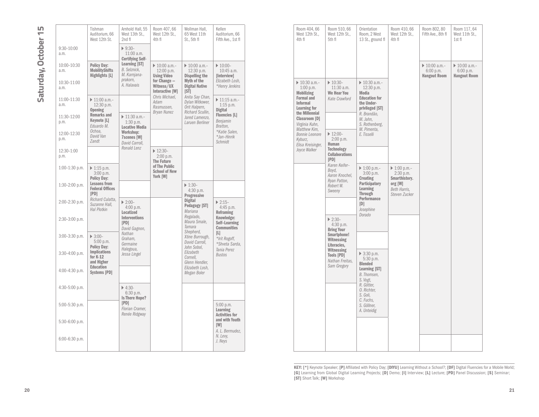|                        | Tishman<br>Auditorium, 66<br>West 12th St.                      | Arnhold Hall, 55<br>West 13th St.,<br>2nd fl                         | Room 407, 66<br>West 12th St.,<br>4th fl                         | Wollman Hall,<br>65 West 11th<br>St., 5th fl                            | Kellen<br>Auditorium, 66<br>Fifth Ave., 1st fl                | Room 404, 66<br>West 12th St.,<br>4th fl                          | Room 510, 66<br>West 12th St.,<br>5th fl                    | Orientation<br>Room, 2 We<br>13 St., grou                    |
|------------------------|-----------------------------------------------------------------|----------------------------------------------------------------------|------------------------------------------------------------------|-------------------------------------------------------------------------|---------------------------------------------------------------|-------------------------------------------------------------------|-------------------------------------------------------------|--------------------------------------------------------------|
| $9:30 - 10:00$<br>a.m. |                                                                 | $9:30-$<br>11:00 a.m.<br><b>Certifying Self-</b>                     |                                                                  |                                                                         |                                                               |                                                                   |                                                             |                                                              |
| 10:00-10:30<br>a.m.    | <b>Policy Day:</b><br><b>MobilityShifts</b><br>Highlights [L]   | Learning [ST]<br><b>B.</b> Selznick.<br>M. Karnjana-                 | $\triangleright$ 10:00 a.m.-<br>12:00 p.m.<br><b>Using Video</b> | $\triangleright$ 10:00 a.m.-<br>12:30 p.m.<br><b>Dispelling the</b>     | $\blacktriangleright$ 10:00-<br>10:45 a.m.<br>[Interview]     |                                                                   |                                                             |                                                              |
| 10:30-11:00<br>a.m.    |                                                                 | prakorn,<br>A. Halavais                                              | for Change -<br>Witness/UX<br>Interactive [W]                    | Myth of the<br><b>Digital Native</b><br>$[ST]$                          | Elizabeth Losh.<br>*Henry Jenkins                             | $\triangleright$ 10:30 a.m.-<br>$1:00$ p.m.<br><b>Mobilizing</b>  | $\triangleright$ 10:30-<br>11:30 a.m.<br><b>We Hear You</b> | $\triangleright$ 10:30 a.n<br>12:30 p.r<br><b>Media</b>      |
| 11:00-11:30<br>a.m.    | $\triangleright$ 11:00 a.m.-<br>12:30 p.m.<br><b>Opening</b>    |                                                                      | Chris Michael,<br>Adam<br>Rasmussen,<br><b>Bryan Nunez</b>       | Anita Say Chan,<br>Dylan Witkower,<br>Orit Halpern,<br>Richard Scullin, | $\triangleright$ 11:15 a.m.-<br>$1:15$ p.m.<br><b>Digital</b> | <b>Formal and</b><br><b>Informal</b><br>Learning for              | Kate Crawford                                               | <b>Education f</b><br>the Under-<br>privileged [             |
| 11:30-12:00<br>p.m.    | <b>Remarks and</b><br>Keynote [L]<br>Eduardo M.                 | $\triangleright$ 11:30 a.m.-<br>$1:30$ p.m.<br><b>Locative Media</b> |                                                                  | Jared Lamenzo.<br>Laruen Berliner                                       | <b>Fluencies [L]</b><br>Benjamin<br>Bratton,                  | the Millennial<br>Classroom [D]<br>Virginia Kuhn,<br>Matthew Kim, |                                                             | R. Brandäo,<br>M. Jahn.<br>S. Rothenbe<br>M. Pimenta,        |
| 12:00-12:30<br>D.m.    | Ochoa.<br>David Van<br>Zandt                                    | Workshop:<br><b>7scenes</b> [W]<br>David Carroll,                    |                                                                  |                                                                         | *Katie Salen,<br>*Jan-Hinrik<br>Schmidt                       | <b>Bonnie Leonore</b><br>Kyburz,<br>Elisa Kreisinger,             | $\triangleright$ 12:00-<br>$2:00$ p.m.<br>Human             | E. Tisselli                                                  |
| 12:30-1:00<br>p.m.     |                                                                 | Ronald Lenz                                                          | $\triangleright$ 12:30-<br>2:00 p.m.<br><b>The Future</b>        |                                                                         |                                                               | Joyce Walker                                                      | Technology<br><b>Collaborations</b><br>[PD]                 |                                                              |
| 1:00-1:30 p.m.         | $\triangleright$ 1:15 p.m.<br>$3:00$ p.m.<br><b>Policy Dav:</b> |                                                                      | of The Public<br><b>School of New</b><br>York [W]                |                                                                         |                                                               |                                                                   | Karen Keifer-<br>Boyd,<br>Aaron Knochel,                    | $\triangleright$ 1:00 p.m.<br>$3:00$ p.m.<br><b>Creating</b> |
| $1:30-2:00$ p.m.       | <b>Lessons from</b><br><b>Federal Offices</b><br>[PD]           |                                                                      |                                                                  | $\triangleright$ 1:30-<br>4:30 p.m.<br>Progressive                      |                                                               |                                                                   | Ryan Patton,<br>Robert W.<br>Sweeny                         | Participator<br>Learning<br>Through                          |
| 2:00-2:30 p.m.         | Richard Culatta,<br>Suzanne Hall,<br>Hal Plotkin                | $\triangleright$ 2:00-<br>4:00 p.m.<br>Locatized                     |                                                                  | <b>Digital</b><br>Pedagogy [ST]<br>Mariana                              | $\triangleright$ 2:15-<br>4:45 p.m.<br>Reframing              |                                                                   |                                                             | Performanc<br>[D]<br>Josephine                               |
| $2:30-3:00$ p.m.       |                                                                 | <b>Interventions</b><br>[PD]<br>David Gagnon,                        |                                                                  | Regalado,<br>Maura Smale.<br>Tamara                                     | Knowledge:<br>Self-Learning<br><b>Communities</b>             |                                                                   | $\triangleright$ 2:30-<br>$4:30$ p.m.<br><b>Bring Your</b>  | Dorado                                                       |
| 3:00-3:30 p.m.         | $\triangleright$ 3:00-<br>5:00 p.m.<br><b>Policy Day:</b>       | Nathan<br>Graham.<br>Germaine                                        |                                                                  | Shepherd,<br>Xtine Burrough,<br>David Carroll,<br>John Sobol,           | $[$<br>*Irit Rogoff,<br>*Shveta Sarda,                        |                                                                   | Smartphone!<br>Witnessing<br>Literacies,                    |                                                              |
| $3:30-4:00$ p.m.       | <b>Implications</b><br>for K-12<br>and Higher                   | Halegoua,<br>Jessa Lingel                                            |                                                                  | Elizabeth<br>Cornell.<br>Glenn Hendler,                                 | Tania Perez<br><b>Bustos</b>                                  |                                                                   | Witnessing<br><b>Tools [PD]</b><br>Nathan Freitas,          | ▶ 3:30 p.m.<br>5:30 p.m.<br><b>Blended</b>                   |
| 4:00-4:30 p.m.         | <b>Education</b><br><b>Systems [PD]</b>                         |                                                                      |                                                                  | Elizabeth Losh,<br>Megan Boler                                          |                                                               |                                                                   | Sam Gregory                                                 | <b>Learning [S</b><br>B. Thomsen,<br>S. Vogt,                |
| 4:30-5:00 p.m.         |                                                                 | $\triangleright$ 4:30-<br>6:30 p.m.<br><b>Is There Hope?</b>         |                                                                  |                                                                         |                                                               |                                                                   |                                                             | R. Götter,<br>O. Richter,<br>S. Goli,                        |
| 5:00-5:30 p.m.         |                                                                 | [PD]<br>Florian Cramer,<br>Renée Ridgway                             |                                                                  |                                                                         | $5:00$ p.m.<br>Learning<br><b>Activities for</b>              |                                                                   |                                                             | C. Fuchs,<br>S. Göllner,<br>A. Unteidig                      |
| 5:30-6:00 p.m.         |                                                                 |                                                                      |                                                                  |                                                                         | and with Youth<br>[W]<br>A. L. Bermudez,                      |                                                                   |                                                             |                                                              |
| $6:00-6:30$ p.m.       |                                                                 |                                                                      |                                                                  |                                                                         | N. Levy,<br>J. Neys                                           |                                                                   |                                                             |                                                              |
|                        |                                                                 |                                                                      |                                                                  |                                                                         |                                                               |                                                                   |                                                             |                                                              |

| Room 404, 66<br>West 12th St<br>4th fl                                                                                                                                                                                            | Room 510, 66<br>West 12th St.,<br>5th fl                                                                                   | Orientation<br>Room. 2 West<br>13 St., ground fl                                                                                                                                               | Room 410, 66<br>West 12th St<br>4th fl                                                                | Room 802, 80<br>Fifth Ave., 8th fl<br>$\triangleright$ 10:00 a.m.-<br>$6:00$ p.m.<br><b>Hangout Room</b> | Room 117, 64<br>West 11th St.,<br>1st fl<br>$\triangleright$ 10:00 a.m.-<br>$6:00$ p.m.<br><b>Hangout Room</b> |
|-----------------------------------------------------------------------------------------------------------------------------------------------------------------------------------------------------------------------------------|----------------------------------------------------------------------------------------------------------------------------|------------------------------------------------------------------------------------------------------------------------------------------------------------------------------------------------|-------------------------------------------------------------------------------------------------------|----------------------------------------------------------------------------------------------------------|----------------------------------------------------------------------------------------------------------------|
| $\triangleright$ 10:30 a.m.-<br>$1:00$ p.m.<br><b>Mobilizing</b><br><b>Formal and</b><br><b>Informal</b><br>Learning for<br>the Millennial<br>Classroom [D]<br>Virginia Kuhn,<br>Matthew Kim,<br><b>Bonnie Leonore</b><br>Kyburz, | $\triangleright$ 10:30-<br>$11:30$ a.m.<br>We Hear You<br>Kate Crawford<br>$\triangleright$ 12:00-<br>$2:00$ p.m.<br>Human | $\triangleright$ 10:30 a.m.-<br>12:30 p.m.<br><b>Media</b><br><b>Education for</b><br>the Under-<br>privileged [ST]<br>R. Brandäo,<br>M. Jahn,<br>S. Rothenberg,<br>M. Pimenta,<br>E. Tisselli |                                                                                                       |                                                                                                          |                                                                                                                |
| Elisa Kreisinger,<br>Joyce Walker                                                                                                                                                                                                 | Technology<br><b>Collaborations</b><br>[PD]                                                                                |                                                                                                                                                                                                |                                                                                                       |                                                                                                          |                                                                                                                |
|                                                                                                                                                                                                                                   | Karen Keifer-<br>Boyd,<br>Aaron Knochel,<br>Ryan Patton,<br>Robert W.<br>Sweeny                                            | $\triangleright$ 1:00 p.m.-<br>$3:00$ p.m.<br>Creating<br>Participatory<br>Learning<br><b>Through</b><br>Performance<br>[D]<br>Josephine                                                       | $\triangleright$ 1:00 p.m.-<br>2:30 p.m.<br>Smarthistory.<br>org [W]<br>Beth Harris.<br>Steven Zucker |                                                                                                          |                                                                                                                |
|                                                                                                                                                                                                                                   | $2:30-$<br>$4:30$ p.m.<br><b>Bring Your</b>                                                                                | Dorado                                                                                                                                                                                         |                                                                                                       |                                                                                                          |                                                                                                                |
|                                                                                                                                                                                                                                   | Smartphone!<br>Witnessing<br>Literacies,                                                                                   |                                                                                                                                                                                                |                                                                                                       |                                                                                                          |                                                                                                                |
|                                                                                                                                                                                                                                   | Witnessing<br><b>Tools [PD]</b><br>Nathan Freitas.<br>Sam Gregory                                                          | $\triangleright$ 3:30 p.m.<br>$5:30$ p.m.<br><b>Blended</b><br>Learning [ST]<br>B. Thomsen,<br>S. Vogt,<br>R. Götter,<br>O. Richter,<br>S. Goli,<br>C. Fuchs,<br>S. Göllner,<br>A. Unteidig    |                                                                                                       |                                                                                                          |                                                                                                                |
|                                                                                                                                                                                                                                   |                                                                                                                            |                                                                                                                                                                                                |                                                                                                       |                                                                                                          |                                                                                                                |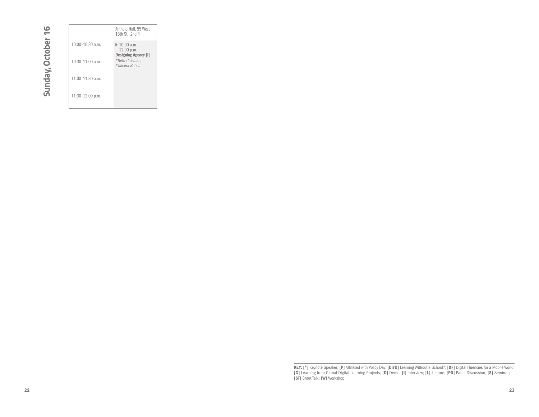Sunday, October 16 **Sunday, October 16**

|                      | Arnhold Hall, 55 West<br>13th St., 2nd fl                                                                       |
|----------------------|-----------------------------------------------------------------------------------------------------------------|
| $10:00 - 10:30$ a.m. | $\triangleright$ 10:00 a.m.-<br>12:00 p.m.<br><b>Designing Agency [I]</b><br>*Beth Coleman,<br>* Iuliana Rotich |
| $10:30-11:00$ a.m.   |                                                                                                                 |
| 11:00-11:30 a.m.     |                                                                                                                 |
| 11:30-12:00 p.m.     |                                                                                                                 |

**KEY: [\*]** Keynote Speaker; **[P]** Affiliated with Policy Day; [DIYU] Learning Without a School?; [DF] Digital Fluencies for a Mobile World;<br>[G] Learning from Global Digital Learning Projects; [D] Demo; [I] Interview; [L] L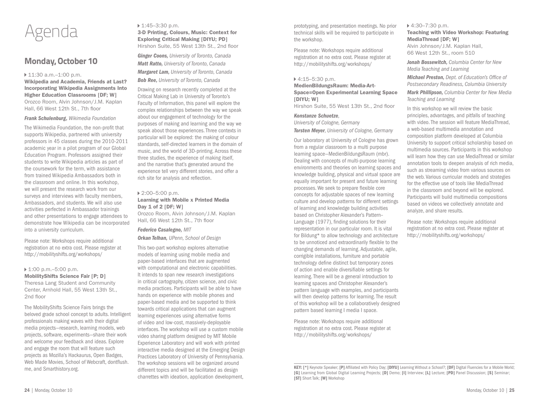

## **Monday, October 10**

#### ▶ 11:30 a.m.-1:00 p.m.

Wikipedia and Academia, Friends at Last? Incorporating Wikipedia Assignments Into Higher Education Classrooms [DF; W] Orozco Room, Alvin Johnson/J.M. Kaplan Hall, 66 West 12th St., 7th floor

#### *Frank Schulenburg, Wikimedia Foundation*

The Wikimedia Foundation, the non-profit that supports Wikipedia, partnered with university professors in 45 classes during the 2010-2011 academic year in a pilot program of our Global Education Program. Professors assigned their students to write Wikipedia articles as part of the coursework for the term, with assistance from trained Wikipedia Ambassadors both in the classroom and online. In this workshop, we will present the research work from our surveys and interviews with faculty members, Ambassadors, and students. We will also use activities perfected in Ambassador trainings and other presentations to engage attendees to demonstrate how Wikipedia can be incorporated into a university curriculum.

Please note: Workshops require additional registration at no extra cost. Please register at http://mobilityshifts.org/workshops/

#### $1:00 \text{ p.m.} - 5:00 \text{ p.m.}$

MobilityShifts Science Fair [P; D] Theresa Lang Student and Community Center, Arnhold Hall, 55 West 13th St., 2nd floor

The MobilityShifts Science Fairs brings the beloved grade school concept to adults. Intelligent professionals making waves with their digital media projects—research, learning models, web projects, software, experiments—share their work and welcome your feedback and ideas. Explore and engage the room that will feature such projects as Mozilla's Hackaurus, Open Badges, Web Made Movies, School of Webcraft, dontflush. me, and Smarthistory.org.

## ▶ 1:45–3:30 p.m.

3-D Printing, Colours, Music: Context for Exploring Critical Making [DIYU; PD] Hirshon Suite, 55 West 13th St., 2nd floor

*Ginger Coons, University of Toronto, Canada Matt Ratto, University of Toronto, Canada Margaret Lam, University of Toronto, Canada Bob Ree, University of Toronto, Canada*

Drawing on research recently completed at the Critical Making Lab in University of Toronto's Faculty of Information, this panel will explore the complex relationships between the way we speak about our engagement of technology for the purposes of making and learning and the way we speak about those experiences. Three contexts in particular will be explored: the making of colour standards, self-directed learners in the domain of music, and the world of 3D-printing. Across these three studies, the experience of making itself, and the narrative that's generated around the experience tell very different stories, and offer a rich site for analysis and reflection.

#### ▶ 2:00–5:00 p.m.

#### Learning with Mobile x Printed Media Day 1 of 2 [DF; W] Orozco Room, Alvin Johnson/J.M. Kaplan

Hall, 66 West 12th St., 7th floor

#### *Federico Casalegno, MIT*

*Orkan Telhan, UPenn, School of Design* 

This two-part workshop explores alternative models of learning using mobile media and paper-based interfaces that are augmented with computational and electronic capabilities. It intends to span new research investigations in critical cartography, citizen science, and civic media practices. Participants will be able to have hands on experience with mobile phones and paper-based media and be supported to think towards critical applications that can augment learning experiences using alternative forms of video and low-cost, massively-deployable interfaces. The workshop will use a custom mobile video sharing platform designed by MIT Mobile Experience Laboratory and will work with printed interactive media designed at the Emerging Design Practices Laboratory of University of Pennsylvania. The workshop sessions will be organized around different topics and will be facilitated as design charrettes with ideation, application development,

prototyping, and presentation meetings. No prior technical skills will be required to participate in the workshop.

Please note: Workshops require additional registration at no extra cost. Please register at http://mobilityshifts.org/workshops/

#### 4:15–5:30 p.m.

#### MedienBildungsRaum: Media-Art-Space=Open Experimental Learning Space [DIYU: W]

Hirshon Suite, 55 West 13th St., 2nd floor

#### *Konstanze Schuetze,*

*University of Cologne, Germany*

*Torsten Meyer, University of Cologne, Germany*

Our laboratory at University of Cologne has grown from a regular classroom to a multi purpose learning space—MedienBildungsRaum (mbr). Dealing with concepts of multi-purpose learning environments and theories on learning spaces and knowledge building, physical and virtual space are equally important for present and future learning processes. We seek to prepare flexible core concepts for adjustable spaces of new learning culture and develop patterns for different settings of learning and knowledge building activities based on Christopher Alexander's Pattern– Language (1977), finding solutions for their representation in our particular room. It is vital for Bildung\* to allow technology and architecture to be unnoticed and extraordinarily flexible to the changing demands of learning. Adjustable, agile, corrigible installations, furniture and portable technology define distinct but temporary zones of action and enable diversifiable settings for learning. There will be a general introduction to learning spaces and Christopher Alexander's pattern language with examples, and participants will then develop patterns for learning. The result of this workshop will be a collaboratively designed pattern based learning I media I space.

Please note: Workshops require additional registration at no extra cost. Please register at http://mobilityshifts.org/workshops/

#### 4:30–7:30 p.m.

Teaching with Video Workshop: Featuring MediaThread [DF; W] Alvin Johnson/J.M. Kaplan Hall,

66 West 12th St., room 510

*Jonah Bossewitch, Columbia Center for New Media Teaching and Learning*

*Michael Preston, Dept. of Education's Office of Postsecondary Readiness, Columbia University*

*Mark Phillipson, Columbia Center for New Media Teaching and Learning*

In this workshop we will review the basic principles, advantages, and pitfalls of teaching with video. The session will feature MediaThread, a web-based multimedia annotation and composition platform developed at Columbia University to support critical scholarship based on multimedia sources. Participants in this workshop will learn how they can use MediaThread or similar annotation tools to deepen analysis of rich media, such as streaming video from various sources on the web. Various curricular models and strategies for the effective use of tools like MediaThread in the classroom and beyond will be explored. Participants will build multimedia compositions based on videos we collectively annotate and analyze, and share results.

Please note: Workshops require additional registration at no extra cost. Please register at http://mobilityshifts.org/workshops/

KEY: [\*] Keynote Speaker; [P] Affiliated with Policy Day; [DIYU] Learning Without a School?; [DF] Digital Fluencies for a Mobile World; [G] Learning from Global Digital Learning Projects; [D] Demo; [I] Interview; [L] Lecture; [PD] Panel Discussion; [S] Seminar; [ST] Short Talk; [W] Workshop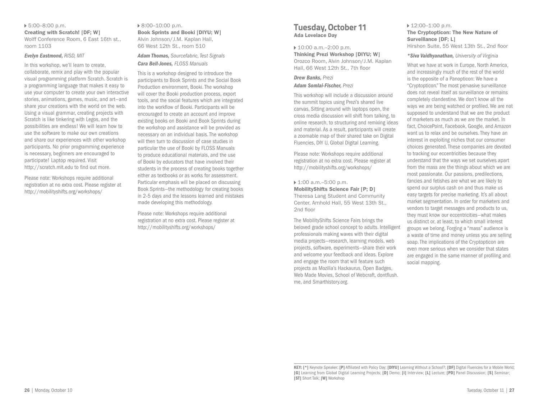## 5:00–8:00 p.m.

Creating with Scratch! [DF; W] Wolff Conference Room, 6 East 16th st., room 1103

#### *Evelyn Eastmond, RISD, MIT*

In this workshop, we'll learn to create, collaborate, remix and play with the popular visual programming platform Scratch. Scratch is a programming language that makes it easy to use your computer to create your own interactive stories, animations, games, music, and art—and share your creations with the world on the web. Using a visual grammar, creating projects with Scratch is like tinkering with Legos, and the possibilities are endless! We will learn how to use the software to make our own creations and share our experiences with other workshop participants. No prior programming experience is necessary, beginners are encouraged to participate! Laptop required. Visit http://scratch.mit.edu to find out more.

Please note: Workshops require additional registration at no extra cost. Please register at http://mobilityshifts.org/workshops/

#### ▶ 8:00–10:00 p.m. Book Sprints and Booki [DIYU; W] Alvin Johnson/J.M. Kaplan Hall, 66 West 12th St., room 510

*Adam Thomas, Sourcefabric, Test Signals Cara Bell-Jones, FLOSS Manuals*

This is a workshop designed to introduce the participants to Book Sprints and the Social Book Production environment, Booki. The workshop will cover the Booki production process, export tools, and the social features which are integrated into the workflow of Booki. Participants will be encouraged to create an account and improve existing books on Booki and Book Sprints during the workshop and assistance will be provided as necessary on an individual basis. The workshop will then turn to discussion of case studies in particular the use of Booki by FLOSS Manuals to produce educational materials, and the use of Booki by educators that have involved their students in the process of creating books together either as textbooks or as works for assessment. Particular emphasis will be placed on discussing Book Sprints—the methodology for creating books in 2-5 days and the lessons learned and mistakes made developing this methodology.

Please note: Workshops require additional registration at no extra cost. Please register at http://mobilityshifts.org/workshops/

### **Tuesday, October 11** Ada Lovelace Day

 10:00 a.m.–2:00 p.m. Thinking Prezi Workshop [DIYU; W] Orozco Room, Alvin Johnson/J.M. Kaplan Hall, 66 West 12th St., 7th floor

#### *Drew Banks, Prezi Adam Somlai-Fischer, Prezi*

This workshop will include a discussion around the summit topics using Prezi's shared live canvas. Sitting around with laptops open, the cross media discussion will shift from talking, to online research, to structuring and remixing ideas and material. As a result, participants will create a zoomable map of their shared take on Digital Fluencies, DIY U, Global Digital Learning.

Please note: Workshops require additional registration at no extra cost. Please register at http://mobilityshifts.org/workshops/

#### 1:00 a.m.–5:00 p.m. MobilityShifts Science Fair [P; D] Theresa Lang Student and Community Center, Arnhold Hall, 55 West 13th St., 2nd floor

The MobilityShifts Science Fairs brings the beloved grade school concept to adults. Intelligent professionals making waves with their digital media projects—research, learning models, web projects, software, experiments—share their work and welcome your feedback and ideas. Explore and engage the room that will feature such projects as Mozilla's Hackaurus, Open Badges, Web Made Movies, School of Webcraft, dontflush. me, and Smarthistory.org.

## $12:00-1:00$  p.m.

#### The Cryptopticon: The New Nature of Surveillance [DF; L] Hirshon Suite, 55 West 13th St., 2nd floor

#### *\*Siva Vaidhyanathan, University of Virginia*

What we have at work in Europe, North America, and increasingly much of the rest of the world is the opposite of a Panopticon: We have a "Cryptopticon." The most pervasive surveillance does not reveal itself as surveillance or remains completely clandestine. We don't know all the ways we are being watched or profiled. We are not supposed to understand that we are the product of marketers as much as we are the market. In fact, ChoicePoint, Facebook, Google, and Amazon want us to relax and be ourselves. They have an interest in exploiting niches that our consumer choices generated. These companies are devoted to tracking our eccentricities because they understand that the ways we set ourselves apart from the mass are the things about which we are most passionate. Our passions, predilections, fancies and fetishes are what we are likely to spend our surplus cash on and thus make us easy targets for precise marketing. It's all about market segmentation. In order for marketers and vendors to target messages and products to us, they must know our eccentricities—what makes us distinct or, at least, to which small interest groups we belong. Forging a "mass" audience is a waste of time and money unless you are selling soap. The implications of the Cryptopticon are even more serious when we consider that states are engaged in the same manner of profiling and social mapping.

KEY: [\*] Keynote Speaker; [P] Affiliated with Policy Day; [DIYU] Learning Without a School?; [DF] Digital Fluencies for a Mobile World; [G] Learning from Global Digital Learning Projects; [D] Demo; [I] Interview; [L] Lecture; [PD] Panel Discussion; [S] Seminar; [ST] Short Talk; [W] Workshop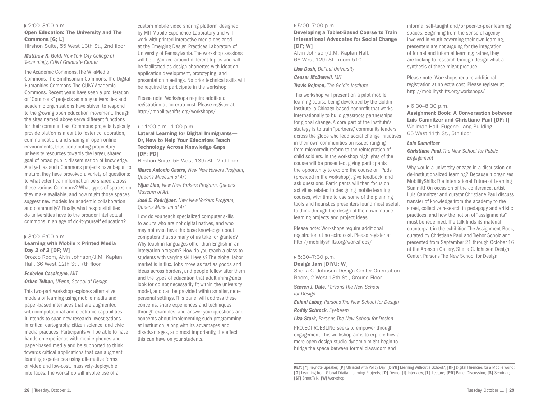#### 2:00–3:00 p.m.

#### Open Education: The University and The Commons [G; L]

Hirshon Suite, 55 West 13th St., 2nd floor

*Matthew K. Gold, New York City College of Technology, CUNY Graduate Center*

The Academic Commons. The WikiMedia Commons. The Smithsonian Commons. The Digital Humanities Commons. The CUNY Academic Commons. Recent years have seen a proliferation of "Commons" projects as many universities and academic organizations have striven to respond to the growing open education movement. Though the sites named above serve different functions for their communities, Commons projects typically provide platforms meant to foster collaboration, communication, and sharing in open online environments, thus contributing proprietary university resources towards the larger, shared goal of broad public dissemination of knowledge. And yet, as such Commons projects have begun to mature, they have provoked a variety of questions: to what extent can information be shared across these various Commons? What types of spaces do they make available, and how might those spaces suggest new models for academic collaboration and community? Finally, what responsibilities do universities have to the broader intellectual commons in an age of do-it-yourself education?

#### 3:00–6:00 p.m.

#### Learning with Mobile x Printed Media Day 2 of 2 [DF; W]

Orozco Room, Alvin Johnson/J.M. Kaplan Hall, 66 West 12th St., 7th floor

#### *Federico Casalegno, MIT*

#### *Orkan Telhan, UPenn, School of Design*

This two-part workshop explores alternative models of learning using mobile media and paper-based interfaces that are augmented with computational and electronic capabilities. It intends to span new research investigations in critical cartography, citizen science, and civic media practices. Participants will be able to have hands on experience with mobile phones and paper-based media and be supported to think towards critical applications that can augment learning experiences using alternative forms of video and low-cost, massively-deployable interfaces. The workshop will involve use of a

custom mobile video sharing platform designed by MIT Mobile Experience Laboratory and will work with printed interactive media designed at the Emerging Design Practices Laboratory of University of Pennsylvania. The workshop sessions will be organized around different topics and will be facilitated as design charrettes with ideation, application development, prototyping, and presentation meetings. No prior technical skills will be required to participate in the workshop.

Please note: Workshops require additional registration at no extra cost. Please register at http://mobilityshifts.org/workshops/

#### ▶ 11:00 a.m.-1:00 p.m.

#### Lateral Learning for Digital Immigrants— Or, How to Help Your Educators Teach Technology Across Knowledge Gaps [DF; PD]

Hirshon Suite, 55 West 13th St., 2nd floor

*Marco Antonio Castro, New New Yorkers Program, Queens Museum of Art*

*Yijun Liao, New New Yorkers Program, Queens Museum of Art*

*José E. Rodriguez, New New Yorkers Program, Queens Museum of Art*

How do you teach specialized computer skills to adults who are not digital natives, and who may not even have the base knowledge about computers that so many of us take for granted? Why teach in languages other than English in an integration program? How do you teach a class to students with varying skill levels? The global labor market is in flux. Jobs move as fast as goods and ideas across borders, and people follow after them and the types of education that adult immigrants look for do not necessarily fit within the university model, and can be provided within smaller, more personal settings. This panel will address these concerns, share experiences and techniques through examples, and answer your questions and concerns about implementing such programming at institution, along with its advantages and disadvantages, and most importantly, the effect this can have on your students.

#### 5:00–7:00 p.m.

Developing a Tablet-Based Course to Train International Advocates for Social Change  $[DF: W]$ 

Alvin Johnson/J.M. Kaplan Hall, 66 West 12th St., room 510

*Lisa Dush, DePaul University*

*Ceasar McDowell, MIT*

*Travis Rejman, The Goldin Institute*

This workshop will present on a pilot mobile learning course being developed by the Goldin Institute, a Chicago-based nonprofit that works internationally to build grassroots partnerships for global change. A core part of the Institute's strategy is to train "partners," community leaders across the globe who lead social change initiatives in their own communities on issues ranging from microcredit reform to the reintegration of child soldiers. In the workshop highlights of the course will be presented, giving participants the opportunity to explore the course on iPads (provided in the workshop), give feedback, and ask questions. Participants will then focus on activities related to designing mobile learning courses, with time to use some of the planning tools and heuristics presenters found most useful, to think through the design of their own mobile learning projects and project ideas.

Please note: Workshops require additional registration at no extra cost. Please register at http://mobilityshifts.org/workshops/

#### 5:30–7:30 p.m.

#### Design Jam [DIYU; W]

Sheila C. Johnson Design Center Orientation Room, 2 West 13th St., Ground Floor

*Steven J. Dale, Parsons The New School for Design* 

*Eulani Labay, Parsons The New School for Design Roddy Schrock, Eyebeam* 

*Liza Stark, Parsons The New School for Design* 

PROJECT ROEBLING seeks to empower through engagement. This workshop aims to explore how a more open design-studio dynamic might begin to bridge the space between formal classroom and

Please note: Workshops require additional registration at no extra cost. Please register at http://mobilityshifts.org/workshops/

#### 6:30–8:30 p.m.

Assignment Book: A Conversation between Luis Camnitzer and Christiane Paul [DF; I] Wollman Hall, Eugene Lang Building, 65 West 11th St., 5th floor

#### *Luis Camnitzer*

*Christiane Paul, The New School for Public Engagement* 

Why would a university engage in a discussion on de-institutionalized learning? Because it organizes MobilityShifts The International Future of Learning Summit! On occasion of the conference, artist Luis Camnitzer and curator Christiane Paul discuss transfer of knowledge from the academy to the street, collective research in pedagogy and artistic practices, and how the notion of "assignments" must be redefined. The talk finds its material counterpart in the exhibition The Assignment Book, curated by Christiane Paul and Trebor Scholz and presented from September 21 through October 16 at the Aronson Gallery, Sheila C. Johnson Design Center, Parsons The New School for Design.

informal self-taught and/or peer-to-peer learning spaces. Beginning from the sense of agency involved in youth governing their own learning, presenters are not arguing for the integration of formal and informal learning; rather, they are looking to research through design what a synthesis of these might produce.

KEY: [\*] Keynote Speaker; [P] Affiliated with Policy Day; [DIYU] Learning Without a School?; [DF] Digital Fluencies for a Mobile World; [G] Learning from Global Digital Learning Projects; [D] Demo; [I] Interview; [L] Lecture; [PD] Panel Discussion; [S] Seminar; [ST] Short Talk; [W] Workshop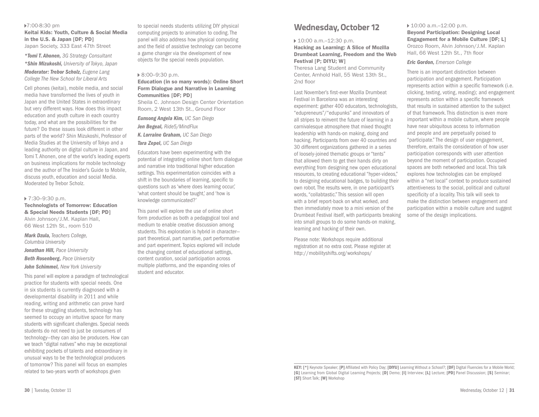#### 7:00-8:30 pm Keitai Kids: Youth, Culture & Social Media in the U.S. & Japan [DF; PD] Japan Society, 333 East 47th Street

*\*Tomi T. Ahonen, 3G Strategy Consultant \*Shin Mizukoshi, University of Tokyo, Japan Moderator: Trebor Scholz, Eugene Lang College The New School for Liberal Arts*

Cell phones (keitai), mobile media, and social media have transformed the lives of youth in Japan and the United States in extraordinary but very different ways. How does this impact education and youth culture in each country today, and what are the possibilities for the future? Do these issues look different in other parts of the world? Shin Mizukoshi, Professor of Media Studies at the University of Tokyo and a leading authority on digital culture in Japan, and Tomi T. Ahonen, one of the world's leading experts on business implications for mobile technology and the author of The Insider's Guide to Mobile, discuss youth, education and social Media. Moderated by Trebor Scholz.

#### 7:30–9:30 p.m.

Technologists of Tomorrow: Education & Special Needs Students [DF; PD] Alvin Johnson/J.M. Kaplan Hall, 66 West 12th St., room 510

*Mark Dzula, Teachers College, Columbia University* 

*Jonathan Hill, Pace University Beth Rosenberg, Pace University* 

*John Schimmel, New York University* 

This panel will explore a paradigm of technological practice for students with special needs. One in six students is currently diagnosed with a developmental disability in 2011 and while reading, writing and arithmetic can prove hard for these struggling students, technology has seemed to occupy an intuitive space for many students with significant challenges. Special needs students do not need to just be consumers of technology—they can also be producers. How can we teach "digital natives" who may be exceptional exhibiting pockets of talents and extraordinary in unusual ways to be the technological producers of tomorrow? This panel will focus on examples related to two-years worth of workshops given

to special needs students utilizing DIY physical computing projects to animation to coding. The panel will also address how physical computing and the field of assistive technology can become a game changer via the development of new objects for the special needs population.

#### 8:00–9:30 p.m.

Education (in so many words): Online Short Form Dialogue and Narrative in Learning Communities [DF; PD]

Sheila C. Johnson Design Center Orientation Room, 2 West 13th St., Ground Floor

*Eunsong Angela Kim, UC San Diego Jen Begeal, Ride5/MindFlux K. Lorraine Graham, UC San Diego* 

*Tara Zepel, UC San Diego*

Educators have been experimenting with the potential of integrating online short form dialogue and narrative into traditional higher education settings. This experimentation coincides with a shift in the boundaries of learning, specific to questions such as 'where does learning occur,' 'what content should be taught,' and 'how is knowledge communicated?'

This panel will explore the use of online short form production as both a pedagogical tool and medium to enable creative discussion among students. This exploration is hybrid in character part theoretical, part narrative, part performative and part experiment. Topics explored will include the changing context of educational settings, content curation, social participation across multiple platforms, and the expanding roles of student and educator.

## **Wednesday, October 12**

▶ 10:00 a.m.-12:30 p.m.

Hacking as Learning: A Slice of Mozilla Drumbeat Learning, Freedom and the Web Festival [P; DIYU; W]

Theresa Lang Student and Community Center, Arnhold Hall, 55 West 13th St., 2nd floor

Last November's first-ever Mozilla Drumbeat Festival in Barcelona was an interesting experiment: gather 400 educators, technologists, "edupreneurs"/"edupunks" and innovators of all stripes to reinvent the future of learning in a carnivalesque atmosphere that mixed thought leadership with hands-on making, doing and hacking. Participants from over 40 countries and 30 different organizations gathered in a series of loosely-joined thematic groups or "tents" that allowed them to get their hands dirty on everything from designing new open educational resources, to creating educational "hyper-videos," to designing educational badges, to building their own robot. The results were, in one participant's words, "collabtastic." This session will open with a brief report-back on what worked, and then immediately move to a mini version of the Drumbeat Festival itself, with participants breaking into small groups to do some hands-on making, learning and hacking of their own.

Please note: Workshops require additional registration at no extra cost. Please register at http://mobilityshifts.org/workshops/

#### ▶ 10:00 a.m.-12:00 p.m.

Beyond Participation: Designing Local Engagement for a Mobile Culture [DF; L] Orozco Room, Alvin Johnson/J.M. Kaplan Hall, 66 West 12th St., 7th floor

#### *Eric Gordon, Emerson College*

There is an important distinction between participation and engagement. Participation represents action within a specific framework (i.e. clicking, texting, voting, reading); and engagement represents action within a specific framework that results in sustained attention to the subject of that framework. This distinction is even more important within a mobile culture, where people have near ubiquitous access to information and people and are perpetually poised to "participate." The design of user engagement, therefore, entails the consideration of how user participation corresponds with user attention beyond the moment of participation. Occupied spaces are both networked and local. This talk explores how technologies can be employed within a "net local" context to produce sustained attentiveness to the social, political and cultural specificity of a locality. This talk will seek to make the distinction between engagement and participation within a mobile culture and suggest some of the design implications.

KEY: [\*] Keynote Speaker; [P] Affiliated with Policy Day; [DIYU] Learning Without a School?; [DF] Digital Fluencies for a Mobile World; [G] Learning from Global Digital Learning Projects; [D] Demo; [I] Interview; [L] Lecture; [PD] Panel Discussion; [S] Seminar; [ST] Short Talk; [W] Workshop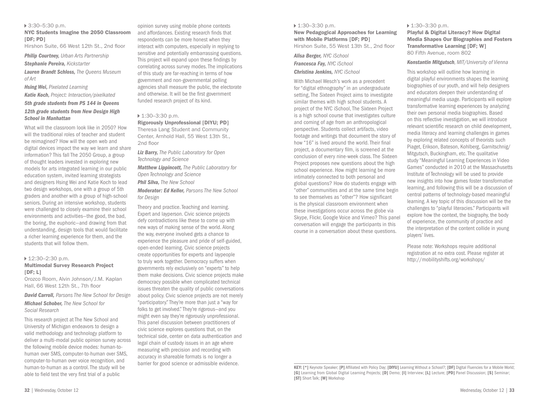#### 3:30–5:30 p.m.

NYC Students Imagine the 2050 Classroom [DF; PD]

Hirshon Suite, 66 West 12th St., 2nd floor

*Philip Courtney, Urban Arts Partnership*

#### *Stephanie Pereira, Kickstarter*

*Lauren Brandt Schloss, The Queens Museum of Art*

*Hsing Wei, Pixelated Learning*

*Katie Koch, Project: Interaction/pixelkated*

#### *5th grade students from PS 144 in Queens 12th grade students from New Design High School in Manhattan*

What will the classroom look like in 2050? How will the traditional roles of teacher and student be reimagined? How will the open web and digital devices impact the way we learn and share information? This fall The 2050 Group, a group of thought leaders invested in exploring new models for arts integrated learning in our public education system, invited learning strategists and designers Hsing Wei and Katie Koch to lead two design workshops, one with a group of 5th graders and another with a group of high-school seniors. During an intensive workshop, students were challenged to closely examine their school environments and activities—the good, the bad, the boring, the euphoric—and drawing from that understanding, design tools that would facilitate a richer learning experience for them, and the students that will follow them.

#### ▶ 12:30–2:30 p.m.

#### Multimodal Survey Research Project  $[DF; L]$

Orozco Room, Alvin Johnson/J.M. Kaplan Hall, 66 West 12th St., 7th floor

*David Carroll, Parsons The New School for Design Michael Schober, The New School for Social Research* 

This research project at The New School and University of Michigan endeavors to design a valid methodology and technology platform to deliver a multi-modal public opinion survey across the following mobile device modes: human-tohuman over SMS, computer-to-human over SMS, computer-to-human over voice recognition, and human-to-human as a control. The study will be able to field test the very first trial of a public

opinion survey using mobile phone contexts and affordances. Existing research finds that respondents can be more honest when they interact with computers, especially in replying to sensitive and potentially embarrassing questions. This project will expand upon these findings by correlating across survey modes. The implications of this study are far-reaching in terms of how government and non-governmental polling agencies shall measure the public, the electorate and otherwise. It will be the first government funded research project of its kind.

#### $1:30-3:30$  p.m.

Rigorously Unprofessional [DIYU; PD] Theresa Lang Student and Community Center, Arnhold Hall, 55 West 13th St., 2nd floor

*Liz Barry, The Public Laboratory for Open Technology and Science* 

*Matthew Lippincott, The Public Laboratory for Open Technology and Science* 

*Phil Silva, The New School* 

*Moderator: Ed Keller, Parsons The New School for Design*

Theory and practice. Teaching and learning. Expert and layperson. Civic science projects defy contradictions like these to come up with new ways of making sense of the world. Along the way, everyone involved gets a chance to experience the pleasure and pride of self-guided, open-ended learning. Civic science projects create opportunities for experts and laypeople to truly work together. Democracy suffers when governments rely exclusively on "experts" to help them make decisions. Civic science projects make democracy possible when complicated technical issues threaten the quality of public conversations about policy. Civic science projects are not merely "participatory." They're more than just a "way for folks to get involved." They're rigorous—and you might even say they're rigorously unprofessional. This panel discussion between practitioners of civic science explores questions that, on the technical side, center on data authentication and legal chain of custody issues in an age where measuring with precision and recording with accuracy in shareable formats is no longer a barrier for good science or admissible evidence.

#### ▶ 1:30–3:30 p.m.

#### New Pedagogical Approaches for Learning with Mobile Platforms [DF; PD]

Hirshon Suite, 55 West 13th St., 2nd floor

*Alisa Berger, NYC iSchool Francesca Fay, NYC iSchool Christina Jenkins, NYC iSchool* 

With Michael Wesch's work as a precedent for "digital ethnography" in an undergraduate setting, The Sixteen Project aims to investigate similar themes with high school students. A project of the NYC iSchool, The Sixteen Project is a high school course that investigates culture and coming of age from an anthropological perspective. Students collect artifacts, video footage and writings that document the story of how "16" is lived around the world. Their final project, a documentary film, is screened at the conclusion of every nine-week class. The Sixteen Project proposes new questions about the high school experience. How might learning be more intimately connected to both personal and global questions? How do students engage with "other" communities and at the same time begin to see themselves as "other"? How significant is the physical classroom environment when these investigations occur across the globe via Skype, Flickr, Google Voice and Vimeo? This panel conversation will engage the participants in this course in a conversation about these questions.

#### ▶ 1:30–3:30 p.m.

Playful & Digital Literacy? How Digital Media Shapes Our Biographies and Fosters Transformative Learning [DF; W] 80 Fifth Avenue, room 802

#### *Konstantin Mitgutsch, MIT/University of Vienna*

This workshop will outline how learning in digital playful environments shapes the learning biographies of our youth, and will help designers and educators deepen their understanding of meaningful media usage. Participants will explore transformative learning experiences by analyzing their own personal media biographies. Based on this reflective investigation, we will introduce relevant scientific research on child development, media literacy and learning challenges in games by exploring related concepts of theorists such Piaget, Erikson, Bateson, Kohlberg, Garnitschnig/ Mitgutsch, Buckingham, etc. The qualitative study "Meaningful Learning Experiences in Video Games" conducted in 2010 at the Massachusetts Institute of Technology will be used to provide new insights into how games foster transformative learning, and following this will be a discussion of central patterns of technology-based meaningful learning. A key topic of this discussion will be the challenges to "playful literacies." Participants will explore how the context, the biography, the body of experience, the community of practice and the interpretation of the content collide in young players' lives.

Please note: Workshops require additional registration at no extra cost. Please register at http://mobilityshifts.org/workshops/

KEY: [\*] Keynote Speaker; [P] Affiliated with Policy Day; [DIYU] Learning Without a School?; [DF] Digital Fluencies for a Mobile World; [G] Learning from Global Digital Learning Projects; [D] Demo; [I] Interview; [L] Lecture; [PD] Panel Discussion; [S] Seminar; [ST] Short Talk; [W] Workshop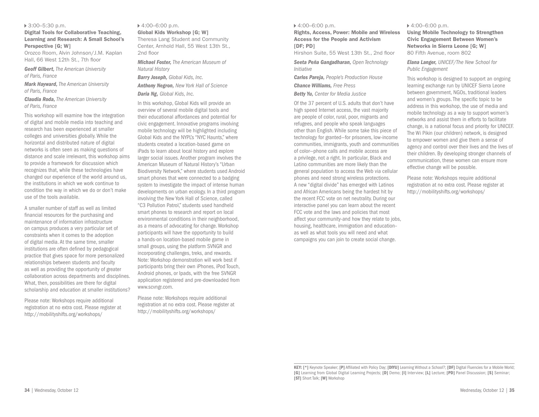#### 3:00–5:30 p.m.

Digital Tools for Collaborative Teaching, Learning and Research: A Small School's Perspective [G: W]

Orozco Room, Alvin Johnson/J.M. Kaplan Hall, 66 West 12th St., 7th floor

*Geoff Gilbert, The American University of Paris, France* 

*Mark Hayward, The American University of Paris, France*

*Claudia Roda, The American University of Paris, France*

This workshop will examine how the integration of digital and mobile media into teaching and research has been experienced at smaller colleges and universities globally. While the horizontal and distributed nature of digital networks is often seen as making questions of distance and scale irrelevant, this workshop aims to provide a framework for discussion which recognizes that, while these technologies have changed our experience of the world around us, the institutions in which we work continue to condition the way in which we do or don't make use of the tools available.

A smaller number of staff as well as limited financial resources for the purchasing and maintenance of information infrastructure on campus produces a very particular set of constraints when it comes to the adoption of digital media. At the same time, smaller institutions are often defined by pedagogical practice that gives space for more personalized relationships between students and faculty as well as providing the opportunity of greater collaboration across departments and disciplines. What, then, possibilities are there for digital scholarship and education at smaller institutions?

Please note: Workshops require additional registration at no extra cost. Please register at http://mobilityshifts.org/workshops/

#### 4:00–6:00 p.m.

Global Kids Workshop [G; W] Theresa Lang Student and Community Center, Arnhold Hall, 55 West 13th St., 2nd floor

*Michael Foster, The American Museum of Natural History* 

*Barry Joseph, Global Kids, Inc. Anthony Negron, New York Hall of Science Daria Ng, Global Kids, Inc.* 

In this workshop, Global Kids will provide an overview of several mobile digital tools and their educational affordances and potential for civic engagement. Innovative programs involving mobile technology will be highlighted including Global Kids and the NYPL's "NYC Haunts," where students created a location-based game on iPads to learn about local history and explore larger social issues. Another program involves the American Museum of Natural History's "Urban Biodiversity Network," where students used Android smart phones that were connected to a badging system to investigate the impact of intense human developments on urban ecology. In a third program involving the New York Hall of Science, called "C3 Pollution Patrol," students used handheld smart phones to research and report on local environmental conditions in their neighborhood, as a means of advocating for change. Workshop participants will have the opportunity to build a hands-on location-based mobile game in small groups, using the platform SVNGR and incorporating challenges, treks, and rewards. Note: Workshop demonstration will work best if participants bring their own iPhones, iPod Touch, Android phones, or Ipads, with the free SVNGR application registered and pre-downloaded from www.scvngr.com.

Please note: Workshops require additional registration at no extra cost. Please register at http://mobilityshifts.org/workshops/

#### 4:00–6:00 p.m.

Rights, Access, Power: Mobile and Wireless Access for the People and Activism [DF: PD]

Hirshon Suite, 55 West 13th St., 2nd floor

*Seeta Peña Gangadharan, Open Technology Initiative* 

*Carlos Pareja, People's Production House Chance Williams, Free Press* 

*Betty Yu, Center for Media Justice* 

Of the 37 percent of U.S. adults that don't have high speed Internet access, the vast majority are people of color, rural, poor, migrants and refugees, and people who speak languages other than English. While some take this piece of technology for granted—for prisoners, low-income communities, immigrants, youth and communities of color—phone calls and mobile access are a privilege, not a right. In particular, Black and Latino communities are more likely than the general population to access the Web via cellular phones and need strong wireless protections. A new "digital divide" has emerged with Latinos and African Americans being the hardest hit by the recent FCC vote on net neutrality. During our interactive panel you can learn about the recent FCC vote and the laws and policies that most affect your community-and how they relate to jobs, housing, healthcare, immigration and education– as well as what tools you will need and what campaigns you can join to create social change.

#### 4:00–6:00 p.m.

Using Mobile Technology to Strengthen Civic Engagement Between Women's Networks in Sierra Leone [G; W] 80 Fifth Avenue, room 802

*Elana Langer, UNICEF/The New School for Public Engagement*

This workshop is designed to support an ongoing learning exchange run by UNICEF Sierra Leone between government, NGOs, traditional leaders and women's groups. The specific topic to be address in this workshop, the use of media and mobile technology as a way to support women's networks and assist them in efforts to facilitate change, is a national focus and priority for UNICEF. The Wi Pikin (our children) network, is designed to empower women and give them a sense of agency and control over their lives and the lives of their children. By developing stronger channels of communication, these women can ensure more effective change will be possible.

Please note: Workshops require additional registration at no extra cost. Please register at http://mobilityshifts.org/workshops/

KEY: [\*] Keynote Speaker; [P] Affiliated with Policy Day; [DIYU] Learning Without a School?; [DF] Digital Fluencies for a Mobile World; [G] Learning from Global Digital Learning Projects; [D] Demo; [I] Interview; [L] Lecture; [PD] Panel Discussion; [S] Seminar; [ST] Short Talk; [W] Workshop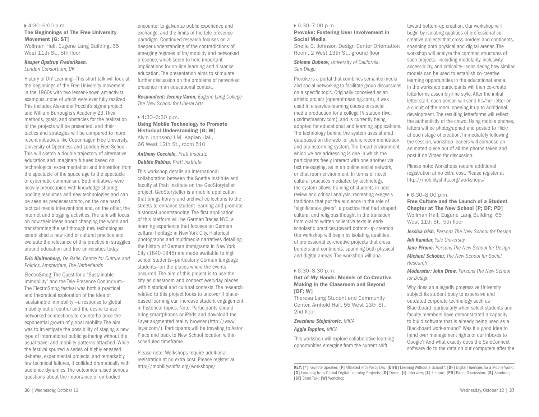#### 4:30–6:00 p.m.

#### The Beginnings of The Free University Movement [G; ST]

Wollman Hall, Eugene Lang Building, 65 West 11th St., 5th floor

#### *Kasper Opstrup Frederiksen,*

*London Consortium, UK* 

History of DIY Learning—This short talk will look at the beginnings of the Free University movement in the 1960s with two lesser-known art-activist examples, none of which were ever fully realized. This includes Alexander Trocchi's sigma project and William Burroughs's Academy 23. Their methods, goals, and obstacles for the realization of the projects will be presented, and their tactics and strategies will be compared to more recent initiatives like Copenhagen Free University, University of Openness and London Free School. This will sketch a double trajectory of alternative education and imaginary futures based on technological experimentation and innovation from the spectacle of the space age to the spectacle of cybernetic communism. Both initiatives were heavily preoccupied with knowledge sharing, pooling resources and new technologies and can be seen as predecessors to, on the one hand, tactical media interventions and, on the other, the internet and blogging activities. The talk will focus on how their ideas about changing the world and transforming the self through new technologies established a new kind of cultural practice and evaluate the relevance of this practice in struggles around education and free universities today.

*Eric Kluitenberg, De Balie, Centre for Culture and Politics, Amsterdam, The Netherlands*

ElectroSmog: The Quest for a "Sustainable Immobility" and the Tele-Presence Conundrum— The ElectroSmog festival was both a practical and theoretical exploration of the idea of 'sustainable immobility'—a response to global mobility out of control and the desire to use networked connections to counterbalance the exponential growth of global mobility. The aim was to investigate the possibility of staging a new type of international public gathering without the usual travel and mobility patterns attached. While the festival spurred a series of highly engaged debates, experimental projects, and remarkably few technical failures, it collided dramatically with audience dynamics. The outcomes raised serious questions about the importance of embodied

encounter to galvanize public experience and exchange, and the limits of the tele-presence paradigm. Continued research focuses on a deeper understanding of the contradictions of emerging regimes of im/mobility and networked presence, which seem to hold important implications for on-line learning and distance education. The presentation aims to stimulate further discussion on the problems of networked presence in an educational context.

*Respondent: Jeremy Varon, Eugene Lang College The New School for Liberal Arts*

#### $4:30-6:30$  p.m.

Using Mobile Technology to Promote Historical Understanding [G; W] Alvin Johnson/J.M. Kaplan Hall, 66 West 12th St., room 510

#### *Anthony Cocciolo, Pratt Institute Debbie Rabina, Pratt Institute*

This workshop details an international collaboration between the Goethe Institute and faculty at Pratt Institute on the GeoStoryteller project. GeoStoryteller is a mobile application that brings library and archival collections to the streets to enhance student learning and promote historical understanding. The first application of this platform will be German Traces NYC, a learning experience that focuses on German cultural heritage in New York City. Historical photographs and multimedia narratives detailing the history of German immigrants in New York City (1840-1945) are made available to high school students—particularly German language students—on the places where the events occurred. The aim of this project is to use the city as classroom and connect everyday places with historical and cultural contexts. The research related to this project looks to uncover if placebased learning can increase student engagement in historical topics. Note: Participants should bring smartphones or iPads and download the Layer augmented reality browser (http://www. layar.com/). Participants will be traveling to Astor Place and back to New School location within scheduled timeframe.

Please note: Workshops require additional registration at no extra cost. Please register at http://mobilityshifts.org/workshops/

#### 6:30–7:00 p.m.

#### Provoke: Fostering User Involvement in Social Media

Sheila C. Johnson Design Center Orientation Room, 2 West 13th St., ground floor

#### *Shlomo Dubnov, University of California, San Diego*

Provoke is a portal that combines semantic media and social networking to facilitate group discussions on a specific topic. Originally conceived as an artistic project (operaofmeaning.com), it was used in a service-learning course on social media production for a college TV station (live. ucsdmsmashtv.com), and is currently being adopted for educational and learning applications. The technology behind the system uses shared databases on the web for public recommendation and brainstorming system. The broad environment which we are addressing is one in which the participants freely interact with one another via text messaging, as in an online social network, or chat room environment. In terms of novel cultural practices mediated by technology, the system allows training of students in peer review and critical analysis, recreating exegesis traditions that put the audience in the role of "significance givers", a practice that had shaped cultural and religious thought in the transition from oral to written collective texts in early scholastic practices.toward bottom-up creation. Our workshop will begin by isolating qualities of professional co-creative projects that cross borders and continents, spanning both physical and digital arenas. The workshop will ana

#### 6:30–8:30 p.m.

#### Out of My Hands: Models of Co-Creative Making in the Classroom and Beyond [DF: W]

Theresa Lang Student and Community Center, Arnhold Hall, 55 West 13th St., 2nd floor

#### *Zvezdana Stojmirovic, MICA*

#### *Aggie Toppins, MICA*

This workshop will explore collaborative learning opportunities emerging from the current shift

toward bottom-up creation. Our workshop will begin by isolating qualities of professional cocreative projects that cross borders and continents, spanning both physical and digital arenas. The workshop will analyze the common structures of such projects—including modularity, inclusivity, accessibility, and criticality—considering how similar models can be used to establish co-creative learning opportunities in the educational arena. In the workshop participants will then co-create letterforms assembly-line style. After the initial letter start, each person will send his/her letter on a circuit of the room, opening it up to additional development. The resulting letterforms will reflect the authenticity of the crowd. Using mobile phones, letters will be photographed and posted to Flickr at each stage of creation. Immediately following the session, workshop leaders will compose an animated piece out of all the photos taken and post it on Vimeo for discussion.

Please note: Workshops require additional registration at no extra cost. Please register at http://mobilityshifts.org/workshops/

#### 6:30–8:00 p.m.

Free Culture and the Launch of a Student Chapter at The New School [P; DF; PD] Wollman Hall, Eugene Lang Building, 65 West 11th St., 5th floor

*Jessica Irish, Parsons The New School for Design Adi Kamdar, Yale University*

*Jane Pirone, Parsons The New School for Design Michael Schober, The New School for Social Research*

*Moderator: John Drew, Parsons The New School for Design*

Why does an allegedly progressive University subject its student body to expensive and outdated corporate technology such as Blackboard, particularly when select students and faculty members have demonstrated a capacity to build software that is already being used as a Blackboard work-around? Was it a good idea to hand over management rights of our inboxes to Google? And what exactly does the SafeConnect software do to the data on our computers after the

KEY: [\*] Keynote Speaker; [P] Affiliated with Policy Day; [DIYU] Learning Without a School?; [DF] Digital Fluencies for a Mobile World; [G] Learning from Global Digital Learning Projects; [D] Demo; [I] Interview; [L] Lecture; [PD] Panel Discussion; [S] Seminar; [ST] Short Talk; [W] Workshop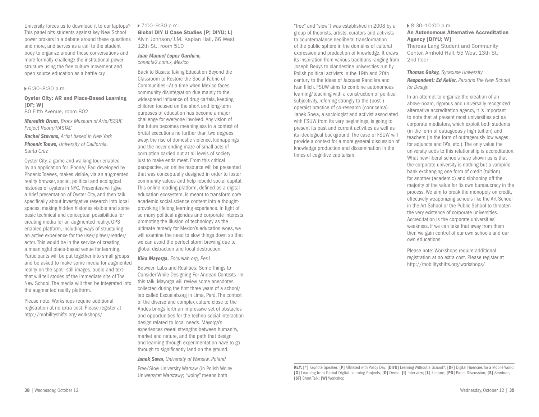University forces us to download it to our laptops? This panel pits students against key New School power brokers in a debate around these questions and more, and serves as a call to the student body to organize around these conversations and more formally challenge the institutional power structure using the free culture movement and open source education as a battle cry.

#### 6:30–8:30 p.m.

#### Oyster City: AR and Place-Based Learning [DF: W]

80 Fifth Avenue, room 802

*Meredith Drum, Bronx Museum of Arts/ISSUE Project Room/HASTAC* 

*Rachel Stevens, Artist based in New York* 

*Phoenix Toews, University of California, Santa Cruz* 

Oyster City, a game and walking tour enabled by an application for iPhone/iPad developed by Phoenix Toewes, makes visible, via an augmented reality browser, social, political and ecological histories of oysters in NYC. Presenters will give a brief presentation of Oyster City, and then talk specifically about investigative research into local spaces, making hidden histories visible and some basic technical and conceptual possibilities for creating media for an augmented reality, GPS enabled platform, including ways of structuring an active experience for the user/player/reader/ actor. This would be in the service of creating a meaningful place-based venue for learning. Participants will be put together into small groups and be asked to make some media for augmented reality on the spot—still images, audio and text that will tell stories of the immediate site of The New School. The media will then be integrated into the augmented reality platform.

Please note: Workshops require additional registration at no extra cost. Please register at http://mobilityshifts.org/workshops/

#### 7:00–9:30 p.m.

Global DIY U Case Studies [P; DIYU; L] Alvin Johnson/J.M. Kaplan Hall, 66 West 12th St., room 510

*Juan Manuel Lopez Garduño, conecta2.com.x, Mexico*

Back to Basics: Taking Education Beyond the Classroom to Restore the Social Fabric of Communities—At a time when Mexico faces community disintegration due mainly to the widespread influence of drug cartels, keeping children focused on the short and long-term purposes of education has become a major challenge for everyone involved. Any vision of the future becomes meaningless in a context of brutal executions no further than two degrees away, the rise of domestic violence, kidnappings and the never ending maze of small acts of corruption carried out at all levels of society just to make ends meet. From this critical perspective, an online resource will be presented that was conceptually designed in order to foster community values and help rebuild social capital. This online reading platform, defined as a digital education ecosystem, is meant to transform core academic social science content into a thoughtprovoking lifelong learning experience. In light of so many political agendas and corporate interests promoting the illusion of technology as the ultimate remedy for Mexico's education woes, we will examine the need to slow things down so that we can avoid the perfect storm brewing due to global distraction and local destruction.

*Kiko Mayorga, Escuelab.org, Perú* 

Between Labs and Realities: Some Things to Consider While Designing For Andean Contexts—In this talk, Mayorga will review some anecdotes collected during the first three years of a school/ lab called Escuelab.org in Lima, Perú. The context of the diverse and complex culture close to the Andes brings forth an impressive set of obstacles and opportunities for the techno-social interaction design related to local needs. Mayorga's experiences reveal strengths between humanity, market and nature, and the path that design and learning through experimentation have to go through to significantly land on the ground.

*Janek Sowa, University of Warsaw, Poland*

Free/Slow University Warsaw (in Polish Wolny Uniwersytet Warszawy; "wolny" means both

"free" and "slow") was established in 2008 by a group of theorists, artists, curators and activists to counterbalance neoliberal transformation of the public sphere in the domains of cultural expression and production of knowledge. It draws its inspiration from various traditions ranging from Joseph Beuys to clandestine universities run by Polish political activists in the 19th and 20th century to the ideas of Jacques Rancière and Ivan Illich. FSUW aims to combine autonomous learning/teaching with a construction of political subjectivity, referring strongly to the (post-) operaist practice of co-research (conricerca). Janek Sowa, a sociologist and activist associated with FSUW from its very beginnings, is going to present its past and current activities as well as its ideological background. The case of FSUW will provide a context for a more general discussion of knowledge production and dissemination in the times of cognitive capitalism.

#### 8:30–10:00 p.m.

#### An Autonomous Alternative Accreditation Agency [DIYU; W]

Theresa Lang Student and Community Center, Arnhold Hall, 55 West 13th St. 2nd floor

*Thomas Gokey, Syracuse University Respondent: Ed Keller, Parsons The New School for Design*

In an attempt to organize the creation of an above-board, rigorous and universally recognized alternative accreditation agency, it is important to note that at present most universities act as corporate mediators, which exploit both students (in the form of outrageously high tuition) and teachers (in the form of outrageously low wages for adiuncts and TA's, etc.). The only value the university adds to this relationship is accreditation. What new liberal schools have shown us is that the corporate university is nothing but a vampiric bank exchanging one form of credit (tuition) for another (academic) and siphoning off the majority of the value for its own bureaucracy in the process. We aim to break the monopoly on credit, effectively weaponizing schools like the Art School in the Art School or the Public School to threaten the very existence of corporate universities. Accreditation is the corporate universities' weakness, if we can take that away from them then we gain control of our own schools and our own educations.

Please note: Workshops require additional registration at no extra cost. Please register at http://mobilityshifts.org/workshops/

KEY: [\*] Keynote Speaker; [P] Affiliated with Policy Day; [DIYU] Learning Without a School?; [DF] Digital Fluencies for a Mobile World; [G] Learning from Global Digital Learning Projects; [D] Demo; [I] Interview; [L] Lecture; [PD] Panel Discussion; [S] Seminar; [ST] Short Talk; [W] Workshop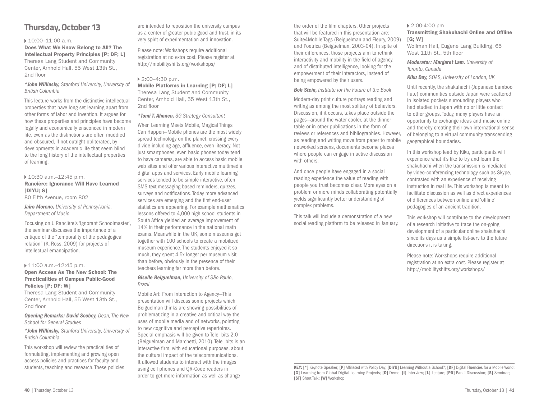## **Thursday, October 13**

#### ▶ 10:00-11:00 a.m.

Does What We Know Belong to All? The Intellectual Property Principles [P; DF; L] Theresa Lang Student and Community Center, Arnhold Hall, 55 West 13th St., 2nd floor

#### *\*John Willinsky, Stanford University, University of British Columbia*

This lecture works from the distinctive intellectual properties that have long set learning apart from other forms of labor and invention. It argues for how these properties and principles have become legally and economically ensconced in modern life, even as the distinctions are often muddied and obscured, if not outright obliterated, by developments in academic life that seem blind to the long history of the intellectual properties of learning.

#### 10:30 a.m.–12:45 p.m. Rancière: Ignorance Will Have Learned [DIYU; S]

80 Fifth Avenue, room 802

#### *Jairo Moreno, University of Pennsylvania, Department of Music*

Focusing on J. Rancière's 'Ignorant Schoolmaster', the seminar discusses the importance of a critique of the "temporality of the pedagogical relation" (K. Ross, 2009) for projects of intellectual emancipation.

#### ▶ 11:00 a.m.-12:45 p.m.

#### Open Access As The New School: The Practicalities of Campus Public-Good Policies [P; DF; W]

Theresa Lang Student and Community Center, Arnhold Hall, 55 West 13th St., 2nd floor

*Opening Remarks: David Scobey, Dean, The New School for General Studies*

*\*John Willinsky, Stanford University, University of British Columbia* 

This workshop will review the practicalities of formulating, implementing and growing open access policies and practices for faculty and students, teaching and research. These policies are intended to reposition the university campus as a center of greater pubic good and trust, in its very spirit of experimentation and innovation.

Please note: Workshops require additional registration at no extra cost. Please register at http://mobilityshifts.org/workshops/

#### 2:00–4:30 p.m.

Mobile Platforms in Learning [P; DF; L] Theresa Lang Student and Community Center, Arnhold Hall, 55 West 13th St., 2nd floor

#### *\*Tomi T. Ahonen, 3G Strategy Consultant*

When Learning Meets Mobile, Magical Things Can Happen—Mobile phones are the most widely spread technology on the planet, crossing every divide including age, affluence, even literacy. Not just smartphones, even basic phones today tend to have cameras, are able to access basic mobile web sites and offer various interactive multimedia digital apps and services. Early mobile learning services tended to be simple interactive, often SMS text messaging based reminders, quizzes, surveys and notifications. Today more advanced services are emerging and the first end-user statistics are appearing. For example mathematics lessons offered to 4,000 high school students in South Africa yielded an average improvement of 14% in their performance in the national math exams. Meanwhile in the UK, some museums got together with 100 schools to create a mobilized museum experience. The students enjoyed it so much, they spent 4.5x longer per museum visit than before, obviously in the presence of their teachers learning far more than before.

#### *Giselle Beiguelman, University of São Paulo, Brazil*

Mobile Art: From Interaction to Agency—This presentation will discuss some projects which Beiguelman thinks are showing possibilities of problematizing in a creative and critical way the uses of mobile media and of networks, pointing to new cognitive and perceptive repertoires. Special emphasis will be given to Tele bits 2.0 (Beiguelman and Marchetti, 2010). Tele\_bits is an interactive firm, with educational purposes, about the cultural impact of the telecommunications. It allowed students to interact with the images using cell phones and QR-Code readers in order to get more information as well as change

the order of the film chapters. Other projects that will be featured in this presentation are: Suite4Mobile Tags (Beiguelman and Fleury, 2009) and Poetrica (Beiguelman, 2003-04). In spite of their differences, those projects aim to rethink interactivity and mobility in the field of agency, and of distributed intelligence, looking for the empowerment of their interactors, instead of being empowered by their users.

#### *Bob Stein, Institute for the Future of the Book*

Modern-day print culture portrays reading and writing as among the most solitary of behaviors. Discussion, if it occurs, takes place outside the pages—around the water cooler, at the dinner table or in other publications in the form of reviews or references and bibliographies. However, as reading and writing move from paper to mobile networked screens, documents become places where people can engage in active discussion with others.

And once people have engaged in a social reading experience the value of reading with people you trust becomes clear. More eyes on a problem or more minds collaborating potentially yields significantly better understanding of complex problems.

This talk will include a demonstration of a new social reading platform to be released in January.

#### ▶ 2:00-4:00 pm Transmitting Shakuhachi Online and Offline  $[G; W]$

Wollman Hall, Eugene Lang Building, 65 West 11th St., 5th floor

*Moderator: Margaret Lam, University of Toronto, Canada*

*Kiku Day, SOAS, University of London, UK*

Until recently, the shakuhachi (Japanese bamboo flute) communities outside Japan were scattered in isolated pockets surrounding players who had studied in Japan with no or little contact to other groups. Today, many players have an opportunity to exchange ideas and music online and thereby creating their own international sense of belonging to a virtual community transcending geographical boundaries.

In this workshop lead by Kiku, participants will experience what it's like to try and learn the shakuhachi when the transmission is mediated by video-conferencing technology such as Skype, contrasted with an experience of receiving instruction in real life. This workshop is meant to facilitate discussion as well as direct experiences of differences between online and 'offline' pedagogies of an ancient tradition.

This workshop will contribute to the development of a research initiative to trace the on-going development of a particular online shakuhachi since its days as a simple list-serv to the future directions it is taking.

Please note: Workshops require additional registration at no extra cost. Please register at http://mobilityshifts.org/workshops/

KEY: [\*] Keynote Speaker; [P] Affiliated with Policy Day; [DIYU] Learning Without a School?; [DF] Digital Fluencies for a Mobile World; [G] Learning from Global Digital Learning Projects; [D] Demo; [I] Interview; [L] Lecture; [PD] Panel Discussion; [S] Seminar; [ST] Short Talk; [W] Workshop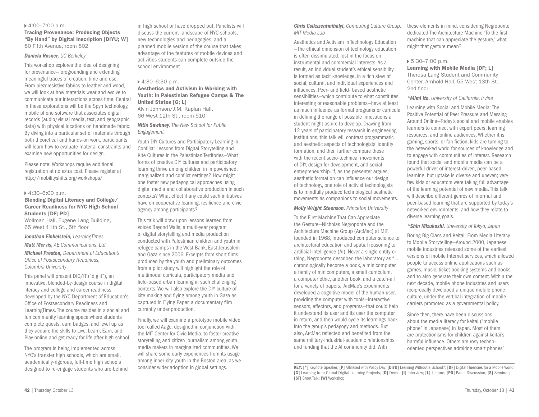#### 4:00–7:00 p.m.

Tracing Provenance: Producing Objects "By Hand" by Digital Inscription [DIYU; W] 80 Fifth Avenue, room 802

#### *Daniela Rosner, UC Berkeley*

This workshop explores the idea of designing for provenance—foregrounding and extending meaningful traces of creation, time and use. From piezoresistive fabrics to leather and wood, we will look at how materials wear and evolve to communicate our interactions across time. Central in these explorations will be the Spyn technology, mobile phone software that associates digital records (audio/visual media, text, and geographic data) with physical locations on handmade fabric. By diving into a particular set of materials through both theoretical and hands-on work, participants will learn how to evaluate material constraints and examine new opportunities for design.

Please note: Workshops require additional registration at no extra cost. Please register at http://mobilityshifts.org/workshops/

#### 4:30–6:00 p.m.

#### Blending Digital Literacy and College/ Career Readiness for NYC High School Students [DF; PD]

Wollman Hall, Eugene Lang Building, 65 West 11th St., 5th floor

*Jonathan Finkelstein, LearningTimes Matt Mervis, AE Communications, Ltd. Michael Preston, Department of Education's Office of Postsecondary Readiness, Columbia University* 

This panel will present DIG/IT ("dig it"), an innovative, blended-by-design course in digital literacy and college and career readiness developed by the NYC Department of Education's Office of Postsecondary Readiness and LearningTimes. The course resides in a social and fun community learning space where students complete quests, earn badges, and level up as they acquire the skills to Live, Learn, Earn, and Play online and get ready for life after high school.

The program is being implemented across NYC's transfer high schools, which are small, academically-rigorous, full-time high schools designed to re-engage students who are behind

in high school or have dropped out. Panelists will discuss the current landscape of NYC schools, new technologies and pedagogies, and a planned mobile version of the course that takes advantage of the features of mobile devices and activities students can complete outside the school environment

#### 4:30–6:30 p.m.

#### Aesthetics and Activism in Working with Youth: In Palestinian Refugee Camps & The United States [G; L] Alvin Johnson/J.M. Kaplan Hall,

66 West 12th St., room 510

#### *Nitin Sawhney, The New School for Public Engagement*

Youth DIY Cultures and Participatory Learning in Conflict: Lessons from Digital Storytelling and Kite Cultures in the Palestinian Territories—What forms of creative DIY cultures and participatory learning thrive among children in impoverished, marginalized and conflict settings? How might one foster new pedagogical approaches using digital media and collaborative production in such contexts? What effect if any could such initiatives have on cooperative learning, resilience and civic agency among participants?

This talk will draw upon lessons learned from Voices Beyond Walls, a multi-year program of digital storytelling and media production conducted with Palestinian children and youth in refugee camps in the West Bank, East Jerusalem and Gaza since 2006. Excerpts from short films produced by the youth and preliminary outcomes from a pilot study will highlight the role of multimodal curricula, participatory media and field-based urban learning in such challenging contexts. We will also explore the DIY culture of kite making and flying among youth in Gaza as captured in Flying Paper, a documentary film currently under production.

Finally, we will examine a prototype mobile video tool called Aago, designed in conjunction with the MIT Center for Civic Media, to foster creative storytelling and citizen journalism among youth media makers in marginalized communities. We will share some early experiences from its usage among inner-city youth in the Boston area, as we consider wider adoption in global settings.

#### *Chris Csikszentmihályi, Computing Culture Group, MIT Media Lab*

Aesthetics and Activism in Technology Education —The ethical dimension of technology education is often dissimulated, lost in the focus on instrumental and commercial interests. As a result, an individual student's ethical sensibility is formed as tacit knowledge, in a rich stew of social, cultural, and individual experiences and influences. Peer- and field- based aesthetic sensibilities—which contribute to what constitutes interesting or reasonable problems—have at least as much influence as formal programs or curricula in defining the range of possible innovations a student might aspire to develop. Drawing from 12 years of participatory research in engineering institutions, this talk will contrast programmatic and aesthetic aspects of technologists' identity formation, and then further compare these with the recent socio-technical movements of DIY, design for development, and social entrepreneurship. If, as the presenter argues, aesthetic formation can influence our design of technology, one role of activist technologists is to mindfully produce technological aesthetic movements as companions to social movements.

#### *Molly Wright Steenson, Princeton University*

To the First Machine That Can Appreciate the Gesture—Nicholas Negroponte and the Architecture Machine Group (ArcMac) at MIT, founded in 1968, introduced computer science to architectural education and spatial reasoning to artificial intelligence (AI). Never a single entity or thing, Negroponte described the laboratory as "… chronologically become a book, a minicomputer, a family of minicomputers, a small curriculum, a computer ethic, another book, and a catch-all for a variety of papers." ArcMac's experiments developed a cognitive model of the human user, providing the computer with tools—interactive sensors, effectors, and programs—that could help it understand its user and its user the computer in return, and then would cycle its learnings back into the group's pedagogy and methods. But also, ArcMac reflected and benefited from the same military-industrial-academic relationships and funding that the AI community did. With

these elements in mind, considering Negroponte dedicated The Architecture Machine "To the first machine that can appreciate the gesture," what might that gesture mean?

#### 5:30–7:00 p.m.

Learning with Mobile Media [DF; L] Theresa Lang Student and Community Center, Arnhold Hall, 55 West 13th St., 2nd floor

*\*Mimi Ito, University of California, Irvine*

Learning with Social and Mobile Media: The Positive Potential of Peer Pressure and Messing Around Online—Today's social and mobile enables learners to connect with expert peers, learning resources, and online audiences. Whether it is gaming, sports, or fan fiction, kids are turning to the networked world for sources of knowledge and to engage with communities of interest. Research found that social and mobile media can be a powerful driver of interest-driven, peer-based learning, but uptake is diverse and uneven; very few kids or educators were taking full advantage of the learning potential of new media. This talk will describe different genres of informal and peer-based learning that are supported by today's networked environments, and how they relate to diverse learning goals.

*\*Shin Mizukoshi, University of Tokyo, Japan*

Boring Big Class and Keitai: From Media Literacy to Mobile Storytelling—Around 2000, Japanese mobile industries released some of the earliest versions of mobile Internet services, which allowed people to access online applications such as games, music, ticket booking systems and books, and to also generate their own content. Within the next decade, mobile phone industries and users reciprocally developed a unique mobile phone culture, under the vertical integration of mobile carriers promoted as a governmental policy.

Since then, there have been discussions about the media literacy for keitai ("mobile phone" in Japanese) in Japan. Most of them are protectionisms for children against keitai's harmful influence. Others are rosy technooriented perspectives admiring smart phones'

KEY: [\*] Keynote Speaker; [P] Affiliated with Policy Day; [DIYU] Learning Without a School?; [DF] Digital Fluencies for a Mobile World; [G] Learning from Global Digital Learning Projects; [D] Demo; [I] Interview; [L] Lecture; [PD] Panel Discussion; [S] Seminar; [ST] Short Talk; [W] Workshop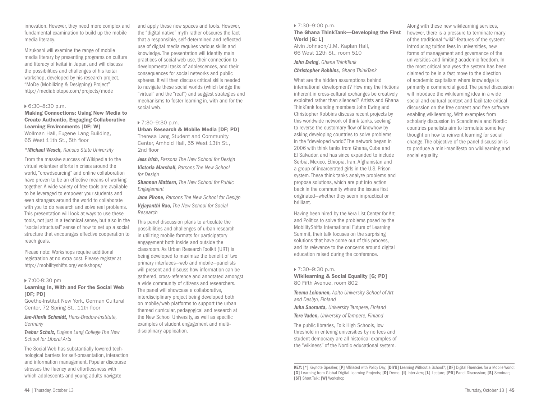44 | Thursday, October 13

innovation. However, they need more complex and fundamental examination to build up the mobile media literacy.

Mizukoshi will examine the range of mobile media literary by presenting programs on culture and literacy of keitai in Japan, and will discuss the possibilities and challenges of his keitai workshop, developed by his research project, "MoDe (Mobilizing & Designing) Project" http://mediabiotope.com/projects/mode

#### 6:30–8:30 p.m.

#### Making Connections: Using New Media to Create Authentic, Engaging Collaborative Learning Environments [DF; W] Wollman Hall, Eugene Lang Building, 65 West 11th St., 5th floor

*\*Michael Wesch, Kansas State University* 

From the massive success of Wikipedia to the virtual volunteer efforts in crises around the world, "crowdsourcing" and online collaboration have proven to be an effective means of working together. A wide variety of free tools are available to be leveraged to empower your students and even strangers around the world to collaborate with you to do research and solve real problems. This presentation will look at ways to use these tools, not just in a technical sense, but also in the "social structural" sense of how to set up a social structure that encourages effective cooperation to reach goals.

Please note: Workshops require additional registration at no extra cost. Please register at http://mobilityshifts.org/workshops/

#### ▶ 7:00-8:30 pm

#### Learning In, With and For the Social Web [DF: PD]

Goethe-Institut New York, German Cultural Center, 72 Spring St., 11th floor

*Jan-Hinrik Schmidt, Hans-Bredow-Institute, Germany*

*Trebor Scholz, Eugene Lang College The New School for Liberal Arts*

The Social Web has substantially lowered technological barriers for self-presentation, interaction and information management. Popular discourse stresses the fluency and effortlessness with which adolescents and young adults navigate

and apply these new spaces and tools. However, the "digital native" myth rather obscures the fact that a responsible, self-determined and reflected use of digital media requires various skills and knowledge. The presentation will identify main practices of social web use, their connection to developmental tasks of adolescences, and their consequences for social networks and public spheres. It will then discuss critical skills needed to navigate these social worlds (which bridge the "virtual" and the "real") and suggest strategies and mechanisms to foster learning in, with and for the social web.

#### ▶ 7:30-9:30 p.m.

Urban Research & Mobile Media [DF; PD] Theresa Lang Student and Community Center, Arnhold Hall, 55 West 13th St., 2nd floor

*Jess Irish, Parsons The New School for Design Victoria Marshall, Parsons The New School for Design*

*Shannon Mattern, The New School for Public Engagement*

*Jane Pirone, Parsons The New School for Design Vyjayanthi Rao, The New School for Social Research* 

This panel discussion plans to articulate the possibilities and challenges of urban research in utilizing mobile formats for participatory engagement both inside and outside the classroom. As Urban Research Toolkit (URT) is being developed to maximize the benefit of two primary interfaces—web and mobile—panelists will present and discuss how information can be gathered, cross-reference and annotated amongst a wide community of citizens and researchers. The panel will showcase a collaborative, interdisciplinary project being developed both on mobile/web platforms to support the urban themed curricular, pedagogical and research at the New School University, as well as specific examples of student engagement and multidisciplinary application.

#### 7:30–9:00 p.m. The Ghana ThinkTank—Developing the First World [G; L]

Alvin Johnson/J.M. Kaplan Hall, 66 West 12th St., room 510

*John Ewing, Ghana ThinkTank Christopher Robbins, Ghana ThinkTank*

What are the hidden assumptions behind international development? How may the frictions inherent in cross-cultural exchanges be creatively exploited rather than silenced? Artists and Ghana ThinkTank founding members John Ewing and Christopher Robbins discuss recent projects by this worldwide network of think tanks, seeking to reverse the customary flow of knowhow by asking developing countries to solve problems in the "developed world." The network began in 2006 with think tanks from Ghana, Cuba and El Salvador, and has since expanded to include Serbia, Mexico, Ethiopia, Iran, Afghanistan and a group of incarcerated girls in the U.S. Prison system. These think tanks analyze problems and propose solutions, which are put into action back in the community where the issues first originated—whether they seem impractical or brilliant.

Having been hired by the Vera List Center for Art and Politics to solve the problems posed by the MobilityShifts International Future of Learning Summit, their talk focuses on the surprising solutions that have come out of this process, and its relevance to the concerns around digital education raised during the conference.

#### 7:30–9:30 p.m.

[ST] Short Talk; [W] Workshop

Wikilearning & Social Equality [G; PD] 80 Fifth Avenue, room 802

*Teemu Leinonen, Aalto University School of Art and Design, Finland* 

*Juha Suoranta, University Tampere, Finland Tere Vaden, University of Tampere, Finland* 

The public libraries, Folk High Schools, low threshold in entering universities by no fees and student democracy are all historical examples of the "wikiness" of the Nordic educational system.

KEY: [\*] Keynote Speaker; [P] Affiliated with Policy Day; [DIYU] Learning Without a School?; [DF] Digital Fluencies for a Mobile World; [G] Learning from Global Digital Learning Projects; [D] Demo; [I] Interview; [L] Lecture; [PD] Panel Discussion; [S] Seminar;

Along with these new wikilearning services, however, there is a pressure to terminate many of the traditional "wiki"-features of the system: introducing tuition fees in universities, new forms of management and governance of the universities and limiting academic freedom. In the most critical analyses the system has been claimed to be in a fast move to the direction of academic capitalism where knowledge is primarily a commercial good. The panel discussion will introduce the wikilearning idea in a wide social and cultural context and facilitate critical discussion on the free content and free software enabling wikilearning. With examples from scholarly discussion in Scandinavia and Nordic countries panelists aim to formulate some key thought on how to reinvent learning for social change. The objective of the panel discussion is to produce a mini-manifesto on wikilearning and social equality.

Thursday, October 13 | 45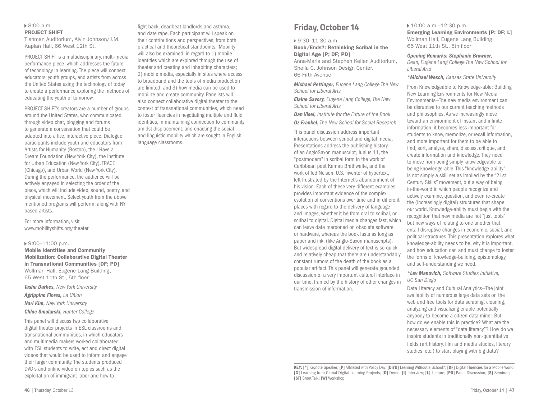#### ▶ 8:00 p.m. PROJECT SHIFT

Tishman Auditorium, Alvin Johnson/J.M. Kaplan Hall, 66 West 12th St.

PROJECT SHIFT is a multidisciplinary, multi-media performance piece, which addresses the future of technology in learning. The piece will connect educators, youth groups, and artists from across the United States using the technology of today to create a performance exploring the methods of educating the youth of tomorrow.

PROJECT SHIFT's creators are a number of groups around the United States, who communicated through video chat, blogging and forums to generate a conversation that could be adapted into a live, interactive piece. Dialogue participants include youth and educators from Artists for Humanity (Boston), the I Have a Dream Foundation (New York City), the Institute for Urban Education (New York City), TRACE (Chicago), and Urban World (New York City). During the performance, the audience will be actively engaged in selecting the order of the piece, which will include video, sound, poetry, and physical movement. Select youth from the above mentioned programs will perform, along with NY based artists.

For more information, visit www.mobilityshifts.org/theater

#### ▶ 9:00–11:00 p.m.

Mobile Identities and Community Mobilization: Collaborative Digital Theater in Transnational Communities [DF; PD] Wollman Hall, Eugene Lang Building, 65 West 11th St., 5th floor

*Tasha Darbes, New York University Agrippino Flores, La Uñion Nari Kim, New York University Chloe Smolarski, Hunter College* 

This panel will discuss two collaborative digital theater projects in ESL classrooms and transnational communities, in which educators and multimedia makers worked collaborated with ESL students to write, act and direct digital videos that would be used to inform and engage their larger community. The students produced DVD's and online video on topics such as the exploitation of immigrant labor and how to

fight back, deadbeat landlords and asthma, and date rape. Each participant will speak on their contributions and perspectives, from both practical and theoretical standpoints. 'Mobility' will also be examined, in regard to 1) mobile identities which are explored through the use of theater and creating and inhabiting characters; 2) mobile media, especially in sites where access to broadband and the tools of media production are limited; and 3) how media can be used to mobilize and create community. Panelists will also connect collaborative digital theater to the context of transnational communities, which need to foster fluencies in negotiating multiple and fluid identities, in maintaining connection to community amidst displacement, and enacting the social and linguistic mobility which are sought in English language classrooms.

## **Friday, October 14**

9:30–11:30 a.m.

Book/Ends?: Rethinking Scribal in the Digital Age [P; DF; PD]

Anna-Maria and Stephen Kellen Auditorium, Sheila C. Johnson Design Center, 66 Fifth Avenue

*Michael Pettinger, Eugene Lang College The New School for Liberal Arts* 

*Elaine Savory, Eugene Lang College, The New School for Liberal Arts* 

*Dan Visel, Institute for the Future of the Book Oz Frankel, The New School for Social Research* 

This panel discussion address important interactions between scribal and digital media. Presentations address the publishing history of an AngloSaxon manuscript, Junius 11, the "postmodem" in scribal form in the work of Caribbean poet Kamau Brathwaite, and the work of Ted Nelson, U.S. inventor of hypertext, left frustrated by the Internet's abandonment of his vision. Each of these very different examples provides important evidence of the complex evolution of conventions over time and in different places with regard to the delivery of language and images, whether it be from oral to scribal, or scribal to digital. Digital media changes fast, which can leave data marooned on obsolete software or hardware, whereas the book lasts as long as paper and ink, (like Anglo-Saxon manuscripts). But widespread digital delivery of text is so quick and relatively cheap that there are understandably constant rumors of the death of the book as a popular artifact. This panel will generate grounded discussion of a very important cultural interface in our time, framed by the history of other changes in transmission of information.

▶ 10:00 a.m.-12:30 p.m. Emerging Learning Environments [P; DF; L] Wollman Hall, Eugene Lang Building, 65 West 11th St., 5th floor

*Opening Remarks: Stephanie Browner,* 

*Dean, Eugene Lang College The New School for Liberal Arts*

*\*Michael Wesch, Kansas State University* 

From Knowledgeable to Knowledge-able: Building New Learning Environments for New Media Environments—The new media environment can be disruptive to our current teaching methods and philosophies. As we increasingly move toward an environment of instant and infinite information, it becomes less important for students to know, memorize, or recall information, and more important for them to be able to find, sort, analyze, share, discuss, critique, and create information and knowledge. They need to move from being simply knowledgeable to being knowledge-able. This "knowledge-ability" is not simply a skill set as implied by the "21st Century Skills" movement, but a way of being in-the-world in which people recognize and actively examine, question, and even re-create the (increasingly digital) structures that shape our world. Knowledge-ability must begin with the recognition that new media are not "just tools" but new ways of relating to one another that entail disruptive changes in economic, social, and political structures. This presentation explores what knowledge-ability needs to be, why it is important, and how education can and must change to foster the forms of knowledge-building, epistemology, and self-understanding we need.

#### *\*Lev Manovich, Software Studies Initiative, UC San Diego*

Data Literacy and Cultural Analytics—The joint availability of numerous large data sets on the web and free tools for data scraping, cleaning, analyzing and visualizing enable potentially anybody to become a citizen data miner. But how do we enable this in practice? What are the necessary elements of "data literacy"? How do we inspire students in traditionally non-quantitative

fields (art history, film and media studies, literary studies, etc.) to start playing with big data?

KEY: [\*] Keynote Speaker; [P] Affiliated with Policy Day; [DIYU] Learning Without a School?; [DF] Digital Fluencies for a Mobile World; [G] Learning from Global Digital Learning Projects; [D] Demo; [I] Interview; [L] Lecture; [PD] Panel Discussion; [S] Seminar; [ST] Short Talk; [W] Workshop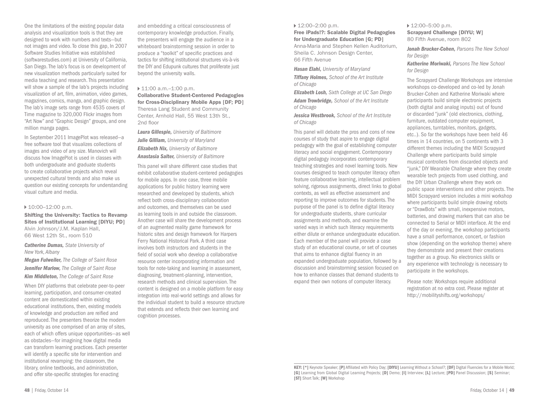One the limitations of the existing popular data analysis and visualization tools is that they are designed to work with numbers and texts—but not images and video. To close this gap, In 2007 Software Studies Initiative was established (softwarestudies.com) at University of California, San Diego. The lab's focus is on development of new visualization methods particularly suited for media teaching and research. This presentation will show a sample of the lab's projects including visualization of art, film, animation, video games, magazines, comics, manga, and graphic design. The lab's image sets range from 4535 covers of Time magazine to 320,000 Flickr images from "Art Now" and "Graphic Design" groups, and one million manga pages.

In September 2011 ImagePlot was released—a free software tool that visualizes collections of images and video of any size. Manovich will discuss how ImagePlot is used in classes with both undergraduate and graduate students to create collaborative projects which reveal unexpected cultural trends and also make us question our existing concepts for understanding visual culture and media.

#### ▶ 10:00-12:00 p.m.

Shifting the University: Tactics to Revamp Sites of Institutional Learning [DIYU; PD] Alvin Johnson/J.M. Kaplan Hall, 66 West 12th St., room 510

*Catherine Dumas, State University of New York, Albany* 

*Megan Fulweiler, The College of Saint Rose Jennifer Marlow, The College of Saint Rose Kim Middleton, The College of Saint Rose* 

When DIY platforms that celebrate peer-to-peer learning, participation, and consumer-created content are domesticated within existing educational institutions, then, existing models of knowledge and production are reified and reproduced. The presenters theorize the modern university as one comprised of an array of sites, each of which offers unique opportunities—as well as obstacles—for imagining how digital media can transform learning practices. Each presenter will identify a specific site for intervention and institutional revamping: the classroom, the library, online textbooks, and administration, and offer site-specific strategies for enacting

and embedding a critical consciousness of contemporary knowledge production. Finally, the presenters will engage the audience in a whiteboard brainstorming session in order to produce a "toolkit" of specific practices and tactics for shifting institutional structures vis-à-vis the DIY and Edupunk cultures that proliferate just beyond the university walls.

#### ▶ 11:00 a.m.-1:00 p.m.

Collaborative Student-Centered Pedagogies for Cross-Disciplinary Mobile Apps [DF; PD] Theresa Lang Student and Community Center, Arnhold Hall, 55 West 13th St., 2nd floor

*Laura Gillespie, University of Baltimore Julie Gilliam, University of Maryland Elizabeth Nix, University of Baltimore Anastasia Salter, University of Baltimore* 

This panel will share different case studies that exhibit collaborative student-centered pedagogies for mobile apps. In one case, three mobile applications for public history learning were researched and developed by students, which reflect both cross-disciplinary collaboration and outcomes, and themselves can be used as learning tools in and outside the classroom. Another case will share the development process of an augmented reality game framework for historic sites and design framework for Harpers Ferry National Historical Park. A third case involves both instructors and students in the field of social work who develop a collaborative resource center incorporating information and tools for note-taking and learning in assessment, diagnosing, treatment-planning, intervention, research methods and clinical supervision. The content is designed on a mobile platform for easy integration into real-world settings and allows for the individual student to build a resource structure that extends and reflects their own learning and cognition processes.

#### ▶ 12:00–2:00 p.m.

Free iPads!?: Scalable Digital Pedagogies for Undergraduate Education [G; PD] Anna-Maria and Stephen Kellen Auditorium, Sheila C. Johnson Design Center, 66 Fifth Avenue

*Hasan Elahi, University of Maryland Tiffany Holmes, School of the Art Institute*

*of Chicago* 

*Elizabeth Losh, Sixth College at UC San Diego Adam Trowbridge, School of the Art Institute of Chicago* 

*Jessica Westbrook, School of the Art Institute of Chicago* 

This panel will debate the pros and cons of new courses of study that aspire to engage digital pedagogy with the goal of establishing computer literacy and social engagement. Contemporary digital pedagogy incorporates contemporary teaching strategies and novel learning tools. New courses designed to teach computer literacy often feature collaborative learning, intellectual problem solving, rigorous assignments, direct links to global contexts, as well as effective assessment and reporting to improve outcomes for students. The purpose of the panel is to define digital literacy for undergraduate students, share curricular assignments and methods, and examine the varied ways in which such literacy requirements either dilute or enhance undergraduate education. Each member of the panel will provide a case study of an educational course, or set of courses that aims to enhance digital fluency in an expanded undergraduate population, followed by a discussion and brainstorming session focused on how to enhance classes that demand students to expand their own notions of computer literacy.

#### ▶ 12:00-5:00 p.m. Scrapyard Challenge [DIYU; W]

80 Fifth Avenue, room 802

*Jonah Brucker-Cohen, Parsons The New School for Design* 

*Katherine Moriwaki, Parsons The New School for Design* 

The Scrapyard Challenge Workshops are intensive workshops co-developed and co-led by Jonah Brucker-Cohen and Katherine Moriwaki where participants build simple electronic projects (both digital and analog inputs) out of found or discarded "junk" (old electronics, clothing, furniture, outdated computer equipment, appliances, turntables, monitors, gadgets, etc..). So far the workshops have been held 46 times in 14 countries, on 5 continents with 3 different themes including the MIDI Scrapyard Challenge where participants build simple musical controllers from discarded objects and "junk," DIY Wearable Challenge where they create wearable tech projects from used clothing, and the DIY Urban Challenge where they work on public space interventions and other projects. The MIDI Scrapyard version includes a mini workshop where participants build simple drawing robots or "DrawBots" with small, inexpensive motors, batteries, and drawing markers that can also be connected to Serial or MIDI interface. At the end of the day or evening, the workshop participants have a small performance, concert, or fashion show (depending on the workshop theme) where they demonstrate and present their creations together as a group. No electronics skills or any experience with technology is necessary to participate in the workshops.

Please note: Workshops require additional registration at no extra cost. Please register at http://mobilityshifts.org/workshops/

KEY: [\*] Keynote Speaker; [P] Affiliated with Policy Day; [DIYU] Learning Without a School?; [DF] Digital Fluencies for a Mobile World; [G] Learning from Global Digital Learning Projects; [D] Demo; [I] Interview; [L] Lecture; [PD] Panel Discussion; [S] Seminar; [ST] Short Talk; [W] Workshop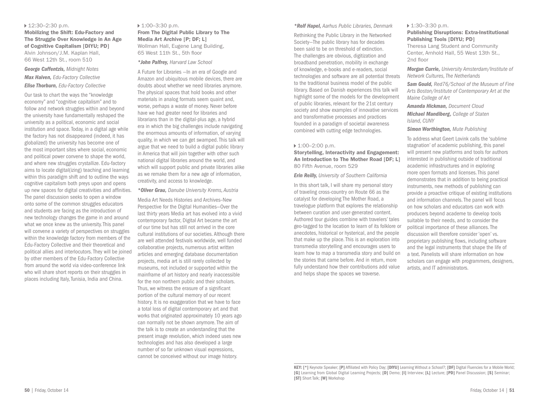#### ▶ 12:30–2:30 p.m.

Mobilizing the Shift: Edu-Factory and The Struggle Over Knowledge in An Age of Cognitive Capitalism [DIYU; PD] Alvin Johnson/J.M. Kaplan Hall, 66 West 12th St., room 510

#### *George Caffentzis, Midnight Notes Max Haiven, Edu-Factory Collective Elise Thorburn, Edu-Factory Collective*

Our task to chart the ways the "knowledge economy" and "cognitive capitalism" and to follow and network struggles within and beyond the university have fundamentally reshaped the university as a political, economic and social institution and space. Today, in a digital age while the factory has not disappeared (indeed, it has globalized) the university has become one of the most important sites where social, economic and political power convene to shape the world, and where new struggles crystallize. Edu-factory aims to locate digital(izing) teaching and learning within this paradigm shift and to outline the ways cognitive capitalism both preys upon and opens up new spaces for digital creativities and affinities. The panel discussion seeks to open a window onto some of the common struggles educators and students are facing as the introduction of new technology changes the game in and around what we once knew as the university. This panel will convene a variety of perspectives on struggles within the knowledge factory from members of the Edu-Factory Collective and their theoretical and political allies and interlocutors. They will be joined by other members of the Edu-Factory Collective from around the world via video-conference link who will share short reports on their struggles in places including Italy, Tunisia, India and China.

## ▶ 1:00–3:30 p.m.

From The Digital Public Library to The Media Art Archive [P; DF; L] Wollman Hall, Eugene Lang Building, 65 West 11th St., 5th floor

#### *\*John Palfrey, Harvard Law School*

A Future for Libraries —In an era of Google and Amazon and ubiquitous mobile devices, there are doubts about whether we need libraries anymore. The physical spaces that hold books and other materials in analog formats seem quaint and, worse, perhaps a waste of money. Never before have we had greater need for libraries and librarians than in the digital-plus age, a hybrid era in which the big challenges include navigating the enormous amounts of information, of varying quality, in which we can get swamped. This talk will argue that we need to build a digital public library in America that will join together with other such national digital libraries around the world, and which will support public and private libraries alike as we remake them for a new age of information, creativity, and access to knowledge.

#### *\*Oliver Grau, Danube University Krems, Austria*

Media Art Needs Histories and Archives–New Perspective for the Digital Humanities—Over the last thirty years Media art has evolved into a vivid contemporary factor, Digital Art became the art of our time but has still not arrived in the core cultural institutions of our societies. Although there are well attended festivals worldwide, well funded collaborative projects, numerous artist written articles and emerging database documentation projects, media art is still rarely collected by museums, not included or supported within the mainframe of art history and nearly inaccessible for the non northern public and their scholars. Thus, we witness the erasure of a significant portion of the cultural memory of our recent history. It is no exaggeration that we have to face a total loss of digital contemporary art and that works that originated approximately 10 years ago can normally not be shown anymore. The aim of the talk is to create an understanding that the present image revolution, which indeed uses new technologies and has also developed a large number of so far unknown visual expressions, cannot be conceived without our image history.

#### *\*Rolf Hapel, Aarhus Public Libraries, Denmark*

Rethinking the Public Library in the Networked Society—The public library has for decades been said to be on threshold of extinction. The challenges are obvious, digitization and broadband penetration, mobility in exchange of knowledge, e-books and e-readers, social technologies and software are all potential threats to the traditional business model of the public library. Based on Danish experiences this talk will highlight some of the models for the development of public libraries, relevant for the 21st century society and show examples of innovative services and transformative processes and practices founded in a paradigm of societal awareness combined with cutting edge technologies.

#### $\blacktriangleright$  1:00–2:00 p.m.

Storytelling, Interactivity and Engagement: An Introduction to The Mother Road [DF; L] 80 Fifth Avenue, room 529

#### *Erin Reilly, University of Southern California*

In this short talk, I will share my personal story of traveling cross-country on Route 66 as the catalyst for developing The Mother Road, a travelogue platform that explores the relationship between curation and user-generated content. Authored tour guides combine with travelers' tales geo-tagged to the location to learn of its folklore or anecdotes, historical or hysterical, and the people that make up the place. This is an exploration into transmedia storytelling and encourages users to learn how to map a transmedia story and build on the stories that came before. And in return, more fully understand how their contributions add value and helps shape the spaces we traverse.

#### ▶ 1:30–3:30 p.m.

#### Publishing Disruptions: Extra-Institutional Publishing Tools [DIYU; PD]

Theresa Lang Student and Community Center, Arnhold Hall, 55 West 13th St., 2nd floor

*Morgan Currie, University Amsterdam/Institute of Network Cultures, The Netherlands* 

*Sam Gould, Red76/School of the Museum of Fine Arts Boston/Institute of Contemporary Art at the Maine College of Art* 

#### *Amanda Hickman, Document Cloud*

*Michael Mandiberg, College of Staten Island, CUNY* 

#### *Simon Worthington, Mute Publishing*

To address what Geert Lovink calls the 'sublime stagnation' of academic publishing, this panel will present new platforms and tools for authors interested in publishing outside of traditional academic infrastructures and in exploring more open formats and licenses. This panel demonstrates that in addition to being practical instruments, new methods of publishing can provide a proactive critique of existing institutions and information channels. The panel will focus on how scholars and educators can work with producers beyond academe to develop tools suitable to their needs, and to consider the political importance of these alliances. The discussion will therefore consider 'open' vs. proprietary publishing flows, including software and the legal instruments that shape the life of a text. Panelists will share information on how scholars can engage with programmers, designers, artists, and IT administrators.

KEY: [\*] Keynote Speaker; [P] Affiliated with Policy Day; [DIYU] Learning Without a School?; [DF] Digital Fluencies for a Mobile World; [G] Learning from Global Digital Learning Projects; [D] Demo; [I] Interview; [L] Lecture; [PD] Panel Discussion; [S] Seminar; [ST] Short Talk; [W] Workshop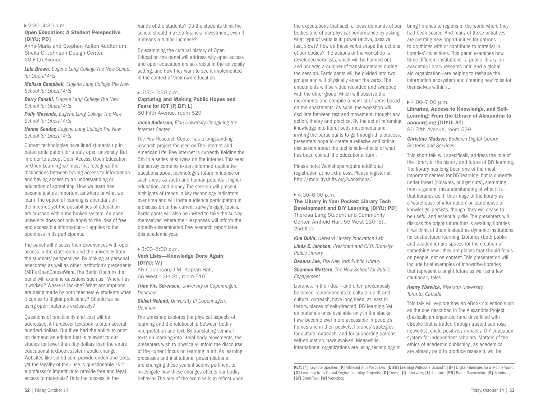#### 2:30–4:30 p.m.

#### Open Education: A Student Perspective [DIYU; PD]

Anna-Maria and Stephen Kellen Auditorium, Sheila C. Johnson Design Center, 66 Fifth Avenue

*Lula Brown, Eugene Lang College The New School for Liberal Arts* 

*Melissa Campbell, Eugene Lang College The New School for Liberal Arts* 

*Dorry Funaki, Eugene Lang College The New School for Liberal Arts* 

*Polly Mosendz, Eugene Lang College The New School for Liberal Arts* 

*Hanna Sender, Eugene Lang College The New School for Liberal Arts* 

Current technologies have lined students up in bated anticipation for a truly open university. But in order to accept Open Access, Open Education or Open Learning we must first recognize the distinctions between having access to information and having access to an understanding or education of something. How we learn has become just as important as where or what we learn. The option of learning is abundant on the Internet, yet the possibilities of education are crushed within the broken system. An open university does not only apply to the idea of free and accessible information—it applies to the openness in its participants.

The panel will discuss their experiences with open access in the classroom and the university from the students' perspectives. By looking at personal anecdotes as well as other institution's precedents {MIT's OpenCourseWare, The Berlin Doctrin) the panel will examine questions such as: Where has it worked? Where is lacking? What assumptions are being made by both teachers & students when it comes to digital proficiency? Should we be using open materials exclusively?

Questions of practicality and cost will be addressed. A hardcover textbook is often several hundred dollars. But if we had the ability to print on demand an edition that is relevant to our studies for fewer than fifty dollars then the entire educational textbook system would change. Websites like scribd.com provide ondemand texts, yet the legality of their use is questionable. Is it a professor's imperitive to provide free and legal access to materials? Or is the 'access' in the

hands of the students? Do the students think the school should make a financial investment, even if it means a tuition increase?

By examining the cultural history of Open Education the panel will address why open access and open education are so crucial in the university setting, and how they want to see it implemented in the context of their own education.

#### 2:30–3:30 p.m. Capturing and Making Public Hopes and Fears for ICT [P, DF; L] 80 Fifth Avenue, room 529

#### *Janna Anderson, Elon University/Imagining the Internet Center*

The Pew Research Center has a longstanding research project focused on The Internet and American Life. Pew Internet is currently fielding the 5th in a series of surveys on the Internet. This year, the survey contains expert-informed qualitative questions about technology's future influence on such areas as youth and human potential, higher education, and money. The session will present highlights of trends in key technology indicators over time and will invite audience participation in a discussion of the current survey's eight topics. Participants will also be invited to take the survey themselves, where their responses will inform the broadly-disseminated Pew research report later this academic year.

#### 3:00–5:00 p.m. Verb Lists—Knowledge Done Again [DIYU: W]

Alvin Johnson/J.M. Kaplan Hall, 66 West 12th St., room 510

*Trine Fiis Sørensen, University of Copenhagen, Denmark* 

*Sidsel Nelund, University of Copenhagen, Denmark*

The workshop explores the physical aspects of learning and the relationship between bodily interpretation and text. By translating seminal texts on learning into literal body movements, the presenters wish to physically unfold the discourse of the current focus on learning in art. As learning processes and institutional power relations are changing these years it seems pertinent to investigate how these changes effects our bodily behavior. The aim of the exercise is to reflect upon

the expectations that such a focus demands of our bodies and of our physical performance by asking: what type of verbs is in power (active, passive, fast, slow)? How do these verbs shape the actions of our bodies? The actions of the workshop is developed verb lists, which will be handed out and undergo a number of transformations during the session. Participants will be divided into two groups and will physically enact the verbs. The enactments will be video recorded and swapped with the other group, which will observe the movements and compile a new list of verbs based on the enactments. As such, the workshop will oscillate between text and movement, thought and action, theory and practice. By the act of reframing knowledge into literal body movements and inviting the participants to go through this process, presenters hope to create a reflexive and critical discussion about the tactile side-effects of what has been coined 'the educational turn'.

Please note: Workshops require additional registration at no extra cost. Please register at http://mobilityshifts.org/workshops/

#### $4:00-6:00$  p.m.

The Library in Your Pocket: Library Tech Development and DIY Learning [DIYU; PD] Theresa Lang Student and Community Center, Arnhold Hall, 55 West 13th St., 2nd floor

*Kim Dulin, Harvard Library Innovation Lab Linda E. Johnson, President and CEO, Brooklyn Public Library* 

*Deanna Lee, The New York Public Library Shannon Mattern, The New School for Public Engagement* 

Libraries, in their dual—and often precariously balanced—commitments to cultural uplift and cultural outreach, have long been, at least in theory, places of self-directed, DIY learning. Yet as materials once available only in the stacks have become ever more accessible in people's homes and in their pockets, libraries' strategies for cultural outreach, and for supporting patrons' self-education, have evolved. Meanwhile, international organizations are using technology to bring libraries to regions of the world where they had been scarce. And many of these initiatives are creating new opportunities for patrons to do things with or contribute to material in libraries' collections. This panel examines how three different institutions—a public library, an academic library research unit, and a global aid organization—are helping to reshape the information ecosystem and creating new roles for themselves within it.

#### 4:00–7:00 p.m.

Libraries, Access to Knowledge, and Self-Learning: From the Library of Alexandria to aaaaarg.org [DIYU; ST] 80 Fifth Avenue, room 529

*Christine Madsen, Bodleian Digital Library Systems and Services* 

This short talk will specifically address the role of the library in the history and future of DIY learning. The library has long been one of the most important centers for DIY learning, but is currently under threat (closures, budget cuts), stemming from a general misunderstanding of what it is that libraries do. If this image of the library as a 'warehouse of information' or 'storehouse of knowledge' persists, though, they will cease to be useful and essentially die. The presenters will discuss the bright future that is awaiting libraries if we think of them instead as dynamic institutions for unstructured learning. Libraries (both public and academic) are spaces for the creation of something new—they are places that should focus on people, not on content. This presentation will include brief examples of innovative libraries that represent a bright future as well as a few cautionary tales.

#### *Henry Warwick, Riverson University, Toronto, Canada*

This talk will explore how an eBook collection such as the one described in The Alexandria Project (basically an organized hard drive filled with eBooks that is traded through trusted sub rosa networks), could positively impact a DIY education system for independent scholars. Matters of the ethics of academic publishing, as academics are already paid to produce research, will be

KEY: [\*] Keynote Speaker; [P] Affiliated with Policy Day; [DIYU] Learning Without a School?; [DF] Digital Fluencies for a Mobile World; [G] Learning from Global Digital Learning Projects; [D] Demo; [I] Interview; [L] Lecture; [PD] Panel Discussion; [S] Seminar; [ST] Short Talk; [W] Workshop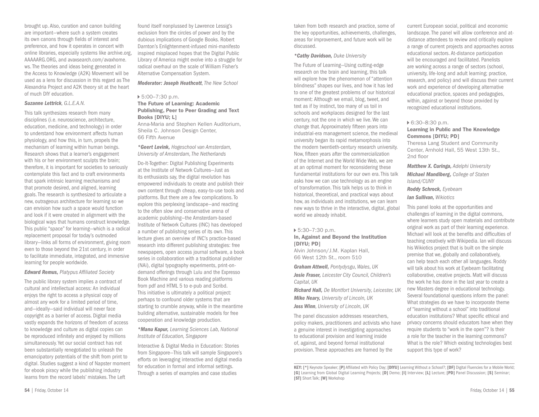brought up. Also, curation and canon building are important—where such a system creates its own canons through fields of interest and preference, and how it operates in concert with online libraries, especially systems like archive.org, AAAAARG.ORG, and avaxsearch.com/avaxhome. ws. The theories and ideas being generated in the Access to Knowledge (A2K) Movement will be used as a lens for discussion in this regard as The Alexandria Project and A2K theory sit at the heart of much DIY education.

#### *Suzanne Lettrick, G.L.E.A.N.*

This talk synthesizes research from many disciplines (i.e. neuroscience, architecture, education, medicine, and technology) in order to understand how environment affects human physiology, and how this, in turn, propels the mechanism of learning within human beings. Research shows that a learner's engagement with his or her environment sculpts the brain: therefore, it is important for societies to seriously contemplate this fact and to craft environments that spark intrinsic learning mechanisms and that promote desired, and aligned, learning goals. The research is synthesized to articulate a new, outrageous architecture for learning so we can envision how such a space would function and look if it were created in alignment with the biological ways that humans construct knowledge. This public "space" for learning—which is a radical replacement proposal for today's outmoded library—links all forms of environment, giving room even to those beyond the 21st century, in order to facilitate immediate, integrated, and immersive learning for people worldwide.

#### *Edward Remus, Platypus Affiliated Society*

The public library system implies a contract of cultural and intellectual access: An individual enjoys the right to access a physical copy of almost any work for a limited period of time, and—ideally—said individual will never face copyright as a barrier of access. Digital media vastly expands the horizons of freedom of access to knowledge and culture as digital copies can be reproduced infinitely and enjoyed by millions simultaneously. Yet our social contract has not been substantially renegotiated to unleash the emancipatory potentials of the shift from print to digital. Studies suggest a kind of Napster moment for ebook piracy while the publishing industry learns from the record labels' mistakes. The Left

found itself nonplussed by Lawrence Lessig's exclusion from the circles of power and by the dubious implications of Google Books. Robert Darnton's Enlightenment-infused mini-manifesto inspired misplaced hopes that the Digital Public Library of America might evolve into a struggle for radical overhaul on the scale of William Fisher's Alternative Compensation System.

*Moderator: Joseph Heathcott, The New School*

#### 5:00–7:30 p.m.

#### The Future of Learning: Academic Publishing, Peer to Peer Grading and Text Books [DIYU; L]

Anna-Maria and Stephen Kellen Auditorium, Sheila C. Johnson Design Center, 66 Fifth Avenue

#### *\*Geert Lovink, Hogeschool van Amsterdam, University of Amsterdam, The Netherlands*

Do-It-Together: Digital Publishing Experiments at the Institute of Network Cultures—Just as its enthusiasts say, the digital revolution has empowered individuals to create and publish their own content through cheap, easy-to-use tools and platforms. But there are a few complications. To explore this perplexing landscape—and reacting to the often slow and conservative arena of academic publishing—the Amsterdam-based Institute of Network Cultures (INC) has developed a number of publishing series of its own. This lecture gives an overview of INC's practice-based research into different publishing strategies: free newspapers, open access journal software, a book series in collaboration with a traditional publisher (NAi), digital typography experiments, print-ondemand offerings through Lulu and the Expresso Book Machine and various reading platforms from pdf and HTML 5 to e-pub and Scribd. This initiative is ultimately a political project: perhaps to confound older systems that are starting to crumble anyway, while in the meantime building alternative, sustainable models for free cooperation and knowledge production.

#### *\*Manu Kapur, Learning Sciences Lab, National Institute of Education, Singapore*

Interactive & Digital Media in Education: Stories from Singapore—This talk will sample Singapore's efforts on leveraging interactive and digital media for education in formal and informal settings. Through a series of examples and case studies

taken from both research and practice, some of the key opportunities, achievements, challenges, areas for improvement, and future work will be discussed.

#### *\*Cathy Davidson, Duke University*

The Future of Learning—Using cutting-edge research on the brain and learning, this talk will explore how the phenomenon of "attention blindness" shapes our lives, and how it has led to one of the greatest problems of our historical moment: Although we email, blog, tweet, and text as if by instinct, too many of us toil in schools and workplaces designed for the last century, not the one in which we live. We can change that. Approximately fifteen years into industrial-era management science, the medieval university began its rapid metamorphosis into the modern twentieth-century research university. Now, fifteen years after the commercialization of the Internet and the World Wide Web, we are at an optimal moment for reconsidering these fundamental institutions for our own era. This talk asks how we can use technology as an engine of transformation. This talk helps us to think in historical, theoretical, and practical ways about how, as individuals and institutions, we can learn new ways to thrive in the interactive, digital, global world we already inhabit.

#### 5:30–7:30 p.m. In, Against and Beyond the Institution [DIYU; PD] Alvin Johnson/J.M. Kaplan Hall,

66 West 12th St., room 510

*Graham Attwell, Pontydysgu, Wales, UK Josie Fraser, Leicester City Council, Children's Capital, UK* 

*Richard Hall, De Montfort University, Leicester, UK Mike Neary, University of Lincoln, UK Joss Winn, University of Lincoln, UK* 

The panel discussion addresses researchers, policy makers, practitioners and activists who have a genuine interest in investigating approaches to educational provision and learning inside of, against, and beyond formal institutional provision. These approaches are framed by the

current European social, political and economic landscape. The panel will allow conference and atdistance attendees to review and critically explore a range of current projects and approaches across educational sectors. At-distance participation will be encouraged and facilitated. Panelists are working across a range of sectors (school, university, life-long and adult learning; practice, research, and policy) and will discuss their current work and experience of developing alternative educational practice, spaces and pedagogies, within, against or beyond those provided by recognized educational institutions.

#### 6:30–8:30 p.m.

#### Learning in Public and The Knowledge Commons [DIYU; PD]

Theresa Lang Student and Community Center, Arnhold Hall, 55 West 13th St., 2nd floor

*Matthew X. Curinga, Adelphi University Michael Mandiberg, College of Staten Island/CUNY* 

*Roddy Schrock, Eyebeam Ian Sullivan, Wikiotics* 

This panel looks at the opportunities and challenges of learning in the digital commons, where learners study open materials and contribute original work as part of their learning experience. Michael will look at the benefits and difficulties of teaching creatively with Wikipedia. Ian will discuss his Wikiotics project that is built on the simple premise that we, globally and collaboratively, can help teach each other all languages. Roddy will talk about his work at Eyebeam facilitating collaborative, creative projects. Matt will discuss the work he has done in the last year to create a new Masters degree in educational technology. Several foundational questions inform the panel: What strategies do we have to incorporate theme of "learning without a school" into traditional education institutions? What specific ethical and privacy concerns should educators have when they require students to "work in the open"? Is their a role for the teacher in the learning commons? What is the role? Which existing technologies best support this type of work?

KEY: [\*] Keynote Speaker; [P] Affiliated with Policy Day; [DIYU] Learning Without a School?; [DF] Digital Fluencies for a Mobile World; [G] Learning from Global Digital Learning Projects; [D] Demo; [I] Interview; [L] Lecture; [PD] Panel Discussion; [S] Seminar; [ST] Short Talk; [W] Workshop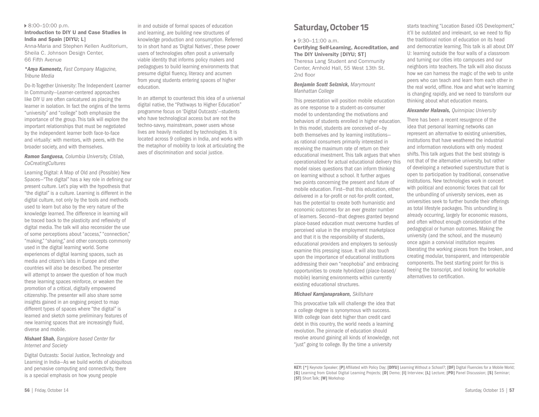#### 8:00–10:00 p.m.

#### Introduction to DIY U and Case Studies in India and Spain [DIYU; L]

Anna-Maria and Stephen Kellen Auditorium, Sheila C. Johnson Design Center, 66 Fifth Avenue

#### *\*Anya Kamenetz, Fast Company Magazine, Tribune Media*

Do-It-Together University: The Independent Learner In Community—Learner-centered approaches like DIY U are often caricatured as placing the learner in isolation. In fact the origins of the terms "university" and "college" both emphasize the importance of the group. This talk will explore the important relationships that must be negotiated by the independent learner both face-to-face and virtually: with mentors, with peers, with the broader society, and with themselves.

#### *Ramon Sanguesa, Columbia University, Citilab, CoCreatingCultures*

Learning Digital: A Map of Old and (Possible) New Spaces—"The digital" has a key role in defining our present culture. Let's play with the hypothesis that "the digital" is a culture. Learning is different in the digital culture, not only by the tools and methods used to learn but also by the very nature of the knowledge learned. The difference in learning will be traced back to the plasticity and reflexivity of digital media. The talk will also reconsider the use of some perceptions about "access," "connection," "making," "sharing," and other concepts commonly used in the digital learning world. Some experiences of digital learning spaces, such as media and citizen's labs in Europe and other countries will also be described. The presenter will attempt to answer the question of how much these learning spaces reinforce, or weaken the promotion of a critical, digitally empowered citizenship. The presenter will also share some insights gained in an ongoing project to map different types of spaces where "the digital" is learned and sketch some preliminary features of new learning spaces that are increasingly fluid, diverse and mobile.

#### *Nishant Shah, Bangalore based Center for Internet and Society*

Digital Outcasts: Social Justice, Technology and Learning in India—As we build worlds of ubiquitous and pervasive computing and connectivity, there is a special emphasis on how young people

and learning, are building new structures of knowledge production and consumption. Referred to in short hand as 'Digital Natives', these power users of technologies often posit a universally viable identity that informs policy makers and pedagogues to build learning environments that presume digital fluency, literacy and acumen from young students entering spaces of higher education. In an attempt to counteract this idea of a universal

in and outside of formal spaces of education

digital native, the "Pathways to Higher Education" programme focus on 'Digital Outcasts'—students who have technological access but are not the techno-savvy, mainstream, power users whose lives are heavily mediated by technologies. It is located across 9 colleges in India, and works with the metaphor of mobility to look at articulating the axes of discrimination and social justice.

## **Saturday, October 15**

#### 9:30–11:00 a.m.

Certifying Self-Learning, Accreditation, and The DIY University [DIYU; ST]

Theresa Lang Student and Community Center, Arnhold Hall, 55 West 13th St. 2nd floor

#### *Benjamin Scott Selznick, Marymount Manhattan College*

This presentation will position mobile education as one response to a student-as-consumer model to understanding the motivations and behaviors of students enrolled in higher education. In this model, students are conceived of—by both themselves and by learning institutions as rational consumers primarily interested in receiving the maximum rate of return on their educational investment. This talk argues that when operationalized for actual educational delivery this model raises questions that can inform thinking on learning without a school. It further argues two points concerning the present and future of mobile education. First—that this education, either delivered in a for-profit or not-for-profit context, has the potential to create both humanistic and economic outcomes for an ever greater number of learners. Second—that degrees granted beyond place-based education must overcome hurdles of perceived value in the employment marketplace and that it is the responsibility of students, educational providers and employers to seriously examine this pressing issue. It will also touch upon the importance of educational institutions addressing their own "neophobia" and embracing opportunities to create hybridized (place-based/ mobile) learning environments within currently existing educational structures.

#### *Michael Karnjanaprakorn, Skillshare*

This provocative talk will challenge the idea that a college degree is synonymous with success. With college loan debt higher than credit card debt in this country, the world needs a learning revolution. The pinnacle of education should revolve around gaining all kinds of knowledge, not "just" going to college. By the time a university

starts teaching "Location Based iOS Development," it'll be outdated and irrelevant, so we need to flip the traditional notion of education on its head and democratize learning. This talk is all about DIY U: learning outside the four walls of a classroom and turning our cities into campuses and our neighbors into teachers. The talk will also discuss how we can harness the magic of the web to unite peers who can teach and learn from each other in the real world, offline. How and what we're learning is changing rapidly, and we need to transform our thinking about what education means.

*Alexander Halavais, Quinnipiac University* 

There has been a recent resurgence of the idea that personal learning networks can represent an alternative to existing universities, institutions that have weathered the industrial and information revolutions with only modest shifts. This talk argues that the best strategy is not that of the alternative university, but rather of developing a networked superstructure that is open to participation by traditional, conservative institutions. New technologies work in concert with political and economic forces that call for the unbundling of university services, even as universities seek to further bundle their offerings as total lifestyle packages. This unbundling is already occurring, largely for economic reasons, and often without enough consideration of the pedagogical or human outcomes. Making the university (and the school, and the museum) once again a convivial institution requires liberating the working pieces from the broken, and creating modular, transparent, and interoperable components. The best starting point for this is freeing the transcript, and looking for workable alternatives to certification.

KEY: [\*] Keynote Speaker; [P] Affiliated with Policy Day; [DIYU] Learning Without a School?; [DF] Digital Fluencies for a Mobile World; [G] Learning from Global Digital Learning Projects; [D] Demo; [I] Interview; [L] Lecture; [PD] Panel Discussion; [S] Seminar; [ST] Short Talk; [W] Workshop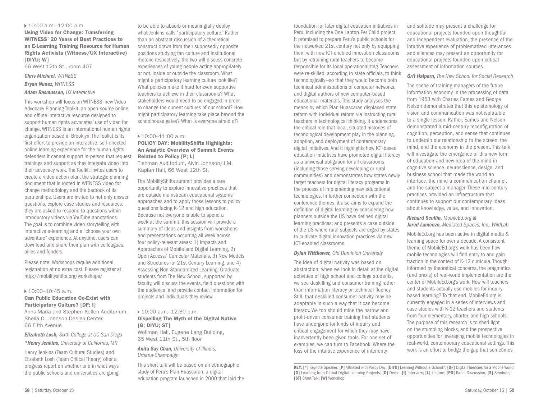#### 10:00 a.m.–12:00 p.m.

Using Video for Change: Transferring WITNESS' 20 Years of Best Practices to an E-Learning Training Resource for Human Rights Activists (Witness/UX Interactive) [DIYU; W] 66 West 12th St., room 407

*Chris Michael, WITNESS Bryan Nunez, WITNESS* 

#### *Adam Rasmussen, UX Interactive*

This workshop will focus on WITNESS' new Video Advocacy Planning Toolkit, an open-source online and offline interactive resource designed to support human rights advocates' use of video for change. WITNESS is an international human rights organization based in Brooklyn. The Toolkit is its first effort to provide an interactive, self-directed online learning experience for the human rights defenders it cannot support in-person that request trainings and support as they integrate video into their advocacy work. The Toolkit invites users to create a video action plan, the strategic planning document that is rooted in WITNESS video for change methodology and the bedrock of its partnerships. Users are invited to not only answer questions, explore case studies and resources, they are asked to respond to questions within introductory videos via YouTube annotations. The goal is to combine video storytelling with interactive e-learning and a "choose your own adventure" experience. At anytime, users can download and share their plan with colleagues, allies and funders.

Please note: Workshops require additional registration at no extra cost. Please register at http://mobilityshifts.org/workshops/

#### $10:00-10:45$  a.m.

#### Can Public Education Co-Exist with Participatory Culture? [DF; I]

Anna-Maria and Stephen Kellen Auditorium, Sheila C. Johnson Design Center, 66 Fifth Avenue

*Elizabeth Losh, Sixth College at UC San Diego \*Henry Jenkins, University of California, MIT* 

Henry Jenkins (Team Cultural Studies) and Elizabeth Losh (Team Critical Theory) offer a progress report on whether and in what ways the public schools and universities are going

to be able to absorb or meaningfully deploy what Jenkins calls "participatory culture." Rather than an abstract discussion of a theoretical construct drawn from their supposedly opposite positions studying fan culture and institutional rhetoric respectively, the two will discuss concrete experiences of young people acting appropriately or not, inside or outside the classroom. What might a participatory learning culture look like? What policies make it hard for even supportive teachers to achieve in their classrooms? What stakeholders would need to be engaged in order to change the current cultures of our school? How might participatory learning take place beyond the schoolhouse gates? What is everyone afraid of?

#### $10:00-11:00$  a.m.

#### POLICY DAY: MobilityShifts Highlights: An Analytic Overview of Summit Events Related to Policy [P; L]

Tishman Auditorium, Alvin Johnson/J.M. Kaplan Hall, 66 West 12th St.

The MobilityShifts summit provides a rare opportunity to explore innovative practices that are outside mainstream educational systems' approaches and to apply those lessons to policy questions facing K-12 and high education. Because not everyone is able to spend a week at the summit, this session will provide a summary of ideas and insights from workshops and presentations occurring all week across four policy-relevant areas: 1) Impacts and Approaches of Mobile and Digital Learning, 2) Open Access/ Curricular Materials, 3) New Models and Structures for 21st Century Learning, and 4) Assessing Non-Standardized Learning. Graduate students from The New School, supported by faculty, will discuss the events, field questions with the audience, and provide contact information for projects and individuals they review.

#### 10:00 a.m.–12:30 p.m. Dispelling The Myth of the Digital Native [G: DIYU: ST]

Wollman Hall, Eugene Lang Building, 65 West 11th St., 5th floor

*Anita Say Chan, University of Illinois, Urbana-Champaign* 

This short talk will be based on an ethnographic study of Peru's Plan Huascaran, a digital education program launched in 2000 that laid the

foundation for later digital education initiatives in Peru, including the One Laptop Per Child project. It promised to prepare Peru's public schools for the networked 21st century not only by equipping them with new ICT-enabled innovation classrooms but by retraining rural teachers to become responsible for its local operationalizing. Teachers were re-skilled, according to state officials, to think technologically—so that they would become both technical administrations of computer networks, and digital authors of new computer-based educational materials. This study analyses the means by which Plan Huascaran displaced state reform with individual reform via instructing rural teachers in technological thinking. It underscores the critical role that local, situated histories of technological development play in the planning, adoption, and deployment of contemporary digital initiatives. And it highlights how ICT-based education initiatives have promoted digital literacy as a universal obligation for all classrooms (including those serving developing or rural communities) and demonstrates how states newly target teachers for digital literacy programs in the process of implementing new educational technologies. In further connection with the conference themes, it also aims to expand the definition of digital learning by considering how planners outside the US have defined digital learning practices; and presents a case outside of the US where rural subjects are urged by states to cultivate digital innovation practices via new ICT-enabled classrooms.

#### *Dylan Wittkower, Old Dominion University*

The idea of digital nativity was based on abstraction; when we look in detail at the digital activities of high school and college students, we see deskilling and consumer training rather than information literacy or technical fluency. Still, that deskilled consumer nativity may be adaptable in such a way that it can become literacy. We too should mine the narrow and profit-driven consumer training that students have undergone for kinds of inquiry and critical engagement for which they may have inadvertently been given tools. For one set of examples, we can turn to Facebook. Where the loss of the intuitive experience of interiority

and solitude may present a challenge for educational projects founded upon thoughtful and independent evaluation, the presence of the intuitive experience of problematized utterances and silences may present an opportunity for educational projects founded upon critical assessment of information sources.

*Orit Halpern, The New School for Social Research* 

The scene of training managers of the future information economy in the processing of data from 1953 with Charles Eames and George Nelson demonstrates that this epistemology of vision and communication was not isolatable to a single lesson. Rather, Eames and Nelson demonstrated a mid-century reconfiguration of cognition, perception, and sense that continues to underpin our relationship to the screen, the mind, and the economy in the present. This talk will investigate the emergence of this new form of education and new idea of the mind in cognitive science, neuroscience, design, and business school that made the world an interface, the mind a communication channel, and the subject a manager. These mid-century practices provided an infrastructure that continues to support our contemporary ideas about knowledge, value, and innovation.

### *Richard Scullin, MobileEd.org &*

*Jared Lamenzo, Mediated Spaces, Inc., WildLab*

MobileEd.org has been active in digital media & learning space for over a decade. A consistent theme of MobileEd.org's work has been how mobile technologies will find entry to and gain traction in the context of K-12 curricula. Though informed by theoretical concerns, the pragmatics (and praxis) of real-world implementation are the center of MobileEd.org's work. How will teachers and students actually use mobiles for inquirybased learning? To that end, MobileEd.org is currently engaged in a series of interviews and case studies with K-12 teachers and students from four elementary, charter, and high schools. The purpose of this research is to shed light on the stumbling blocks, and the prospective opportunities for leveraging mobile technologies in real-world, contemporary educational settings. This work is an effort to bridge the gap that sometimes

KEY: [\*] Keynote Speaker; [P] Affiliated with Policy Day; [DIYU] Learning Without a School?; [DF] Digital Fluencies for a Mobile World; [G] Learning from Global Digital Learning Projects; [D] Demo; [I] Interview; [L] Lecture; [PD] Panel Discussion; [S] Seminar; [ST] Short Talk; [W] Workshop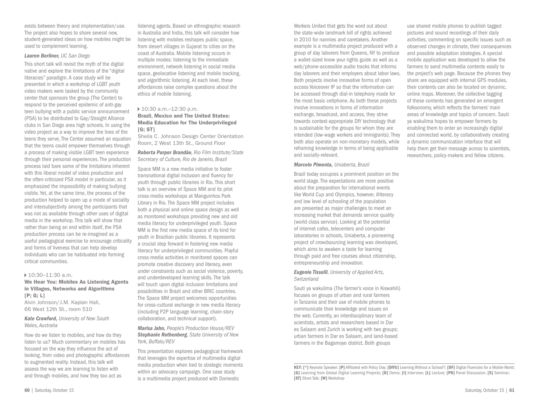exists between theory and implementation/use. The project also hopes to share several new, student-generated ideas on how mobiles might be used to complement learning.

#### *Lauren Berliner, UC San Diego*

This short talk will revisit the myth of the digital native and explore the limitations of the "digital literacies" paradigm. A case study will be presented in which a workshop of LGBT youth video makers were tasked by the community center that sponsors the group (The Center) to respond to the perceived epidemic of anti-gay teen bullying with a public service announcement (PSA) to be distributed to Gay/Straight Alliance clubs in San Diego area high schools. In using the video project as a way to improve the lives of the teens they serve, The Center assumed an equation that the teens could empower themselves through a process of making visible LGBT teen experience through their personal experiences. The production process laid bare some of the limitations inherent with this liberal model of video production and the often-criticized PSA model in particular, as it emphasized the impossibility of making bullying visible. Yet, at the same time, the process of the production helped to open up a mode of sociality and intersubjectivity among the participants that was not as available through other uses of digital media in the workshop. This talk will show that rather than being an end within itself, the PSA production process can be re-imagined as a useful pedagogical exercise to encourage criticality and forms of liveness that can help develop individuals who can be habituated into forming critical communities.

#### $10:30-11:30$  a.m.

#### We Hear You: Mobiles As Listening Agents in Villages, Networks and Algorithms [P; G; L]

Alvin Johnson/J.M. Kaplan Hall, 66 West 12th St., room 510

#### *Kate Crawford, University of New South Wales, Australia*

How do we listen to mobiles, and how do they listen to us? Much commentary on mobiles has focused on the way they influence the act of looking, from video and photographic affordances to augmented reality. Instead, this talk will assess the way we are learning to listen with and through mobiles, and how they too act as

listening agents. Based on ethnographic research in Australia and India, this talk will consider how listening with mobiles reshapes public space, from desert villages in Gujarat to cities on the coast of Australia. Mobile listening occurs in multiple modes: listening to the immediate environment, network listening in social media space, geolocative listening and mobile tracking, and algorithmic listening. At each level, these affordances raise complex questions about the ethics of mobile listening.

#### ▶ 10:30 a.m.-12:30 p.m.

#### Brazil, Mexico and The United States: Media Education for The Underprivileged  $[G: ST]$

Sheila C. Johnson Design Center Orientation Room, 2 West 13th St., Ground Floor

*Roberta Purper Brandão, Rio Film Institute/State Secretary of Culture, Rio de Janeiro, Brazil* 

Space MM is a new media initiative to foster transnational digital inclusion and fluency for youth through public libraries in Rio. This short talk is an overview of Space MM and its pilot cross-media workshops at Manguinhos Park Library in Rio. The Space MM project includes both a physical and online space design as well as monitored workshops providing new and old media literacy for underprivileged youth. Space MM is the first new media space of its kind for youth in Brazilian public libraries. It represents a crucial step forward in fostering new media literacy for underprivileged communities. Playful cross-media activities in monitored spaces can promote creative discovery and literacy, even under constraints such as social violence, poverty, and underdeveloped learning skills. The talk will touch upon digital inclusion limitations and possibilities in Brazil and other BRIC countries. The Space MM project welcomes opportunities for cross-cultural exchange in new media literacy (including P2P language learning, chain-story collaboration, and technical support).

*Marisa Jahn, People's Production House/REV Stephanie Rothenberg, State University of New York, Buffalo/REV* 

This presentation explores pedagogical framework that leverages the expertise of multimedia digital media production when tied to strategic moments within an advocacy campaign. One case study is a multimedia project produced with Domestic

Workers United that gets the word out about the state-wide landmark bill of rights achieved in 2010 for nannies and caretakers. Another example is a multimedia project produced with a group of day laborers from Queens, NY to produce a wallet-sized know your rights guide as well as a web/phone-accessible audio tracks that informs day laborers and their employers about labor laws. Both projects involve innovative forms of open access Voiceover IP so that the information can be accessed through dial-in telephony made for the most basic cellphone. As both these projects involve innovations in forms of information exchange, broadcast, and access, they strive towards context-appropriate DIY technology that is sustainable for the groups for whom they are intended (low-wage workers and immigrants). They both also operate on non-monetary models, while reframing knowledge in terms of being applicable and socially-relevant.

#### *Marcelo Pimenta, Uniaberta, Brazil*

Brazil today occupies a prominent position on the world stage. The expectations are more positive about the preparation for international events like World Cup and Olympics, however, illiteracy and low level of schooling of the population are presented as major challenges to meet an increasing market that demands service quality (world class service). Looking at the potential of internet cafes, telecenters and computer laboratories in schools, Uniaberta, a pioneering project of crowdsourcing learning was developed, which aims to awaken a taste for learning through paid and free courses about citizenship, entrepreneurship and innovation.

#### *Eugenio Tisselli, University of Applied Arts, Switzerland*

Sauti ya wakulima (The farmer's voice in Kiswahili) focuses on groups of urban and rural farmers in Tanzania and their use of mobile phones to communicate their knowledge and issues on the web. Currently, an interdisciplinary team of scientists, artists and researchers based in Dar es Salaam and Zurich is working with two groups: urban farmers in Dar es Salaam, and land-based farmers in the Bagamoyo district. Both groups

use shared mobile phones to publish tagged pictures and sound recordings of their daily activities, commenting on specific issues such as observed changes in climate, their consequences and possible adaptation strategies. A special mobile application was developed to allow the farmers to send multimedia contents easily to the project's web page. Because the phones they share are equipped with internal GPS modules, their contents can also be located on dynamic, online maps. Moreover, the collective tagging of these contents has generated an emergent folksonomy, which reflects the farmers' main areas of knowledge and topics of concern. Sauti ya wakulima hopes to empower farmers by enabling them to enter an increasingly digital and connected world, by collaboratively creating a dynamic communication interface that will help them get their message across to scientists, researchers, policy-makers and fellow citizens.

KEY: [\*] Keynote Speaker; [P] Affiliated with Policy Day; [DIYU] Learning Without a School?; [DF] Digital Fluencies for a Mobile World; [G] Learning from Global Digital Learning Projects; [D] Demo; [I] Interview; [L] Lecture; [PD] Panel Discussion; [S] Seminar; [ST] Short Talk; [W] Workshop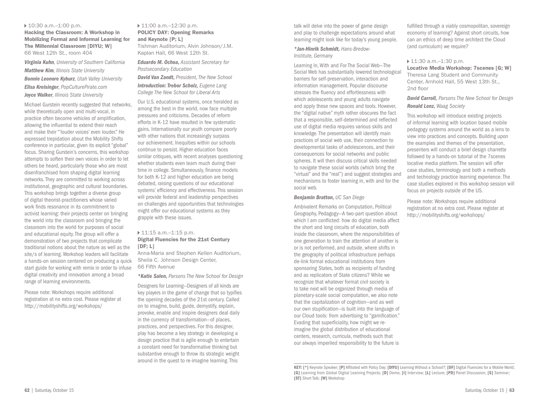#### 10:30 a.m.–1:00 p.m.

Hacking the Classroom: A Workshop in Mobilizing Formal and Informal Learning for The Millennial Classroom [DIYU; W] 66 West 12th St., room 404

*Virginia Kuhn, University of Southern California Matthew Kim, Illinois State University Bonnie Leonore Kyburz, Utah Valley University Elisa Kreisinger, PopCulturePirate.com Joyce Walker, Illinois State University* 

Michael Gurstein recently suggested that networks, while theoretically open and multi-vocal, in practice often become vehicles of amplification, allowing the influential to extend their reach and make their "'louder voices' even louder." He expressed trepidation about the Mobility Shifts conference in particular, given its explicit "global" focus. Sharing Gurstein's concerns, this workshop attempts to soften their own voices in order to let others be heard, particularly those who are most disenfranchised from shaping digital learning networks. They are committed to working across institutional, geographic and cultural boundaries. This workshop brings together a diverse group of digital theorist-practitioners whose varied work finds resonance in its commitment to activist learning: their projects center on bringing the world into the classroom and bringing the classroom into the world for purposes of social and educational equity. The group will offer a demonstration of two projects that complicate traditional notions about the nature as well as the site/s of learning. Workshop leaders will facilitate a hands-on session centered on producing a quick start guide for working with remix in order to infuse digital creativity and innovation among a broad range of learning environments.

Please note: Workshops require additional registration at no extra cost. Please register at http://mobilityshifts.org/workshops/

#### ▶ 11:00 a.m.-12:30 p.m. POLICY DAY: Opening Remarks and Keynote [P; L] Tishman Auditorium, Alvin Johnson/J.M. Kaplan Hall, 66 West 12th St.

*Eduardo M. Ochoa, Assistant Secretary for Postsecondary Education*

*David Van Zandt, President, The New School Introduction: Trebor Scholz, Eugene Lang College The New School for Liberal Arts*

Our U.S. educational systems, once heralded as among the best in the world, now face multiple pressures and criticisms. Decades of reform efforts in K-12 have resulted in few systematic gains. Internationally our youth compare poorly with other nations that increasingly surpass our achievement. Inequities within our schools continue to persist. Higher education faces similar critiques, with recent analyses questioning whether students even learn much during their time in college. Simultaneously, finance models for both K-12 and higher education are being debated, raising questions of our educational systems' efficiency and effectiveness. This session will provide federal and leadership perspectives on challenges and opportunities that technologies might offer our educational systems as they grapple with these issues.

#### 11:15 a.m.–1:15 p.m. Digital Fluencies for the 21st Century [DF; L]

Anna-Maria and Stephen Kellen Auditorium, Sheila C. Johnson Design Center, 66 Fifth Avenue

*\*Katie Salen, Parsons The New School for Design*

Designers for Learning—Designers of all kinds are key players in the game of change that so typifies the opening decades of the 21st century. Called on to imagine, build, guide, demystify, explain, provoke, enable and inspire designers deal daily in the currency of transformation—of places, practices, and perspectives. For this designer, play has become a key strategy in developing a design practice that is agile enough to entertain a constant need for transformative thinking but substantive enough to throw its strategic weight around in the quest to re-imagine learning. This

talk will delve into the power of game design and play to challenge expectations around what learning might look like for today's young people.

*\*Jan-Hinrik Schmidt, Hans-Bredow-Institute, Germany*

Learning In, With and For The Social Web—The Social Web has substantially lowered technological barriers for self-preservation, interaction and information management. Popular discourse stresses the fluency and effortlessness with which adolescents and young adults navigate and apply these new spaces and tools. However, the "digital native" myth rather obscures the fact that a responsible, self-determined and reflected use of digital media requires various skills and knowledge. The presentation will identify main practices of social web use, their connection to developmental tasks of adolescences, and their consequences for social networks and public spheres. It will then discuss critical skills needed to navigate these social worlds (which bring the "virtual" and the "real") and suggest strategies and mechanisms to foster learning in, with and for the social web.

#### *Benjamin Bratton, UC San Diego*

Ambivalent Remarks on Computation, Political Geography, Pedagogy—A two-part question about which I am conflicted: how do digital media affect the short and long circuits of education, both inside the classroom, where the responsibilities of one generation to train the attention of another is or is not performed, and outside, where shifts in the geography of political infrastructure perhaps de-link formal educational institutions from sponsoring States, both as recipients of funding and as replicators of State citizens? While we recognize that whatever format civil society is to take next will be organized through media of planetary-scale social computation, we also note that the capitalization of cognition—and as well our own stupification—is built into the language of our Cloud tools: from advertising to "gamification." Evading that superficiality, how might we reimagine the global distribution of educational centers, research, curricula, methods such that our always imperiled responsibility to the future is fulfilled through a viably cosmopolitan, sovereign economy of learning? Against short circuits, how can an ethics of deep time architect the Cloud (and curriculum) we require?

#### ▶ 11:30 a.m.-1:30 p.m.

Locative Media Workshop: 7scenes [G; W] Theresa Lang Student and Community Center, Arnhold Hall, 55 West 13th St., 2nd floor

*David Carroll, Parsons The New School for Design Ronald Lenz, Waag Society* 

This workshop will introduce existing projects of informal learning with location based mobile pedagogy systems around the world as a lens to view into practices and concepts. Building upon the examples and themes of the presentation, presenters will conduct a brief design charrette followed by a hands-on tutorial of the 7scenes locative media platform. The session will offer case studies, terminology and both a methods and technology practice learning experience. The case studies explored in this workshop session will focus on projects outside of the US.

Please note: Workshops require additional registration at no extra cost. Please register at http://mobilityshifts.org/workshops/

KEY: [\*] Keynote Speaker; [P] Affiliated with Policy Day; [DIYU] Learning Without a School?; [DF] Digital Fluencies for a Mobile World; [G] Learning from Global Digital Learning Projects; [D] Demo; [I] Interview; [L] Lecture; [PD] Panel Discussion; [S] Seminar; [ST] Short Talk; [W] Workshop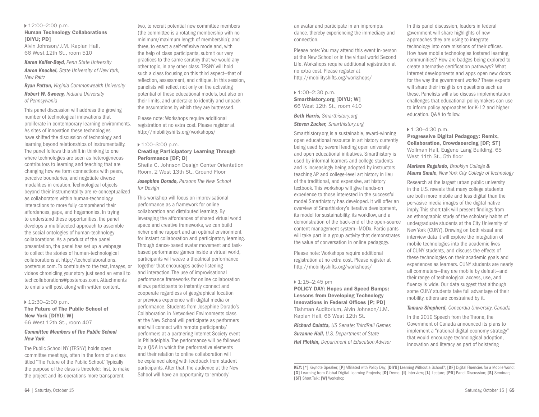▶ 12:00–2:00 p.m. Human Technology Collaborations [DIYU; PD]

Alvin Johnson/J.M. Kaplan Hall, 66 West 12th St., room 510

*Karen Keifer-Boyd, Penn State University Aaron Knochel, State University of New York, New Paltz* 

*Ryan Patton, Virginia Commonwealth University Robert W. Sweeny, Indiana University of Pennsylvania* 

This panel discussion will address the growing number of technological innovations that proliferate in contemporary learning environments. As sites of innovation these technologies have shifted the discussion of technology and learning beyond relationships of instrumentality. The panel follows this shift in thinking to one where technologies are seen as heterogeneous contributors to learning and teaching that are changing how we form connections with peers, perceive boundaries, and negotiate diverse modalities in creation. Technological objects beyond their instrumentality are re-conceptualized as collaborators within human-technology interactions to more fully comprehend their affordances, gaps, and hegemonies. In trying to understand these opportunities, the panel develops a multifaceted approach to assemble the social ontologies of human-technology collaborations. As a product of the panel presentation, the panel has set up a webpage to collect the stories of human-technological collaborations at http://techcollaborations. posterous.com. To contribute to the text, images, or videos chronicling your story just send an email to techcollaborations@posterous.com. Attachments to emails will post along with written content.

#### $12:30-2:00$  p.m.

The Future of The Public School of New York [DIYU; W] 66 West 12th St., room 407

#### *Committee Members of The Public School New York*

The Public School NY (TPSNY) holds open committee meetings, often in the form of a class titled "The Future of the Public School." Typically the purpose of the class is threefold: first, to make the project and its operations more transparent;

two, to recruit potential new committee members (the committee is a rotating membership with no minimum/maximum length of membership); and three, to enact a self-reflexive mode and, with the help of class participants, submit our very practices to the same scrutiny that we would any other topic, in any other class. TPSNY will hold such a class focusing on this third aspect—that of reflection, assessment, and critique. In this session, panelists will reflect not only on the activating potential of these educational models, but also on their limits, and undertake to identify and unpack the assumptions by which they are buttressed.

Please note: Workshops require additional registration at no extra cost. Please register at http://mobilityshifts.org/workshops/

#### ▶ 1:00–3:00 p.m. Creating Participatory Learning Through Performance [DF; D]

Sheila C. Johnson Design Center Orientation Room, 2 West 13th St., Ground Floor

#### *Josephine Dorado, Parsons The New School for Design*

This workshop will focus on improvisational performance as a framework for online collaboration and distributed learning. By leveraging the affordances of shared virtual world space and creative frameworks, we can build richer online rapport and an optimal environment for instant collaboration and participatory learning. Through dance-based avatar movement and taskbased performance games inside a virtual world, participants will weave a theatrical performance together that encourages active listening and interaction. The use of improvisational performance frameworks for online collaboration allows participants to instantly connect and cooperate regardless of geographical location or previous experience with digital media or performance. Students from Josephine Dorado's Collaboration in Networked Environments class at the New School will participate as performers and will connect with remote participants/ performers at a partnering Internet Society event in Philadelphia. The performance will be followed by a Q&A in which the performative elements and their relation to online collaboration will be explained along with feedback from student participants. After that, the audience at the New School will have an opportunity to 'embody'

an avatar and participate in an impromptu dance, thereby experiencing the immediacy and connection.

Please note: You may attend this event in-person at the New School or in the virtual world Second Life. Workshops require additional registration at no extra cost. Please register at http://mobilityshifts.org/workshops/

 $\triangleright$  1:00–2:30 p.m. Smarthistory.org [DIYU; W] 66 West 12th St., room 410

*Beth Harris, Smarthistory.org Steven Zucker, Smarthistory.org* 

Smarthistory.org is a sustainable, award-winning open educational resource in art history currently being used by several leading open university and open educational initiatives. Smarthistory is used by informal learners and college students and is increasingly being adopted by instructors teaching AP and college-level art history in lieu of the traditional, and expensive, art history textbook. This workshop will give hands-on experience to those interested in the successful model Smarthistory has developed. It will offer an overview of Smarthistory's iterative development, its model for sustainability, its workflow, and a demonstration of the back-end of the open-source content management system—MODx. Participants will take part in a group activity that demonstrates the value of conversation in online pedagogy.

Please note: Workshops require additional registration at no extra cost. Please register at http://mobilityshifts.org/workshops/

#### $\triangleright$  1:15–2:45 pm

POLICY DAY: Hopes and Speed Bumps: Lessons from Developing Technology Innovations in Federal Offices [P; PD] Tishman Auditorium, Alvin Johnson/J.M. Kaplan Hall, 66 West 12th St.

*Richard Culatta, US Senate; ThirdRail Games Suzanne Hall, U.S. Department of State Hal Plotkin, Department of Education Advisor* In this panel discussion, leaders in federal government will share highlights of new approaches they are using to integrate technology into core missions of their offices. How have mobile technologies fostered learning communities? How are badges being explored to create alternative certification pathways? What Internet developments and apps open new doors for the way the government works? These experts will share their insights on questions such as these. Panelists will also discuss implementation challenges that educational policymakers can use to inform policy approaches for K-12 and higher education. Q&A to follow.

#### ▶ 1:30-4:30 p.m.

Progressive Digital Pedagogy: Remix, Collaboration, Crowdsourcing [DF; ST] Wollman Hall, Eugene Lang Building, 65 West 11th St., 5th floor

*Mariana Regalado, Brooklyn College & Maura Smale, New York City College of Technology* 

Research at the largest urban public university in the U.S. reveals that many college students are both more mobile and less digital than the pervasive media images of the digital native imply. This short talk will present findings from an ethnographic study of the scholarly habits of undergraduate students at the City University of New York (CUNY). Drawing on both visual and interview data it will explore the integration of mobile technologies into the academic lives of CUNY students, and discuss the effects of these technologies on their academic goals and experiences as learners. CUNY students are nearly all commuters—they are mobile by default—and their range of technological access, use, and fluency is wide. Our data suggest that although some CUNY students take full advantage of their mobility, others are constrained by it.

*Tamara Shepherd, Concordia University, Canada* 

In the 2010 Speech from the Throne, the Government of Canada announced its plans to implement a "national digital economy strategy" that would encourage technological adoption, innovation and literacy as part of bolstering

KEY: [\*] Keynote Speaker; [P] Affiliated with Policy Day; [DIYU] Learning Without a School?; [DF] Digital Fluencies for a Mobile World; [G] Learning from Global Digital Learning Projects; [D] Demo; [I] Interview; [L] Lecture; [PD] Panel Discussion; [S] Seminar; [ST] Short Talk; [W] Workshop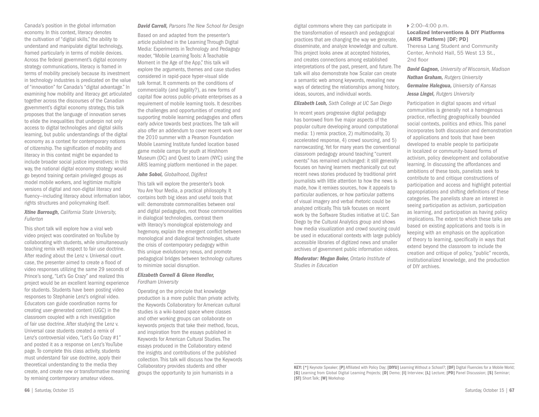Canada's position in the global information economy. In this context, literacy denotes the cultivation of "digital skills," the ability to understand and manipulate digital technology, framed particularly in terms of mobile devices. Across the federal government's digital economy strategy communications, literacy is framed in terms of mobility precisely because its investment in technology industries is predicated on the value of "innovation" for Canada's "digital advantage." In examining how mobility and literacy get articulated together across the discourses of the Canadian government's digital economy strategy, this talk proposes that the language of innovation serves to elide the inequalities that underpin not only access to digital technologies and digital skills learning, but public understandings of the digital economy as a context for contemporary notions of citizenship. The signification of mobility and literacy in this context might be expanded to include broader social justice imperatives; in this way, the national digital economy strategy would go beyond training certain privileged groups as model mobile workers, and legitimize multiple versions of digital and non-digital literacy and fluency—including literacy about information labor, rights structures and policymaking itself.

#### *Xtine Burrough, California State University, Fullerton*

This short talk will explore how a viral web video project was coordinated on YouTube by collaborating with students, while simultaneously teaching remix with respect to fair use doctrine. After reading about the Lenz v. Universal court case, the presenter aimed to create a flood of video responses utilizing the same 29 seconds of Prince's song, "Let's Go Crazy" and realized this project would be an excellent learning experience for students. Students have been posting video responses to Stephanie Lenz's original video. Educators can guide coordination norms for creating user-generated content (UGC) in the classroom coupled with a rich investigation of fair use doctrine. After studying the Lenz v. Universal case students created a remix of Lenz's controversial video, "Let's Go Crazy #1" and posted it as a response on Lenz's YouTube page. To complete this class activity, students must understand fair use doctrine, apply their theoretical understanding to the media they create, and create new or transformative meaning by remixing contemporary amateur videos.

#### *David Carroll, Parsons The New School for Design*

Based on and adapted from the presenter's article published in the Learning Through Digital Media: Experiments in Technology and Pedagogy reader, "Mobile Learning Tools: A Teachable Moment in the Age of the App," this talk will explore the arguments, themes and case studies considered in rapid-pace hyper-visual slide talk format. It comments on the conditions of commerciality (and legality?), as new forms of capital flow across public-private enterprises as a requirement of mobile learning tools. It describes the challenges and opportunities of creating and supporting mobile learning pedagogies and offers early advice towards best practices. The talk will also offer an addendum to cover recent work over the 2010 summer with a Pearson Foundation Mobile Learning Institute funded location based game mobile camps for youth at Hirshhorn Museum (DC) and Quest to Learn (NYC) using the ARIS learning platform mentioned in the paper.

#### *John Sobol, Globalhood, Digifest*

This talk will explore the presenter's book You Are Your Media, a practical philosophy. It contains both big ideas and useful tools that will: demonstrate commonalities between oral and digital pedagogies, root those commonalities in dialogical technologies, contrast them with literacy's monological epistemology and hegemony, explain the emergent conflict between monological and dialogical technologies, situate the crisis of contemporary pedagogy within this unique evolutionary nexus, and promote pedagogical bridges between technology cultures to minimize social disruption.

#### *Elizabeth Cornell & Glenn Hendler, Fordham University*

Operating on the principle that knowledge production is a more public than private activity, the Keywords Collaboratory for American cultural studies is a wiki-based space where classes and other working groups can collaborate on keywords projects that take their method, focus, and inspiration from the essays published in Keywords for American Cultural Studies. The essays produced in the Collaboratory extend the insights and contributions of the published collection. This talk will discuss how the Keywords Collaboratory provides students and other groups the opportunity to join humanists in a

digital commons where they can participate in the transformation of research and pedagogical practices that are changing the way we generate, disseminate, and analyze knowledge and culture. This project looks anew at accepted histories, and creates connections among established interpretations of the past, present, and future. The talk will also demonstrate how Scalar can create a semantic web among keywords, revealing new ways of detecting the relationships among history, ideas, sources, and individual words.

#### *Elizabeth Losh, Sixth College at UC San Diego*

In recent years progressive digital pedagogy has borrowed from five major aspects of the popular culture developing around computational media: 1) remix practice, 2) multimodality, 3) accelerated response, 4) crowd sourcing, and 5) narrowcasting. Yet for many years the conventional classroom pedagogy around teaching "current events" has remained unchanged: it still generally focuses on having learners mechanically cut out recent news stories produced by traditional print journalists with little attention to how the news is made, how it remixes sources, how it appeals to particular audiences, or how particular patterns of visual imagery and verbal rhetoric could be analyzed critically. This talk focuses on recent work by the Software Studies initiative at U.C. San Diego by the Cultural Analytics group and shows how media visualization and crowd sourcing could be used in educational contexts with large publicly accessible libraries of digitized news and smaller archives of government public information videos.

*Moderator: Megan Boler, Ontario Institute of Studies in Education*

#### 2:00–4:00 p.m.

#### Localized Interventions & DIY Platforms (ARIS Platform) [DF; PD]

Theresa Lang Student and Community Center, Arnhold Hall, 55 West 13 St., 2nd floor

*David Gagnon, University of Wisconsin, Madison Nathan Graham, Rutgers University Germaine Halegoua, University of Kansas Jessa Lingel, Rutgers University* 

Participation in digital spaces and virtual communities is generally not a homogenous practice, reflecting geographically bounded social contexts, politics and ethics. This panel incorporates both discussion and demonstration of applications and tools that have been developed to enable people to participate in localized or community-based forms of activism, policy development and collaborative learning. In discussing the affordances and ambitions of these tools, panelists seek to contribute to and critique constructions of participation and access and highlight potential appropriations and shifting definitions of these categories. The panelists share an interest in seeing participation as activism, participation as learning, and participation as having policy implications. The extent to which these talks are based on existing applications and tools is in keeping with an emphasis on the application of theory to learning, specifically in ways that extend beyond the classroom to include the creation and critique of policy, "public" records, institutionalized knowledge, and the production of DIY archives.

KEY: [\*] Keynote Speaker; [P] Affiliated with Policy Day; [DIYU] Learning Without a School?; [DF] Digital Fluencies for a Mobile World; [G] Learning from Global Digital Learning Projects; [D] Demo; [I] Interview; [L] Lecture; [PD] Panel Discussion; [S] Seminar; [ST] Short Talk; [W] Workshop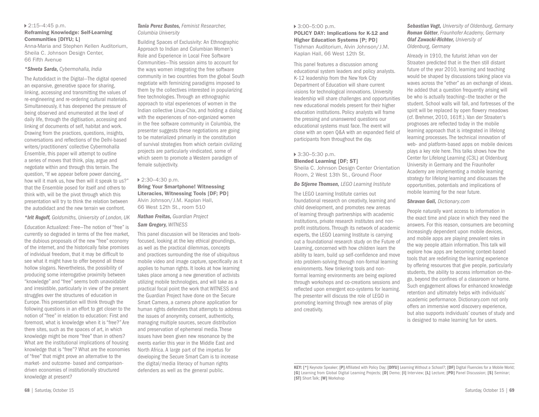## 2:15–4:45 p.m.

#### Reframing Knowledge: Self-Learning Communities [DIYU; L]

Anna-Maria and Stephen Kellen Auditorium, Sheila C. Johnson Design Center, 66 Fifth Avenue

#### *\*Shveta Sarda, Cybermohalla, India*

The Autodidact in the Digital—The digital opened an expansive, generative space for sharing, linking, accessing and transmitting the values of re-engineering and re-ordering cultural materials. Simultaneously, it has deepened the pressure of being observed and enumerated at the level of daily life, through the digitisation, accessing and linking of documents of self, habitat and work. Drawing from the practices, questions, insights, conversations and reflections of the Delhi-based writers/practitioners' collective Cybermohalla Ensemble, this paper will attempt to outline a series of moves that think, play, argue and negotiate within and through this terrain. The question, "If we appear before power dancing, how will it mark us, how then will it speak to us?" that the Ensemble posed for itself and others to think with, will be the pivot through which this presentation will try to think the relation between the autodidact and the new terrain we confront.

#### *\*Irit Rogoff, Goldsmiths, University of London, UK*

Education Actualized: Free—The notion of "free" is currently so degraded in terms of the free market, the dubious proposals of the new "free" economy of the internet, and the historically false promises of individual freedom, that it may be difficult to see what it might have to offer beyond all these hollow slogans. Nevertheless, the possibility of producing some interrogative proximity between "knowledge" and "free" seems both unavoidable and irresistible, particularly in view of the present struggles over the structures of education in Europe. This presentation will think through the following questions in an effort to get closer to the notion of "free" in relation to education: First and foremost, what is knowledge when it is "free?" Are there sites, such as the spaces of art, in which knowledge might be more "free" than in others? What are the institutional implications of housing knowledge that is "free"? What are the economies of "free" that might prove an alternative to the market- and outcome- based and comparisondriven economies of institutionally structured knowledge at present?

#### *Tania Perez Bustos, Feminist Researcher, Columbia University*

Building Spaces of Exclusivity: An Ethnographic Approach to Indian and Columbian Women's Role and Experience in Local Free Software Communities—This session aims to account for the ways women integrating the free software community in two countries from the global South negotiate with feminizing paradigms imposed to them by the collectives interested in popularizing free technologies. Through an ethnographic approach to vital experiences of women in the Indian collective Linux-Chix, and holding a dialog with the experiences of non-organized women in the free software community in Columbia, the presenter suggests these negotiations are going to be materialized primarily in the constitution of survival strategies from which certain civilizing projects are particularly vindicated, some of which seem to promote a Western paradigm of female subjectivity.

#### 2:30–4:30 p.m.

Bring Your Smartphone! Witnessing Literacies, Witnessing Tools [DF; PD] Alvin Johnson/J.M. Kaplan Hall, 66 West 12th St., room 510

#### *Nathan Freitas, Guardian Project Sam Gregory, WITNESS*

This panel discussion will be literacies and toolsfocused, looking at the key ethical groundings, as well as the practical dilemmas, concepts and practices surrounding the rise of ubiquitous mobile video and image capture, specifically as it applies to human rights. It looks at how learning takes place among a new generation of activists utilizing mobile technologies, and will take as a practical focal point the work that WITNESS and the Guardian Project have done on the Secure Smart Camera, a camera phone application for human rights defenders that attempts to address the issues of anonymity, consent, authenticity, managing multiple sources, secure distribution and preservation of ephemeral media. These issues have been given new resonance by the events earlier this year in the Middle East and North Africa. A large part of the impetus for developing the Secure Smart Cam is to increase the digital/media literacy of human rights defenders as well as the general public.

#### 3:00–5:00 p.m.

POLICY DAY: Implications for K-12 and Higher Education Systems [P; PD] Tishman Auditorium, Alvin Johnson/J.M. Kaplan Hall, 66 West 12th St.

This panel features a discussion among educational system leaders and policy analysts. K-12 leadership from the New York City Department of Education will share current visions for technological innovations. University leadership will share challenges and opportunities new educational models present for their higher education institutions. Policy analysts will frame the pressing and unanswered questions our educational systems must face. The event will close with an open Q&A with an expanded field of participants from throughout the day.

#### 3:30–5:30 p.m. Blended Learning [DF; ST]

Sheila C. Johnson Design Center Orientation Room, 2 West 13th St., Ground Floor

#### *Bo Stjerne Thomsen, LEGO Learning Institute*

The LEGO Learning Institute carries out foundational research on creativity, learning and child development, and promotes new arenas of learning through partnerships with academic institutions, private research institutes and nonprofit institutions. Through its network of academic experts, the LEGO Learning Institute is carrying out a foundational research study on the Future of Learning, concerned with how children learn the ability to learn, build up self-confidence and move into problem-solving through non-formal learning environments. New tinkering tools and nonformal learning environments are being explored through workshops and co-creations sessions and reflected upon emergent eco-systems for learning. The presenter will discuss the role of LEGO in promoting learning through new arenas of play and creativity.

*Sebastian Vogt, University of Oldenburg, Germany Roman Götter, Fraunhofer Academy, Germany Olaf Zawacki-Richter, University of Oldenburg, Germany* 

Already in 1910, the futurist Jehan von der Straaten predicted that in the then still distant future of the year 2010, learning and teaching would be shaped by discussions taking place via waves across the "ether" as an exchange of ideas. He added that a question frequently arising will be who is actually teaching—the teacher or the student. School walls will fall, and fortresses of the spirit will be replaced by open flowery meadows (cf. Brehmer, 2010, 161ff.). Van der Straaten's prognoses are reflected today in the mobile learning approach that is integrated in lifelong learning processes. The technical innovation of web- and platform-based apps on mobile devices plays a key role here. This talks shows how the Center for Lifelong Learning (C3L) at Oldenburg University in Germany and the Fraunhofer Academy are implementing a mobile learning strategy for lifelong learning and discusses the opportunities, potentials and implications of mobile learning for the near future.

#### *Shravan Goli, Dictionary.com*

People naturally want access to information in the exact time and place in which they need the answers. For this reason, consumers are becoming increasingly dependent upon mobile devices, and mobile apps are playing prevalent roles in the way people attain information. This talk will explore how apps are becoming context-based tools that are redefining the learning experience by offering resources that give people, particularly students, the ability to access information on-thego, beyond the confines of a classroom or home. Such engagement allows for enhanced knowledge retention and ultimately helps with individuals' academic performance. Dictionary.com not only offers an immersive word discovery experience, but also supports individuals' courses of study and is designed to make learning fun for users.

KEY: [\*] Keynote Speaker; [P] Affiliated with Policy Day; [DIYU] Learning Without a School?; [DF] Digital Fluencies for a Mobile World; [G] Learning from Global Digital Learning Projects; [D] Demo; [I] Interview; [L] Lecture; [PD] Panel Discussion; [S] Seminar; [ST] Short Talk; [W] Workshop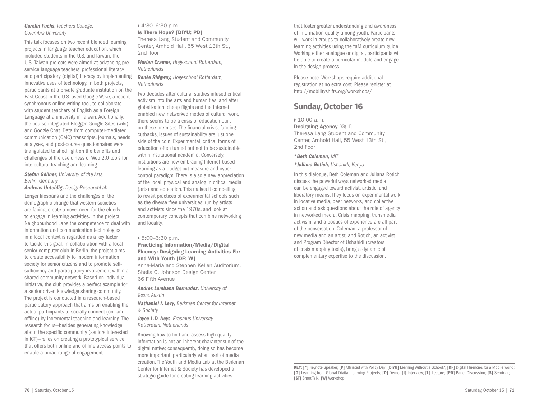#### *Carolin Fuchs, Teachers College, Columbia University*

This talk focuses on two recent blended learning projects in language teacher education, which included students in the U.S. and Taiwan. The U.S.-Taiwan projects were aimed at advancing preservice language teachers' professional literacy and participatory (digital) literacy by implementing innovative uses of technology. In both projects, participants at a private graduate institution on the East Coast in the U.S. used Google Wave, a recent synchronous online writing tool, to collaborate with student teachers of English as a Foreign Language at a university in Taiwan. Additionally, the course integrated Blogger, Google Sites (wiki), and Google Chat. Data from computer-mediated communication (CMC) transcripts, journals, needs analyses, and post-course questionnaires were triangulated to shed light on the benefits and challenges of the usefulness of Web 2.0 tools for intercultural teaching and learning.

#### *Stefan Göllner, University of the Arts, Berlin, Germany*

*Andreas Unteidig, DesignResearchLab* Longer lifespans and the challenges of the demographic change that western societies are facing, create a novel need for the elderly to engage in learning activities. In the project Neighbourhood Labs the competence to deal with information and communication technologies in a local context is regarded as a key factor to tackle this goal. In collaboration with a local senior computer club in Berlin, the project aims to create accessibility to modern information society for senior citizens and to promote selfsufficiency and participatory involvement within a shared community network. Based on individual initiative, the club provides a perfect example for a senior driven knowledge sharing community. The project is conducted in a research-based participatory approach that aims on enabling the actual participants to socially connect (on- and offline) by incremental teaching and learning. The research focus—besides generating knowledge about the specific community (seniors interested in ICT)—relies on creating a prototypical service that offers both online and offline access points to enable a broad range of engagement.

#### 4:30–6:30 p.m. Is There Hope? [DIYU; PD] Theresa Lang Student and Community

Center, Arnhold Hall, 55 West 13th St., 2nd floor

*Florian Cramer, Hogeschool Rotterdam, Netherlands* 

#### *Renée Ridgway, Hogeschool Rotterdam, Netherlands*

Two decades after cultural studies infused critical activism into the arts and humanities, and after globalization, cheap flights and the Internet enabled new, networked modes of cultural work, there seems to be a crisis of education built on these premises. The financial crisis, funding cutbacks, issues of sustainability are just one side of the coin. Experimental, critical forms of education often turned out not to be sustainable within institutional academia. Conversely, institutions are now embracing Internet-based learning as a budget cut measure and cyber control paradigm. There is also a new appreciation of the local, physical and analog in critical media (arts) and education. This makes it compelling to revisit practices of experimental schools such as the diverse 'free universities' run by artists and activists since the 1970s, and look at contemporary concepts that combine networking and locality.

#### 5:00–6:30 p.m.

#### Practicing Information/Media/Digital Fluency: Designing Learning Activities For and With Youth [DF; W]

Anna-Maria and Stephen Kellen Auditorium, Sheila C. Johnson Design Center, 66 Fifth Avenue

*Andres Lombana Bermudez, University of Texas, Austin* 

*Nathaniel I. Levy, Berkman Center for Internet & Society* 

#### *Joyce L.D. Neys, Erasmus University Rotterdam, Netherlands*

Knowing how to find and assess high quality information is not an inherent characteristic of the digital native; consequently, doing so has become more important, particularly when part of media creation. The Youth and Media Lab at the Berkman Center for Internet & Society has developed a strategic guide for creating learning activities

that foster greater understanding and awareness of information quality among youth. Participants will work in groups to collaboratively create new learning activities using the YaM curriculum guide. Working either analogue or digital, participants will be able to create a curricular module and engage in the design process.

Please note: Workshops require additional registration at no extra cost. Please register at http://mobilityshifts.org/workshops/

## **Sunday, October 16**

#### ▶ 10:00 a.m.

Designing Agency [G; I] Theresa Lang Student and Community Center, Arnhold Hall, 55 West 13th St., 2nd floor

#### *\*Beth Coleman, MIT*

*\*Juliana Rotich, Ushahidi, Kenya*

In this dialogue, Beth Coleman and Juliana Rotich discuss the powerful ways networked media can be engaged toward activist, artistic, and liberatory means. They focus on experimental work in locative media, peer networks, and collective action and ask questions about the role of agency in networked media. Crisis mapping, transmedia activism, and a poetics of experience are all part of the conversation. Coleman, a professor of new media and an artist, and Rotich, an activist and Program Director of Ushahidi (creators of crisis mapping tools), bring a dynamic of complementary expertise to the discussion.

KEY: [\*] Keynote Speaker; [P] Affiliated with Policy Day; [DIYU] Learning Without a School?; [DF] Digital Fluencies for a Mobile World; [G] Learning from Global Digital Learning Projects; [D] Demo; [I] Interview; [L] Lecture; [PD] Panel Discussion; [S] Seminar; [ST] Short Talk; [W] Workshop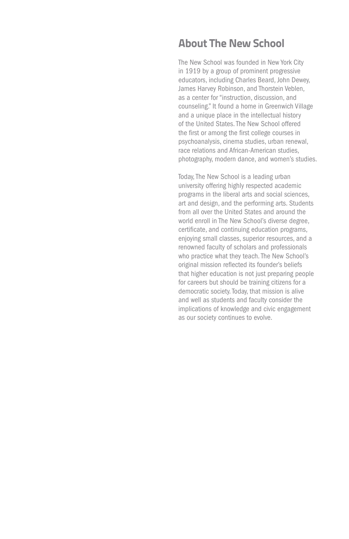## **About The New School**

The New School was founded in New York City in 1919 by a group of prominent progressive educators, including Charles Beard, John Dewey, James Harvey Robinson, and Thorstein Veblen, as a center for "instruction, discussion, and counseling." It found a home in Greenwich Village and a unique place in the intellectual history of the United States. The New School offered the first or among the first college courses in psychoanalysis, cinema studies, urban renewal, race relations and African-American studies, photography, modern dance, and women's studies.

Today, The New School is a leading urban university offering highly respected academic programs in the liberal arts and social sciences, art and design, and the performing arts. Students from all over the United States and around the world enroll in The New School's diverse degree, certificate, and continuing education programs, enjoying small classes, superior resources, and a renowned faculty of scholars and professionals who practice what they teach. The New School's original mission reflected its founder's beliefs that higher education is not just preparing people for careers but should be training citizens for a democratic society. Today, that mission is alive and well as students and faculty consider the implications of knowledge and civic engagement as our society continues to evolve.